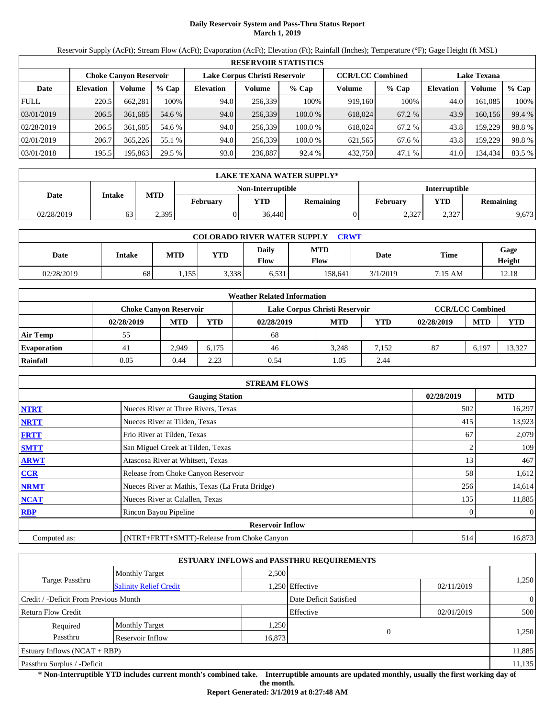## **Daily Reservoir System and Pass-Thru Status Report March 1, 2019**

Reservoir Supply (AcFt); Stream Flow (AcFt); Evaporation (AcFt); Elevation (Ft); Rainfall (Inches); Temperature (°F); Gage Height (ft MSL)

|             | <b>RESERVOIR STATISTICS</b> |                               |         |                  |                               |         |                         |         |                    |         |        |  |  |
|-------------|-----------------------------|-------------------------------|---------|------------------|-------------------------------|---------|-------------------------|---------|--------------------|---------|--------|--|--|
|             |                             | <b>Choke Canyon Reservoir</b> |         |                  | Lake Corpus Christi Reservoir |         | <b>CCR/LCC Combined</b> |         | <b>Lake Texana</b> |         |        |  |  |
| Date        | <b>Elevation</b>            | Volume                        | $%$ Cap | <b>Elevation</b> | Volume                        | $%$ Cap | Volume                  | $%$ Cap | <b>Elevation</b>   | Volume  | % Cap  |  |  |
| <b>FULL</b> | 220.5                       | 662,281                       | 100%    | 94.0             | 256,339                       | 100%    | 919,160                 | 100%    | 44.0               | 161.085 | 100%   |  |  |
| 03/01/2019  | 206.5                       | 361,685                       | 54.6 %  | 94.0             | 256,339                       | 100.0%  | 618,024                 | 67.2 %  | 43.9               | 160,156 | 99.4 % |  |  |
| 02/28/2019  | 206.5                       | 361.685                       | 54.6 %  | 94.0             | 256,339                       | 100.0%  | 618,024                 | 67.2 %  | 43.8               | 159,229 | 98.8%  |  |  |
| 02/01/2019  | 206.7                       | 365.226                       | 55.1 %  | 94.0             | 256.339                       | 100.0 % | 621,565                 | 67.6 %  | 43.8               | 159,229 | 98.8%  |  |  |
| 03/01/2018  | 195.5                       | 195,863                       | 29.5 %  | 93.0             | 236,887                       | 92.4 %  | 432,750                 | 47.1%   | 41.0               | 134,434 | 83.5 % |  |  |

|            | <b>LAKE TEXANA WATER SUPPLY*</b> |            |          |                                     |  |                      |           |       |  |  |  |
|------------|----------------------------------|------------|----------|-------------------------------------|--|----------------------|-----------|-------|--|--|--|
|            |                                  |            |          | Non-Interruptible                   |  | <b>Interruptible</b> |           |       |  |  |  |
| Date       | Intake                           | <b>MTD</b> | February | VTD<br>Februarv<br><b>Remaining</b> |  | <b>YTD</b>           | Remaining |       |  |  |  |
| 02/28/2019 | 63                               | 2.395      |          | 36,440                              |  | 2.327<br>، کے درک    | 2,327     | 9,673 |  |  |  |

| <b>COLORADO RIVER WATER SUPPLY</b><br><b>CRWT</b> |        |            |       |                      |             |          |             |                |  |  |
|---------------------------------------------------|--------|------------|-------|----------------------|-------------|----------|-------------|----------------|--|--|
| Date                                              | Intake | <b>MTD</b> | YTD   | <b>Daily</b><br>Flow | MTD<br>Flow | Date     | <b>Time</b> | Gage<br>Height |  |  |
| 02/28/2019                                        | 68     | 1.155      | 3,338 | 6.531                | 158.641     | 3/1/2019 | 7:15 AM     | 12.18          |  |  |

|                    |                               |            |            | <b>Weather Related Information</b> |            |       |            |                         |            |
|--------------------|-------------------------------|------------|------------|------------------------------------|------------|-------|------------|-------------------------|------------|
|                    | <b>Choke Canyon Reservoir</b> |            |            | Lake Corpus Christi Reservoir      |            |       |            | <b>CCR/LCC Combined</b> |            |
|                    | 02/28/2019                    | <b>MTD</b> | <b>YTD</b> | 02/28/2019                         | <b>MTD</b> | YTD   | 02/28/2019 | <b>MTD</b>              | <b>YTD</b> |
| <b>Air Temp</b>    | 55                            |            |            | 68                                 |            |       |            |                         |            |
| <b>Evaporation</b> | 41                            | 2.949      | 6.175      | 46                                 | 3.248      | 7.152 | 87         | 6,197                   | 13.327     |
| Rainfall           | 0.05                          | 0.44       | 2.23       | 0.54                               | l.O5       | 2.44  |            |                         |            |

|              | <b>STREAM FLOWS</b>                             |            |                |
|--------------|-------------------------------------------------|------------|----------------|
|              | <b>Gauging Station</b>                          | 02/28/2019 | <b>MTD</b>     |
| <b>NTRT</b>  | Nueces River at Three Rivers, Texas             | 502        | 16,297         |
| <b>NRTT</b>  | Nueces River at Tilden, Texas                   | 415        | 13,923         |
| <b>FRTT</b>  | Frio River at Tilden, Texas                     | 67         | 2,079          |
| <b>SMTT</b>  | San Miguel Creek at Tilden, Texas               |            | 109            |
| <b>ARWT</b>  | Atascosa River at Whitsett, Texas               | 13         | 467            |
| <b>CCR</b>   | Release from Choke Canyon Reservoir             | 58         | 1,612          |
| <b>NRMT</b>  | Nueces River at Mathis, Texas (La Fruta Bridge) | 256        | 14,614         |
| <b>NCAT</b>  | Nueces River at Calallen, Texas                 | 135        | 11,885         |
| <b>RBP</b>   | Rincon Bayou Pipeline                           | 0          | $\overline{0}$ |
|              | <b>Reservoir Inflow</b>                         |            |                |
| Computed as: | (NTRT+FRTT+SMTT)-Release from Choke Canyon      | 514        | 16,873         |

|                                       |                               |        | <b>ESTUARY INFLOWS and PASSTHRU REQUIREMENTS</b> |            |                |
|---------------------------------------|-------------------------------|--------|--------------------------------------------------|------------|----------------|
|                                       | <b>Monthly Target</b>         | 2.500  |                                                  |            |                |
| <b>Target Passthru</b>                | <b>Salinity Relief Credit</b> |        | .250 Effective                                   | 02/11/2019 | 1,250          |
| Credit / -Deficit From Previous Month |                               |        | Date Deficit Satisfied                           |            | $\overline{0}$ |
| <b>Return Flow Credit</b>             |                               |        | Effective                                        | 02/01/2019 | 500            |
| Required                              | <b>Monthly Target</b>         | 1,250  |                                                  |            |                |
| Passthru                              | Reservoir Inflow              | 16,873 | $\Omega$                                         |            | 1,250          |
| Estuary Inflows $(NCAT + RBP)$        |                               |        |                                                  |            | 11,885         |
| Passthru Surplus / -Deficit           |                               |        |                                                  |            | 11,135         |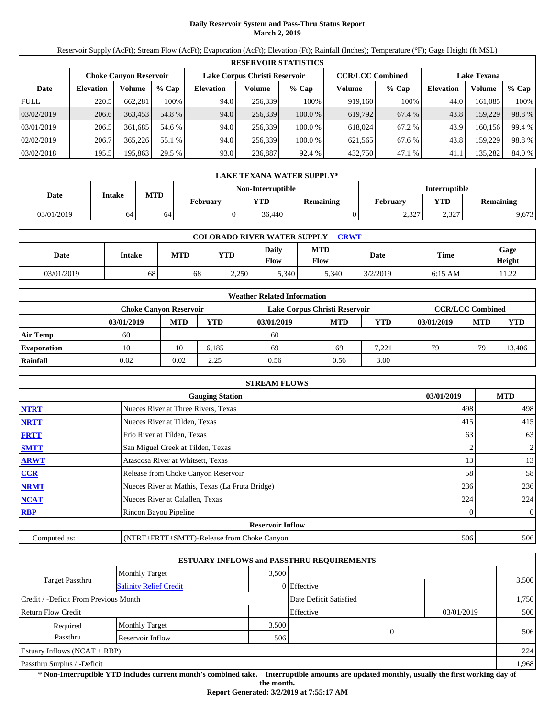## **Daily Reservoir System and Pass-Thru Status Report March 2, 2019**

Reservoir Supply (AcFt); Stream Flow (AcFt); Evaporation (AcFt); Elevation (Ft); Rainfall (Inches); Temperature (°F); Gage Height (ft MSL)

|             | <b>RESERVOIR STATISTICS</b> |                               |         |                  |                               |         |                         |         |                    |         |        |  |
|-------------|-----------------------------|-------------------------------|---------|------------------|-------------------------------|---------|-------------------------|---------|--------------------|---------|--------|--|
|             |                             | <b>Choke Canvon Reservoir</b> |         |                  | Lake Corpus Christi Reservoir |         | <b>CCR/LCC Combined</b> |         | <b>Lake Texana</b> |         |        |  |
| Date        | <b>Elevation</b>            | Volume                        | $%$ Cap | <b>Elevation</b> | Volume                        | $%$ Cap | Volume                  | $%$ Cap | <b>Elevation</b>   | Volume  | % Cap  |  |
| <b>FULL</b> | 220.5                       | 662,281                       | 100%    | 94.0             | 256,339                       | 100%    | 919,160                 | 100%    | 44.0               | 161,085 | 100%   |  |
| 03/02/2019  | 206.6                       | 363,453                       | 54.8 %  | 94.0             | 256,339                       | 100.0%  | 619,792                 | 67.4 %  | 43.8               | 159,229 | 98.8%  |  |
| 03/01/2019  | 206.5                       | 361.685                       | 54.6 %  | 94.0             | 256.339                       | 100.0 % | 618,024                 | 67.2 %  | 43.9               | 160,156 | 99.4 % |  |
| 02/02/2019  | 206.7                       | 365,226                       | 55.1 %  | 94.0             | 256,339                       | 100.0 % | 621,565                 | 67.6 %  | 43.8               | 159,229 | 98.8%  |  |
| 03/02/2018  | 195.5                       | 195,863                       | 29.5 %  | 93.0             | 236,887                       | 92.4 %  | 432,750                 | 47.1 %  | 41.1               | 135,282 | 84.0 % |  |

|            | LAKE TEXANA WATER SUPPLY* |                                             |  |                   |          |                      |                  |       |  |  |  |  |
|------------|---------------------------|---------------------------------------------|--|-------------------|----------|----------------------|------------------|-------|--|--|--|--|
|            |                           |                                             |  | Non-Interruptible |          | <b>Interruptible</b> |                  |       |  |  |  |  |
| Date       | Intake                    | <b>MTD</b><br><b>YTD</b><br><b>February</b> |  | Remaining         | February | <b>YTD</b>           | <b>Remaining</b> |       |  |  |  |  |
| 03/01/2019 | 64 <sup>1</sup>           | 64                                          |  | 36,440            |          | 2,327                | 2,327            | 9,673 |  |  |  |  |

| <b>COLORADO RIVER WATER SUPPLY</b><br><b>CRWT</b> |        |            |       |               |                           |          |           |                |  |  |
|---------------------------------------------------|--------|------------|-------|---------------|---------------------------|----------|-----------|----------------|--|--|
| Date                                              | Intake | <b>MTD</b> | YTD   | Daily<br>Flow | <b>MTD</b><br><b>Flow</b> | Date     | Time      | Gage<br>Height |  |  |
| 03/01/2019                                        | 68     | 68         | 2,250 | 5,340         | 5.340                     | 3/2/2019 | $6:15$ AM | 11.22          |  |  |

|                    |            |                                                                                           |       | <b>Weather Related Information</b> |            |            |            |            |            |  |  |
|--------------------|------------|-------------------------------------------------------------------------------------------|-------|------------------------------------|------------|------------|------------|------------|------------|--|--|
|                    |            | <b>CCR/LCC Combined</b><br>Lake Corpus Christi Reservoir<br><b>Choke Canyon Reservoir</b> |       |                                    |            |            |            |            |            |  |  |
|                    | 03/01/2019 | <b>MTD</b>                                                                                | YTD   | 03/01/2019                         | <b>MTD</b> | <b>YTD</b> | 03/01/2019 | <b>MTD</b> | <b>YTD</b> |  |  |
| Air Temp           | -60        |                                                                                           |       | 60                                 |            |            |            |            |            |  |  |
| <b>Evaporation</b> | 10         | 10                                                                                        | 6.185 | 69                                 | 69         | 7,221      | 79         | 79         | 13,406     |  |  |
| Rainfall           | 0.02       | 0.02                                                                                      | 2.25  | 0.56                               | 0.56       | 3.00       |            |            |            |  |  |

|              | <b>STREAM FLOWS</b>                             |            |                |
|--------------|-------------------------------------------------|------------|----------------|
|              | <b>Gauging Station</b>                          | 03/01/2019 | <b>MTD</b>     |
| <b>NTRT</b>  | Nueces River at Three Rivers, Texas             | 498        | 498            |
| <b>NRTT</b>  | Nueces River at Tilden, Texas                   | 415        | 415            |
| <b>FRTT</b>  | Frio River at Tilden, Texas                     | 63         | 63             |
| <b>SMTT</b>  | San Miguel Creek at Tilden, Texas               | 2          | $\overline{2}$ |
| <b>ARWT</b>  | Atascosa River at Whitsett, Texas               | 13         | 13             |
| <b>CCR</b>   | Release from Choke Canyon Reservoir             | 58         | 58             |
| <b>NRMT</b>  | Nueces River at Mathis, Texas (La Fruta Bridge) | 236        | 236            |
| <b>NCAT</b>  | Nueces River at Calallen, Texas                 | 224        | 224            |
| <b>RBP</b>   | Rincon Bayou Pipeline                           | 0          | $\overline{0}$ |
|              | <b>Reservoir Inflow</b>                         |            |                |
| Computed as: | (NTRT+FRTT+SMTT)-Release from Choke Canyon      | 506        | 506            |

|                                       |                               |       | <b>ESTUARY INFLOWS and PASSTHRU REQUIREMENTS</b> |            |       |
|---------------------------------------|-------------------------------|-------|--------------------------------------------------|------------|-------|
|                                       | <b>Monthly Target</b>         | 3.500 |                                                  |            |       |
| Target Passthru                       | <b>Salinity Relief Credit</b> |       | 0 Effective                                      |            | 3,500 |
| Credit / -Deficit From Previous Month |                               |       | Date Deficit Satisfied                           |            | 1,750 |
| <b>Return Flow Credit</b>             |                               |       | Effective                                        | 03/01/2019 | 500   |
| Required                              | <b>Monthly Target</b>         | 3,500 |                                                  |            |       |
| Passthru                              | Reservoir Inflow              | 506   | $\theta$                                         |            | 506   |
| Estuary Inflows $(NCAT + RBP)$        |                               |       |                                                  |            | 224   |
| Passthru Surplus / -Deficit           |                               |       |                                                  |            | 1,968 |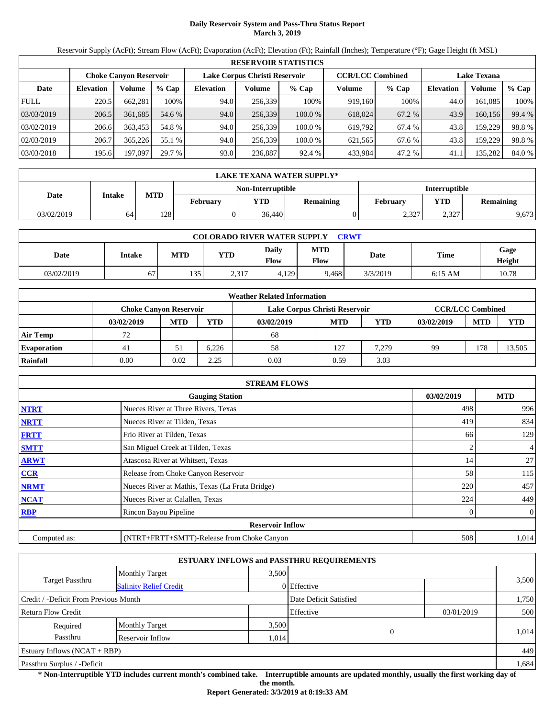## **Daily Reservoir System and Pass-Thru Status Report March 3, 2019**

Reservoir Supply (AcFt); Stream Flow (AcFt); Evaporation (AcFt); Elevation (Ft); Rainfall (Inches); Temperature (°F); Gage Height (ft MSL)

|             |                  |                               |         |                  |                               | <b>RESERVOIR STATISTICS</b> |                         |         |                    |         |        |
|-------------|------------------|-------------------------------|---------|------------------|-------------------------------|-----------------------------|-------------------------|---------|--------------------|---------|--------|
|             |                  | <b>Choke Canyon Reservoir</b> |         |                  | Lake Corpus Christi Reservoir |                             | <b>CCR/LCC Combined</b> |         | <b>Lake Texana</b> |         |        |
| Date        | <b>Elevation</b> | Volume                        | $%$ Cap | <b>Elevation</b> | Volume                        | $%$ Cap                     | Volume                  | $%$ Cap | <b>Elevation</b>   | Volume  | % Cap  |
| <b>FULL</b> | 220.5            | 662,281                       | 100%    | 94.0             | 256,339                       | 100%                        | 919,160                 | 100%    | 44.0               | 161.085 | 100%   |
| 03/03/2019  | 206.5            | 361,685                       | 54.6 %  | 94.0             | 256,339                       | 100.0%                      | 618,024                 | 67.2 %  | 43.9               | 160,156 | 99.4 % |
| 03/02/2019  | 206.6            | 363,453                       | 54.8 %  | 94.0             | 256,339                       | 100.0 %                     | 619,792                 | 67.4 %  | 43.8               | 159,229 | 98.8%  |
| 02/03/2019  | 206.7            | 365.226                       | 55.1 %  | 94.0             | 256.339                       | 100.0 %                     | 621,565                 | 67.6 %  | 43.8               | 159,229 | 98.8%  |
| 03/03/2018  | 195.6            | 197,097                       | 29.7 %  | 93.0             | 236,887                       | 92.4 %                      | 433,984                 | 47.2 %  | 41.1               | 135,282 | 84.0 % |

|            | LAKE TEXANA WATER SUPPLY* |            |                 |                          |           |                      |       |                  |  |  |
|------------|---------------------------|------------|-----------------|--------------------------|-----------|----------------------|-------|------------------|--|--|
|            |                           |            |                 | <b>Non-Interruptible</b> |           | <b>Interruptible</b> |       |                  |  |  |
| Date       | Intake                    | <b>MTD</b> | <b>February</b> | <b>YTD</b>               | Remaining | <b>February</b>      | YTD   | <b>Remaining</b> |  |  |
| 03/02/2019 | 64 <sup>1</sup>           | 128        |                 | 36.440                   |           | 2.327                | 2.327 | 9,673            |  |  |

| <b>COLORADO RIVER WATER SUPPLY</b><br>CRWT |        |            |            |               |                           |          |           |                |  |
|--------------------------------------------|--------|------------|------------|---------------|---------------------------|----------|-----------|----------------|--|
| Date                                       | Intake | <b>MTD</b> | <b>YTD</b> | Daily<br>Flow | <b>MTD</b><br><b>Flow</b> | Date     | Time      | Gage<br>Height |  |
| 03/02/2019                                 | 67     | 135        | 2,317      | 4,129         | 9.468                     | 3/3/2019 | $6:15$ AM | 10.78          |  |

|                    |                               |            |       | <b>Weather Related Information</b> |            |       |            |                         |            |
|--------------------|-------------------------------|------------|-------|------------------------------------|------------|-------|------------|-------------------------|------------|
|                    | <b>Choke Canvon Reservoir</b> |            |       | Lake Corpus Christi Reservoir      |            |       |            | <b>CCR/LCC Combined</b> |            |
|                    | 03/02/2019                    | <b>MTD</b> | YTD   | 03/02/2019                         | <b>MTD</b> | YTD   | 03/02/2019 | <b>MTD</b>              | <b>YTD</b> |
| <b>Air Temp</b>    | 72                            |            |       | 68                                 |            |       |            |                         |            |
| <b>Evaporation</b> | 41                            | 51         | 6.226 | 58                                 | 127        | 7.279 | 99         | 178                     | 13,505     |
| Rainfall           | 0.00                          | 0.02       | 2.25  | 0.03                               | 0.59       | 3.03  |            |                         |            |

|              | <b>STREAM FLOWS</b>                             |            |                |
|--------------|-------------------------------------------------|------------|----------------|
|              | <b>Gauging Station</b>                          | 03/02/2019 | <b>MTD</b>     |
| <b>NTRT</b>  | Nueces River at Three Rivers, Texas             | 498        | 996            |
| <b>NRTT</b>  | Nueces River at Tilden, Texas                   | 419        | 834            |
| <b>FRTT</b>  | Frio River at Tilden, Texas                     | 66         | 129            |
| <b>SMTT</b>  | San Miguel Creek at Tilden, Texas               | 2          | $\overline{4}$ |
| <b>ARWT</b>  | Atascosa River at Whitsett, Texas               | 14         | 27             |
| CCR          | Release from Choke Canyon Reservoir             | 58         | 115            |
| <b>NRMT</b>  | Nueces River at Mathis, Texas (La Fruta Bridge) | 220        | 457            |
| <b>NCAT</b>  | Nueces River at Calallen, Texas                 | 224        | 449            |
| <b>RBP</b>   | Rincon Bayou Pipeline                           | 0          | $\overline{0}$ |
|              | <b>Reservoir Inflow</b>                         |            |                |
| Computed as: | (NTRT+FRTT+SMTT)-Release from Choke Canyon      | 508        | 1.014          |

|                                       |                               |       | <b>ESTUARY INFLOWS and PASSTHRU REQUIREMENTS</b> |            |       |
|---------------------------------------|-------------------------------|-------|--------------------------------------------------|------------|-------|
|                                       | <b>Monthly Target</b>         | 3.500 |                                                  |            |       |
| Target Passthru                       | <b>Salinity Relief Credit</b> |       | 0 Effective                                      |            | 3,500 |
| Credit / -Deficit From Previous Month |                               |       | Date Deficit Satisfied                           |            | 1,750 |
| <b>Return Flow Credit</b>             |                               |       | Effective                                        | 03/01/2019 | 500   |
| Required                              | <b>Monthly Target</b>         | 3,500 |                                                  |            |       |
| Passthru                              | Reservoir Inflow              | 1,014 | 0                                                |            | 1.014 |
| Estuary Inflows $(NCAT + RBP)$        |                               |       |                                                  |            | 449   |
| Passthru Surplus / -Deficit           |                               |       |                                                  |            | 1,684 |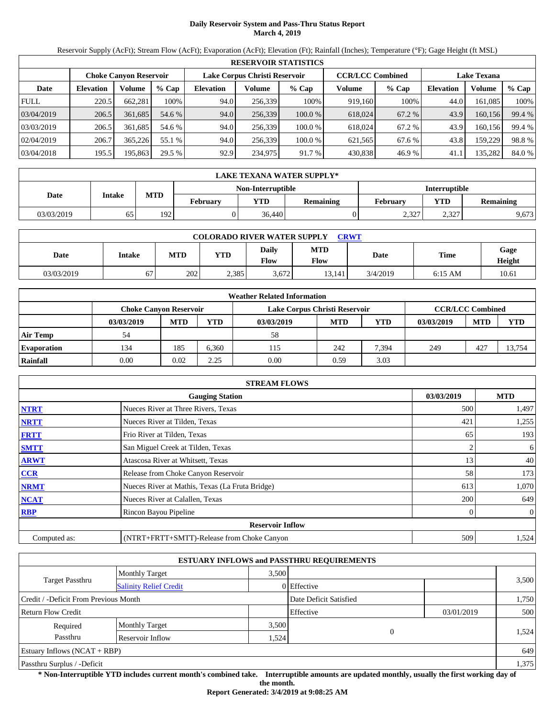## **Daily Reservoir System and Pass-Thru Status Report March 4, 2019**

Reservoir Supply (AcFt); Stream Flow (AcFt); Evaporation (AcFt); Elevation (Ft); Rainfall (Inches); Temperature (°F); Gage Height (ft MSL)

|             |                  |                               |         |                  |                               | <b>RESERVOIR STATISTICS</b> |                         |         |                    |         |        |
|-------------|------------------|-------------------------------|---------|------------------|-------------------------------|-----------------------------|-------------------------|---------|--------------------|---------|--------|
|             |                  | <b>Choke Canvon Reservoir</b> |         |                  | Lake Corpus Christi Reservoir |                             | <b>CCR/LCC Combined</b> |         | <b>Lake Texana</b> |         |        |
| Date        | <b>Elevation</b> | Volume                        | $%$ Cap | <b>Elevation</b> | Volume                        | $%$ Cap                     | Volume                  | $%$ Cap | <b>Elevation</b>   | Volume  | % Cap  |
| <b>FULL</b> | 220.5            | 662,281                       | 100%    | 94.0             | 256,339                       | 100%                        | 919,160                 | 100%    | 44.0               | 161,085 | 100%   |
| 03/04/2019  | 206.5            | 361,685                       | 54.6 %  | 94.0             | 256,339                       | 100.0%                      | 618,024                 | 67.2 %  | 43.9               | 160,156 | 99.4 % |
| 03/03/2019  | 206.5            | 361.685                       | 54.6 %  | 94.0             | 256.339                       | 100.0 %                     | 618,024                 | 67.2 %  | 43.9               | 160,156 | 99.4 % |
| 02/04/2019  | 206.7            | 365,226                       | 55.1 %  | 94.0             | 256,339                       | 100.0 %                     | 621,565                 | 67.6 %  | 43.8               | 159,229 | 98.8%  |
| 03/04/2018  | 195.5            | 195,863                       | 29.5 %  | 92.9             | 234,975                       | 91.7 %                      | 430,838                 | 46.9%   | 41.1               | 135,282 | 84.0 % |

|            | LAKE TEXANA WATER SUPPLY* |            |                 |                   |           |                      |            |                  |  |  |  |
|------------|---------------------------|------------|-----------------|-------------------|-----------|----------------------|------------|------------------|--|--|--|
|            |                           |            |                 | Non-Interruptible |           | <b>Interruptible</b> |            |                  |  |  |  |
| Date       | Intake                    | <b>MTD</b> | <b>February</b> | <b>YTD</b>        | Remaining | February             | <b>YTD</b> | <b>Remaining</b> |  |  |  |
| 03/03/2019 | 65                        | 1921       |                 | 36,440            |           | 2,327                | 2,327      | 9,673            |  |  |  |

| <b>COLORADO RIVER WATER SUPPLY</b><br>CRWT |        |            |            |                             |             |          |             |                |  |  |
|--------------------------------------------|--------|------------|------------|-----------------------------|-------------|----------|-------------|----------------|--|--|
| Date                                       | Intake | <b>MTD</b> | <b>YTD</b> | <b>Daily</b><br><b>Flow</b> | MTD<br>Flow | Date     | <b>Time</b> | Gage<br>Height |  |  |
| 03/03/2019                                 |        | 202        | 2.385      | 3.672                       | 13.141      | 3/4/2019 | $6:15$ AM   | 10.61          |  |  |

|                    |                               |            |       | <b>Weather Related Information</b> |            |       |            |                         |            |
|--------------------|-------------------------------|------------|-------|------------------------------------|------------|-------|------------|-------------------------|------------|
|                    | <b>Choke Canvon Reservoir</b> |            |       | Lake Corpus Christi Reservoir      |            |       |            | <b>CCR/LCC Combined</b> |            |
|                    | 03/03/2019                    | <b>MTD</b> | YTD   | 03/03/2019                         | <b>MTD</b> | YTD   | 03/03/2019 | <b>MTD</b>              | <b>YTD</b> |
| <b>Air Temp</b>    | 54                            |            |       | 58                                 |            |       |            |                         |            |
| <b>Evaporation</b> | 134                           | 185        | 6.360 | 115                                | 242        | 7.394 | 249        | 427                     | 13.754     |
| Rainfall           | 0.00                          | 0.02       | 2.25  | 0.00                               | 0.59       | 3.03  |            |                         |            |

|              | <b>STREAM FLOWS</b>                             |            |                |
|--------------|-------------------------------------------------|------------|----------------|
|              | <b>Gauging Station</b>                          | 03/03/2019 | <b>MTD</b>     |
| <b>NTRT</b>  | Nueces River at Three Rivers, Texas             | 500        | 1,497          |
| <b>NRTT</b>  | Nueces River at Tilden, Texas                   | 421        | 1,255          |
| <b>FRTT</b>  | Frio River at Tilden, Texas                     | 65         | 193            |
| <b>SMTT</b>  | San Miguel Creek at Tilden, Texas               |            | 6              |
| <b>ARWT</b>  | Atascosa River at Whitsett, Texas               | 13         | 40             |
| CCR          | Release from Choke Canyon Reservoir             | 58         | 173            |
| <b>NRMT</b>  | Nueces River at Mathis, Texas (La Fruta Bridge) | 613        | 1,070          |
| <b>NCAT</b>  | Nueces River at Calallen, Texas                 | 200        | 649            |
| <b>RBP</b>   | Rincon Bayou Pipeline                           | 0          | $\overline{0}$ |
|              | <b>Reservoir Inflow</b>                         |            |                |
| Computed as: | (NTRT+FRTT+SMTT)-Release from Choke Canyon      | 509        | 1,524          |

|                                                         |                       |       | <b>ESTUARY INFLOWS and PASSTHRU REQUIREMENTS</b> |            |       |
|---------------------------------------------------------|-----------------------|-------|--------------------------------------------------|------------|-------|
|                                                         | <b>Monthly Target</b> | 3,500 |                                                  |            |       |
| <b>Target Passthru</b><br><b>Salinity Relief Credit</b> |                       |       | 0 Effective                                      |            | 3,500 |
| Credit / -Deficit From Previous Month                   |                       |       | Date Deficit Satisfied                           |            | 1,750 |
| <b>Return Flow Credit</b>                               |                       |       | Effective                                        | 03/01/2019 | 500   |
| Required                                                | <b>Monthly Target</b> | 3,500 |                                                  |            |       |
| Passthru                                                | Reservoir Inflow      | .524  | $\theta$                                         |            | 1,524 |
| Estuary Inflows $(NCAT + RBP)$                          |                       |       |                                                  |            | 649   |
| Passthru Surplus / -Deficit                             |                       |       |                                                  |            | 1,375 |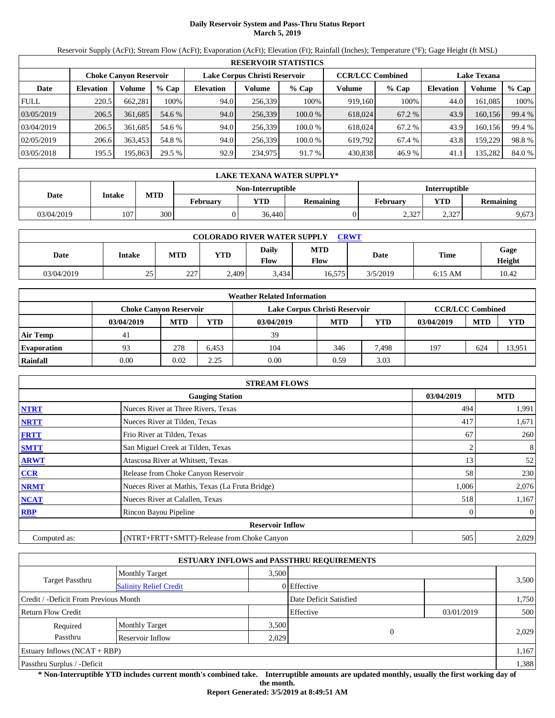## **Daily Reservoir System and Pass-Thru Status Report March 5, 2019**

Reservoir Supply (AcFt); Stream Flow (AcFt); Evaporation (AcFt); Elevation (Ft); Rainfall (Inches); Temperature (°F); Gage Height (ft MSL)

|             |                  |                               |         |                  |                               | <b>RESERVOIR STATISTICS</b> |                         |         |                    |         |        |
|-------------|------------------|-------------------------------|---------|------------------|-------------------------------|-----------------------------|-------------------------|---------|--------------------|---------|--------|
|             |                  | <b>Choke Canvon Reservoir</b> |         |                  | Lake Corpus Christi Reservoir |                             | <b>CCR/LCC Combined</b> |         | <b>Lake Texana</b> |         |        |
| Date        | <b>Elevation</b> | Volume                        | $%$ Cap | <b>Elevation</b> | Volume                        | $%$ Cap                     | Volume                  | $%$ Cap | <b>Elevation</b>   | Volume  | % Cap  |
| <b>FULL</b> | 220.5            | 662,281                       | 100%    | 94.0             | 256,339                       | 100%                        | 919,160                 | 100%    | 44.0               | 161,085 | 100%   |
| 03/05/2019  | 206.5            | 361,685                       | 54.6 %  | 94.0             | 256,339                       | 100.0%                      | 618,024                 | 67.2 %  | 43.9               | 160,156 | 99.4 % |
| 03/04/2019  | 206.5            | 361.685                       | 54.6 %  | 94.0             | 256.339                       | 100.0 %                     | 618,024                 | 67.2 %  | 43.9               | 160,156 | 99.4 % |
| 02/05/2019  | 206.6            | 363,453                       | 54.8 %  | 94.0             | 256,339                       | 100.0 %                     | 619,792                 | 67.4 %  | 43.8               | 159,229 | 98.8%  |
| 03/05/2018  | 195.5            | 195,863                       | 29.5 %  | 92.9             | 234,975                       | 91.7 %                      | 430,838                 | 46.9%   | 41.1               | 135,282 | 84.0 % |

|            | LAKE TEXANA WATER SUPPLY* |                                                  |          |            |           |                 |       |                  |  |  |  |
|------------|---------------------------|--------------------------------------------------|----------|------------|-----------|-----------------|-------|------------------|--|--|--|
|            |                           | <b>Interruptible</b><br><b>Non-Interruptible</b> |          |            |           |                 |       |                  |  |  |  |
| Date       | Intake                    | <b>MTD</b>                                       | February | <b>YTD</b> | Remaining | <b>February</b> | YTD   | <b>Remaining</b> |  |  |  |
| 03/04/2019 | 107                       | 300 <sup>1</sup>                                 |          | 36.440     |           | 2.327           | 2,327 | 9,673            |  |  |  |

| <b>COLORADO RIVER WATER SUPPLY</b><br><b>CRWT</b> |        |            |            |               |                    |          |             |                |  |  |
|---------------------------------------------------|--------|------------|------------|---------------|--------------------|----------|-------------|----------------|--|--|
| Date                                              | Intake | <b>MTD</b> | <b>YTD</b> | Daily<br>Flow | <b>MTD</b><br>Flow | Date     | <b>Time</b> | Gage<br>Height |  |  |
| 03/04/2019                                        | 25     | 227        | 2.409      | 3.434         | 16.575             | 3/5/2019 | $6:15$ AM   | 10.42          |  |  |

|                    |            |                                                                                           |            | <b>Weather Related Information</b> |            |       |            |            |            |
|--------------------|------------|-------------------------------------------------------------------------------------------|------------|------------------------------------|------------|-------|------------|------------|------------|
|                    |            | <b>CCR/LCC Combined</b><br>Lake Corpus Christi Reservoir<br><b>Choke Canyon Reservoir</b> |            |                                    |            |       |            |            |            |
|                    | 03/04/2019 | <b>MTD</b>                                                                                | <b>YTD</b> | 03/04/2019                         | <b>MTD</b> | YTD   | 03/04/2019 | <b>MTD</b> | <b>YTD</b> |
| <b>Air Temp</b>    | 41         |                                                                                           |            | 39                                 |            |       |            |            |            |
| <b>Evaporation</b> | 93         | 278                                                                                       | 6.453      | 104                                | 346        | 7.498 | 197        | 624        | 13.951     |
| Rainfall           | 0.00       | 0.02                                                                                      | 2.25       | 0.00                               | 0.59       | 3.03  |            |            |            |

|              | <b>STREAM FLOWS</b>                             |            |                |
|--------------|-------------------------------------------------|------------|----------------|
|              | <b>Gauging Station</b>                          | 03/04/2019 | <b>MTD</b>     |
| <b>NTRT</b>  | Nueces River at Three Rivers, Texas             | 494        | 1,991          |
| <b>NRTT</b>  | Nueces River at Tilden, Texas                   | 417        | 1,671          |
| <b>FRTT</b>  | Frio River at Tilden, Texas                     | 67         | 260            |
| <b>SMTT</b>  | San Miguel Creek at Tilden, Texas               |            | 8              |
| <b>ARWT</b>  | Atascosa River at Whitsett, Texas               | 13         | 52             |
| <b>CCR</b>   | Release from Choke Canyon Reservoir             | 58         | 230            |
| <b>NRMT</b>  | Nueces River at Mathis, Texas (La Fruta Bridge) | 1,006      | 2,076          |
| <b>NCAT</b>  | Nueces River at Calallen, Texas                 | 518        | 1,167          |
| <b>RBP</b>   | Rincon Bayou Pipeline                           | 0          | $\overline{0}$ |
|              | <b>Reservoir Inflow</b>                         |            |                |
| Computed as: | (NTRT+FRTT+SMTT)-Release from Choke Canyon      | 505        | 2,029          |

|                                                  |                       |       | <b>ESTUARY INFLOWS and PASSTHRU REQUIREMENTS</b> |            |       |  |
|--------------------------------------------------|-----------------------|-------|--------------------------------------------------|------------|-------|--|
|                                                  | <b>Monthly Target</b> | 3.500 |                                                  |            |       |  |
| Target Passthru<br><b>Salinity Relief Credit</b> |                       |       | 0 Effective                                      |            | 3,500 |  |
| Credit / -Deficit From Previous Month            |                       |       | Date Deficit Satisfied                           |            | 1,750 |  |
| <b>Return Flow Credit</b>                        |                       |       | Effective                                        | 03/01/2019 | 500   |  |
| Required                                         | <b>Monthly Target</b> | 3,500 |                                                  |            |       |  |
| Passthru                                         | Reservoir Inflow      | 2,029 | $\Omega$                                         |            | 2,029 |  |
| Estuary Inflows $(NCAT + RBP)$                   |                       |       |                                                  |            | 1,167 |  |
| Passthru Surplus / -Deficit                      |                       |       |                                                  |            | 1,388 |  |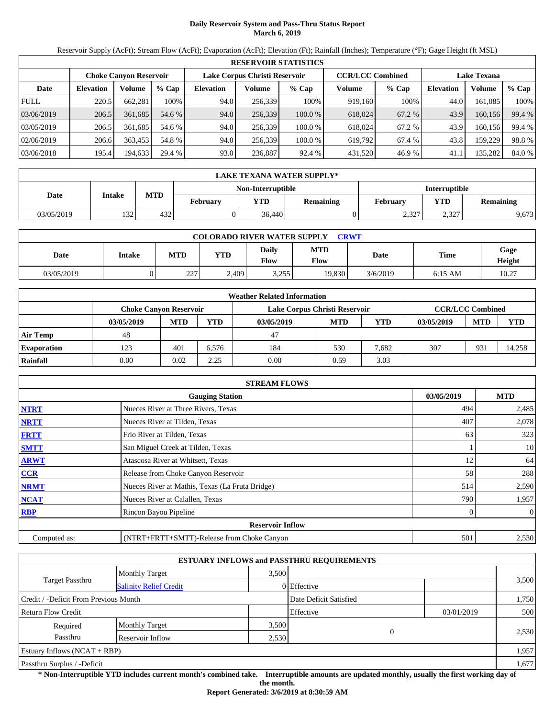## **Daily Reservoir System and Pass-Thru Status Report March 6, 2019**

Reservoir Supply (AcFt); Stream Flow (AcFt); Evaporation (AcFt); Elevation (Ft); Rainfall (Inches); Temperature (°F); Gage Height (ft MSL)

|             | <b>RESERVOIR STATISTICS</b> |                               |         |                  |                               |         |                         |         |                    |         |        |  |
|-------------|-----------------------------|-------------------------------|---------|------------------|-------------------------------|---------|-------------------------|---------|--------------------|---------|--------|--|
|             |                             | <b>Choke Canyon Reservoir</b> |         |                  | Lake Corpus Christi Reservoir |         | <b>CCR/LCC Combined</b> |         | <b>Lake Texana</b> |         |        |  |
| Date        | <b>Elevation</b>            | Volume                        | $%$ Cap | <b>Elevation</b> | Volume                        | $%$ Cap | Volume                  | $%$ Cap | <b>Elevation</b>   | Volume  | % Cap  |  |
| <b>FULL</b> | 220.5                       | 662,281                       | 100%    | 94.0             | 256,339                       | 100%    | 919,160                 | 100%    | 44.0               | 161,085 | 100%   |  |
| 03/06/2019  | 206.5                       | 361,685                       | 54.6 %  | 94.0             | 256,339                       | 100.0%  | 618,024                 | 67.2 %  | 43.9               | 160,156 | 99.4 % |  |
| 03/05/2019  | 206.5                       | 361.685                       | 54.6 %  | 94.0             | 256,339                       | 100.0%  | 618,024                 | 67.2 %  | 43.9               | 160,156 | 99.4 % |  |
| 02/06/2019  | 206.6                       | 363.453                       | 54.8 %  | 94.0             | 256.339                       | 100.0 % | 619.792                 | 67.4 %  | 43.8               | 159,229 | 98.8%  |  |
| 03/06/2018  | 195.4                       | 194,633                       | 29.4 %  | 93.0             | 236,887                       | 92.4 %  | 431,520                 | 46.9%   | 41.1               | 135,282 | 84.0 % |  |

|            | LAKE TEXANA WATER SUPPLY* |                                                          |  |                          |                 |                      |                  |       |  |  |  |
|------------|---------------------------|----------------------------------------------------------|--|--------------------------|-----------------|----------------------|------------------|-------|--|--|--|
|            |                           |                                                          |  | <b>Non-Interruptible</b> |                 | <b>Interruptible</b> |                  |       |  |  |  |
| Date       | Intake                    | <b>MTD</b><br><b>YTD</b><br>Remaining<br><b>February</b> |  |                          | <b>February</b> | YTD                  | <b>Remaining</b> |       |  |  |  |
| 03/05/2019 | 1321                      | 432                                                      |  | 36.440                   |                 | 2.327                | 2.327            | 9,673 |  |  |  |

| <b>COLORADO RIVER WATER SUPPLY</b><br>CRWT |        |            |            |                      |             |          |             |                |  |  |
|--------------------------------------------|--------|------------|------------|----------------------|-------------|----------|-------------|----------------|--|--|
| Date                                       | Intake | <b>MTD</b> | <b>YTD</b> | Daily<br><b>Flow</b> | MTD<br>Flow | Date     | <b>Time</b> | Gage<br>Height |  |  |
| 03/05/2019                                 |        | 227<br>ZZ. | 2.409      | 3.255                | 19,830      | 3/6/2019 | $6:15$ AM   | 10.27          |  |  |

|                    |                               |            |       | <b>Weather Related Information</b> |                               |            |            |                         |            |  |
|--------------------|-------------------------------|------------|-------|------------------------------------|-------------------------------|------------|------------|-------------------------|------------|--|
|                    | <b>Choke Canvon Reservoir</b> |            |       |                                    | Lake Corpus Christi Reservoir |            |            | <b>CCR/LCC Combined</b> |            |  |
|                    | 03/05/2019                    | <b>MTD</b> | YTD   | 03/05/2019                         | <b>MTD</b>                    | <b>YTD</b> | 03/05/2019 | <b>MTD</b>              | <b>YTD</b> |  |
| <b>Air Temp</b>    | 48                            |            |       | 47                                 |                               |            |            |                         |            |  |
| <b>Evaporation</b> | 123                           | 401        | 6.576 | 184                                | 530                           | 7.682      | 307        | 931                     | 14.258     |  |
| Rainfall           | 0.00                          | 0.02       | 2.25  | 0.00                               | 0.59                          | 3.03       |            |                         |            |  |

|              | <b>STREAM FLOWS</b>                             |            |                |
|--------------|-------------------------------------------------|------------|----------------|
|              | <b>Gauging Station</b>                          | 03/05/2019 | <b>MTD</b>     |
| <b>NTRT</b>  | Nueces River at Three Rivers, Texas             | 494        | 2,485          |
| <b>NRTT</b>  | Nueces River at Tilden, Texas                   | 407        | 2,078          |
| <b>FRTT</b>  | Frio River at Tilden, Texas                     | 63         | 323            |
| <b>SMTT</b>  | San Miguel Creek at Tilden, Texas               |            | 10             |
| <b>ARWT</b>  | Atascosa River at Whitsett, Texas               | 12         | 64             |
| <b>CCR</b>   | Release from Choke Canyon Reservoir             | 58         | 288            |
| <b>NRMT</b>  | Nueces River at Mathis, Texas (La Fruta Bridge) | 514        | 2,590          |
| <b>NCAT</b>  | Nueces River at Calallen, Texas                 | 790        | 1,957          |
| <b>RBP</b>   | Rincon Bayou Pipeline                           |            | $\overline{0}$ |
|              | <b>Reservoir Inflow</b>                         |            |                |
| Computed as: | (NTRT+FRTT+SMTT)-Release from Choke Canyon      | 501        | 2,530          |

|                                                         |                       |       | <b>ESTUARY INFLOWS and PASSTHRU REQUIREMENTS</b> |            |       |  |
|---------------------------------------------------------|-----------------------|-------|--------------------------------------------------|------------|-------|--|
|                                                         | <b>Monthly Target</b> | 3,500 |                                                  |            |       |  |
| <b>Target Passthru</b><br><b>Salinity Relief Credit</b> |                       |       | 0 Effective                                      |            | 3,500 |  |
| Credit / -Deficit From Previous Month                   |                       |       | Date Deficit Satisfied                           |            | 1,750 |  |
| <b>Return Flow Credit</b>                               |                       |       | Effective                                        | 03/01/2019 | 500   |  |
| Required                                                | <b>Monthly Target</b> | 3,500 |                                                  |            |       |  |
| Passthru                                                | Reservoir Inflow      | 2.530 | $\Omega$                                         |            | 2,530 |  |
| Estuary Inflows $(NCAT + RBP)$                          |                       |       |                                                  |            | 1,957 |  |
| Passthru Surplus / -Deficit                             |                       |       |                                                  |            | 1,677 |  |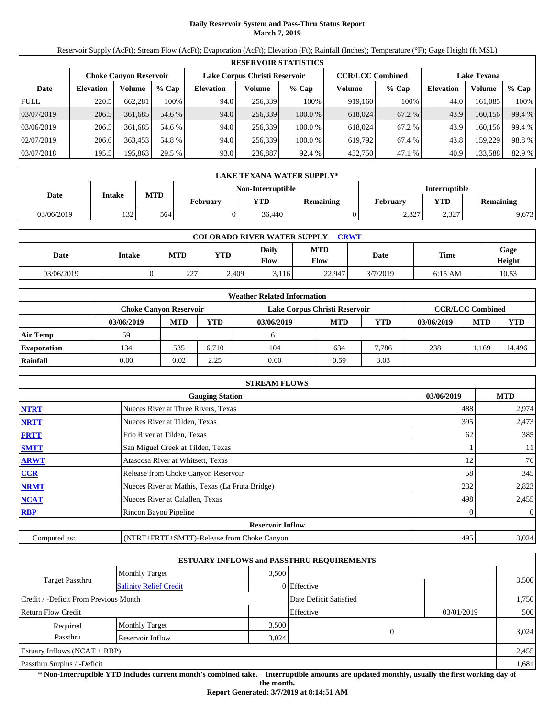## **Daily Reservoir System and Pass-Thru Status Report March 7, 2019**

Reservoir Supply (AcFt); Stream Flow (AcFt); Evaporation (AcFt); Elevation (Ft); Rainfall (Inches); Temperature (°F); Gage Height (ft MSL)

|             | <b>RESERVOIR STATISTICS</b> |                               |         |                  |                               |         |                         |         |                    |         |        |  |
|-------------|-----------------------------|-------------------------------|---------|------------------|-------------------------------|---------|-------------------------|---------|--------------------|---------|--------|--|
|             |                             | <b>Choke Canvon Reservoir</b> |         |                  | Lake Corpus Christi Reservoir |         | <b>CCR/LCC Combined</b> |         | <b>Lake Texana</b> |         |        |  |
| Date        | <b>Elevation</b>            | Volume                        | $%$ Cap | <b>Elevation</b> | Volume                        | $%$ Cap | Volume                  | $%$ Cap | <b>Elevation</b>   | Volume  | % Cap  |  |
| <b>FULL</b> | 220.5                       | 662,281                       | 100%    | 94.0             | 256,339                       | 100%    | 919,160                 | 100%    | 44.0               | 161,085 | 100%   |  |
| 03/07/2019  | 206.5                       | 361,685                       | 54.6 %  | 94.0             | 256,339                       | 100.0%  | 618,024                 | 67.2 %  | 43.9               | 160,156 | 99.4 % |  |
| 03/06/2019  | 206.5                       | 361.685                       | 54.6 %  | 94.0             | 256.339                       | 100.0 % | 618,024                 | 67.2 %  | 43.9               | 160,156 | 99.4 % |  |
| 02/07/2019  | 206.6                       | 363,453                       | 54.8 %  | 94.0             | 256,339                       | 100.0 % | 619,792                 | 67.4 %  | 43.8               | 159,229 | 98.8%  |  |
| 03/07/2018  | 195.5                       | 195,863                       | 29.5 %  | 93.0             | 236,887                       | 92.4 %  | 432,750                 | 47.1 %  | 40.9               | 133,588 | 82.9 % |  |

|            | LAKE TEXANA WATER SUPPLY* |                                           |                 |            |           |          |                  |       |  |  |  |
|------------|---------------------------|-------------------------------------------|-----------------|------------|-----------|----------|------------------|-------|--|--|--|
|            |                           | <b>Interruptible</b><br>Non-Interruptible |                 |            |           |          |                  |       |  |  |  |
| Date       | Intake                    | <b>MTD</b>                                | <b>February</b> | <b>YTD</b> | Remaining | February | <b>Remaining</b> |       |  |  |  |
| 03/06/2019 | 132                       | 564                                       |                 | 36,440     |           | 2,327    | 2,327            | 9,673 |  |  |  |

| <b>COLORADO RIVER WATER SUPPLY</b><br>CRWT |        |            |            |                             |             |          |             |                |  |  |
|--------------------------------------------|--------|------------|------------|-----------------------------|-------------|----------|-------------|----------------|--|--|
| Date                                       | Intake | <b>MTD</b> | <b>YTD</b> | <b>Daily</b><br><b>Flow</b> | MTD<br>Flow | Date     | <b>Time</b> | Gage<br>Height |  |  |
| 03/06/2019                                 |        | 227<br>ZZ. | 2.409      | 3.116                       | 22,947      | 3/7/2019 | $6:15$ AM   | 10.53          |  |  |

|                    |                               |            |       | <b>Weather Related Information</b> |                         |       |            |            |            |
|--------------------|-------------------------------|------------|-------|------------------------------------|-------------------------|-------|------------|------------|------------|
|                    | <b>Choke Canvon Reservoir</b> |            |       | Lake Corpus Christi Reservoir      | <b>CCR/LCC Combined</b> |       |            |            |            |
|                    | 03/06/2019                    | <b>MTD</b> | YTD   | 03/06/2019                         | <b>MTD</b>              | YTD   | 03/06/2019 | <b>MTD</b> | <b>YTD</b> |
| <b>Air Temp</b>    | 59                            |            |       | 61                                 |                         |       |            |            |            |
| <b>Evaporation</b> | 134                           | 535        | 6.710 | 104                                | 634                     | 7.786 | 238        | .,169      | 14.496     |
| Rainfall           | 0.00                          | 0.02       | 2.25  | 0.00                               | 0.59                    | 3.03  |            |            |            |

|              | <b>STREAM FLOWS</b>                             |            |            |
|--------------|-------------------------------------------------|------------|------------|
|              | <b>Gauging Station</b>                          | 03/06/2019 | <b>MTD</b> |
| <b>NTRT</b>  | Nueces River at Three Rivers, Texas             | 488        | 2,974      |
| <b>NRTT</b>  | Nueces River at Tilden, Texas                   | 395        | 2,473      |
| <b>FRTT</b>  | Frio River at Tilden, Texas                     | 62         | 385        |
| <b>SMTT</b>  | San Miguel Creek at Tilden, Texas               |            | 11         |
| <b>ARWT</b>  | Atascosa River at Whitsett, Texas               | 12         | 76         |
| CCR          | Release from Choke Canyon Reservoir             | 58         | 345        |
| <b>NRMT</b>  | Nueces River at Mathis, Texas (La Fruta Bridge) | 232        | 2,823      |
| <b>NCAT</b>  | Nueces River at Calallen, Texas                 | 498        | 2,455      |
| <b>RBP</b>   | Rincon Bayou Pipeline                           | 0          | $\theta$   |
|              | <b>Reservoir Inflow</b>                         |            |            |
| Computed as: | (NTRT+FRTT+SMTT)-Release from Choke Canyon      | 495        | 3,024      |

|                                                  |                       |       | <b>ESTUARY INFLOWS and PASSTHRU REQUIREMENTS</b> |            |       |
|--------------------------------------------------|-----------------------|-------|--------------------------------------------------|------------|-------|
|                                                  | <b>Monthly Target</b> | 3.500 |                                                  |            |       |
| Target Passthru<br><b>Salinity Relief Credit</b> |                       |       | 0 Effective                                      |            | 3,500 |
| Credit / -Deficit From Previous Month            |                       |       | Date Deficit Satisfied                           |            | 1,750 |
| <b>Return Flow Credit</b>                        |                       |       | Effective                                        | 03/01/2019 | 500   |
| Required                                         | <b>Monthly Target</b> | 3,500 |                                                  |            |       |
| Passthru                                         | Reservoir Inflow      | 3,024 | $\Omega$                                         |            | 3,024 |
| Estuary Inflows $(NCAT + RBP)$                   |                       |       |                                                  |            | 2,455 |
| Passthru Surplus / -Deficit                      |                       |       |                                                  |            | 1,681 |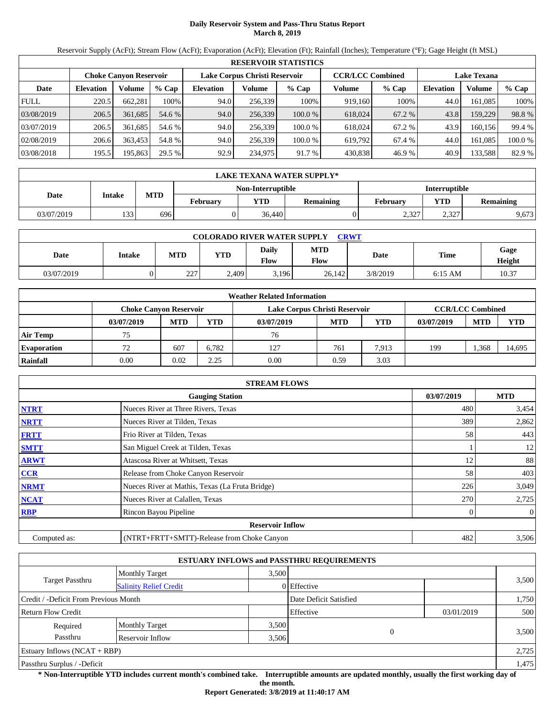## **Daily Reservoir System and Pass-Thru Status Report March 8, 2019**

Reservoir Supply (AcFt); Stream Flow (AcFt); Evaporation (AcFt); Elevation (Ft); Rainfall (Inches); Temperature (°F); Gage Height (ft MSL)

|             | <b>RESERVOIR STATISTICS</b> |                               |         |                  |                               |         |                         |         |                    |               |         |  |
|-------------|-----------------------------|-------------------------------|---------|------------------|-------------------------------|---------|-------------------------|---------|--------------------|---------------|---------|--|
|             |                             | <b>Choke Canyon Reservoir</b> |         |                  | Lake Corpus Christi Reservoir |         | <b>CCR/LCC Combined</b> |         | <b>Lake Texana</b> |               |         |  |
| Date        | <b>Elevation</b>            | Volume                        | $%$ Cap | <b>Elevation</b> | Volume                        | $%$ Cap | Volume                  | $%$ Cap | <b>Elevation</b>   | <b>Volume</b> | % Cap   |  |
| <b>FULL</b> | 220.5                       | 662.281                       | 100%    | 94.0             | 256,339                       | 100%    | 919,160                 | 100%    | 44.0               | 161.085       | 100%    |  |
| 03/08/2019  | 206.5                       | 361,685                       | 54.6 %  | 94.0             | 256,339                       | 100.0 % | 618,024                 | 67.2 %  | 43.8               | 159,229       | 98.8%   |  |
| 03/07/2019  | 206.5                       | 361,685                       | 54.6 %  | 94.0             | 256,339                       | 100.0 % | 618,024                 | 67.2 %  | 43.9               | 160.156       | 99.4 %  |  |
| 02/08/2019  | 206.6                       | 363.453                       | 54.8 %  | 94.0             | 256,339                       | 100.0 % | 619.792                 | 67.4 %  | 44.0               | 161.085       | 100.0 % |  |
| 03/08/2018  | 195.5                       | 195,863                       | 29.5 %  | 92.9             | 234,975                       | 91.7 %  | 430,838                 | 46.9 %  | 40.9               | 133,588       | 82.9 %  |  |

|            | LAKE TEXANA WATER SUPPLY*                        |            |                 |            |                                            |       |       |           |  |  |  |
|------------|--------------------------------------------------|------------|-----------------|------------|--------------------------------------------|-------|-------|-----------|--|--|--|
|            | <b>Interruptible</b><br><b>Non-Interruptible</b> |            |                 |            |                                            |       |       |           |  |  |  |
| Date       | Intake                                           | <b>MTD</b> | <b>February</b> | <b>YTD</b> | <b>YTD</b><br><b>Remaining</b><br>February |       |       | Remaining |  |  |  |
| 03/07/2019 | 133                                              | 6961       |                 | 36,440     |                                            | 2,327 | 2,327 | 9,673     |  |  |  |

| <b>COLORADO RIVER WATER SUPPLY</b><br><b>CRWT</b> |        |            |       |               |             |             |             |                |  |  |
|---------------------------------------------------|--------|------------|-------|---------------|-------------|-------------|-------------|----------------|--|--|
| Date                                              | Intake | <b>MTD</b> | YTD   | Daily<br>Flow | MTD<br>Flow | <b>Date</b> | <b>Time</b> | Gage<br>Height |  |  |
| 03/07/2019                                        |        | 227        | 2.409 | 3.196         | 26.142      | 3/8/2019    | $6:15$ AM   | 10.37          |  |  |

|                    |                               |            |       | <b>Weather Related Information</b> |                         |            |            |            |            |
|--------------------|-------------------------------|------------|-------|------------------------------------|-------------------------|------------|------------|------------|------------|
|                    | <b>Choke Canvon Reservoir</b> |            |       | Lake Corpus Christi Reservoir      | <b>CCR/LCC Combined</b> |            |            |            |            |
|                    | 03/07/2019                    | <b>MTD</b> | YTD   | 03/07/2019                         | <b>MTD</b>              | <b>YTD</b> | 03/07/2019 | <b>MTD</b> | <b>YTD</b> |
| <b>Air Temp</b>    | 75                            |            |       | 76                                 |                         |            |            |            |            |
| <b>Evaporation</b> | 72                            | 607        | 6.782 | 127                                | 761                     | 7.913      | 199        | .368       | 14,695     |
| Rainfall           | 0.00                          | 0.02       | 2.25  | 0.00                               | 0.59                    | 3.03       |            |            |            |

|              | <b>STREAM FLOWS</b>                             |            |            |
|--------------|-------------------------------------------------|------------|------------|
|              | <b>Gauging Station</b>                          | 03/07/2019 | <b>MTD</b> |
| <b>NTRT</b>  | Nueces River at Three Rivers, Texas             | 480        | 3,454      |
| <b>NRTT</b>  | Nueces River at Tilden, Texas                   | 389        | 2,862      |
| <b>FRTT</b>  | Frio River at Tilden, Texas                     | 58         | 443        |
| <b>SMTT</b>  | San Miguel Creek at Tilden, Texas               |            | 12         |
| <b>ARWT</b>  | Atascosa River at Whitsett, Texas               | 12         | 88         |
| <b>CCR</b>   | Release from Choke Canyon Reservoir             | 58         | 403        |
| <b>NRMT</b>  | Nueces River at Mathis, Texas (La Fruta Bridge) | 226        | 3,049      |
| <b>NCAT</b>  | Nueces River at Calallen, Texas                 | 270        | 2,725      |
| <b>RBP</b>   | Rincon Bayou Pipeline                           | 0          | $\theta$   |
|              | <b>Reservoir Inflow</b>                         |            |            |
| Computed as: | (NTRT+FRTT+SMTT)-Release from Choke Canyon      | 482        | 3,506      |

|                                                  |                       |       | <b>ESTUARY INFLOWS and PASSTHRU REQUIREMENTS</b> |            |       |
|--------------------------------------------------|-----------------------|-------|--------------------------------------------------|------------|-------|
|                                                  | <b>Monthly Target</b> | 3.500 |                                                  |            |       |
| Target Passthru<br><b>Salinity Relief Credit</b> |                       |       | 0 Effective                                      |            | 3,500 |
| Credit / -Deficit From Previous Month            |                       |       | Date Deficit Satisfied                           |            | 1,750 |
| <b>Return Flow Credit</b>                        |                       |       | Effective                                        | 03/01/2019 | 500   |
| Required                                         | <b>Monthly Target</b> | 3,500 |                                                  |            |       |
| Passthru                                         | Reservoir Inflow      | 3,506 | $\Omega$                                         |            | 3,500 |
| Estuary Inflows $(NCAT + RBP)$                   |                       |       |                                                  |            | 2,725 |
| Passthru Surplus / -Deficit                      |                       |       |                                                  |            | 1,475 |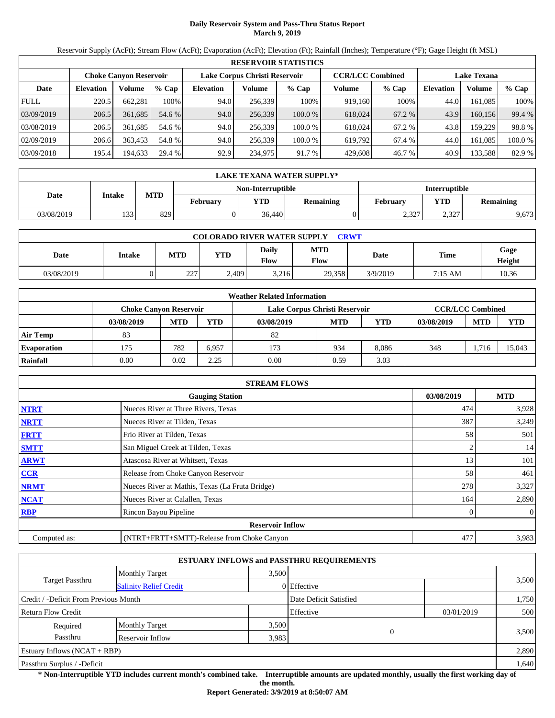## **Daily Reservoir System and Pass-Thru Status Report March 9, 2019**

Reservoir Supply (AcFt); Stream Flow (AcFt); Evaporation (AcFt); Elevation (Ft); Rainfall (Inches); Temperature (°F); Gage Height (ft MSL)

|             |                  |                               |         |                  |                               | <b>RESERVOIR STATISTICS</b> |                         |         |                    |         |         |
|-------------|------------------|-------------------------------|---------|------------------|-------------------------------|-----------------------------|-------------------------|---------|--------------------|---------|---------|
|             |                  | <b>Choke Canvon Reservoir</b> |         |                  | Lake Corpus Christi Reservoir |                             | <b>CCR/LCC Combined</b> |         | <b>Lake Texana</b> |         |         |
| Date        | <b>Elevation</b> | Volume                        | $%$ Cap | <b>Elevation</b> | Volume                        | $%$ Cap                     | Volume                  | $%$ Cap | <b>Elevation</b>   | Volume  | $%$ Cap |
| <b>FULL</b> | 220.5            | 662.281                       | 100%    | 94.0             | 256,339                       | 100%                        | 919,160                 | 100%    | 44.0               | 161.085 | 100%    |
| 03/09/2019  | 206.5            | 361,685                       | 54.6 %  | 94.0             | 256,339                       | 100.0 %                     | 618,024                 | 67.2 %  | 43.9               | 160.156 | 99.4 %  |
| 03/08/2019  | 206.5            | 361.685                       | 54.6 %  | 94.0             | 256.339                       | 100.0%                      | 618,024                 | 67.2 %  | 43.8               | 159.229 | 98.8%   |
| 02/09/2019  | 206.6            | 363.453                       | 54.8 %  | 94.0             | 256,339                       | 100.0%                      | 619.792                 | 67.4 %  | 44.0               | 161.085 | 100.0 % |
| 03/09/2018  | 195.4            | 194,633                       | 29.4 %  | 92.9             | 234,975                       | 91.7 %                      | 429,608                 | 46.7 %  | 40.9               | 133,588 | 82.9 %  |

|            | LAKE TEXANA WATER SUPPLY*                 |            |                 |            |                  |                 |            |           |  |  |
|------------|-------------------------------------------|------------|-----------------|------------|------------------|-----------------|------------|-----------|--|--|
|            | <b>Interruptible</b><br>Non-Interruptible |            |                 |            |                  |                 |            |           |  |  |
| Date       | Intake                                    | <b>MTD</b> | <b>February</b> | <b>YTD</b> | <b>Remaining</b> | <b>February</b> | <b>YTD</b> | Remaining |  |  |
| 03/08/2019 | 1331                                      | 829        |                 | 36.440     |                  | 2,327           | 2.327      | 9,673     |  |  |

| <b>COLORADO RIVER WATER SUPPLY</b><br>CRWT |        |           |            |                      |                    |          |             |                |  |  |
|--------------------------------------------|--------|-----------|------------|----------------------|--------------------|----------|-------------|----------------|--|--|
| Date                                       | Intake | MTD       | <b>YTD</b> | <b>Daily</b><br>Flow | MTD<br><b>Flow</b> | Date     | <b>Time</b> | Gage<br>Height |  |  |
| 03/08/2019                                 |        | 227<br>∠∠ | 2.409      | 3.216                | 29,358             | 3/9/2019 | 7:15 AM     | 10.36          |  |  |

|                    |                               |            |       | <b>Weather Related Information</b> |            |       |            |                         |            |
|--------------------|-------------------------------|------------|-------|------------------------------------|------------|-------|------------|-------------------------|------------|
|                    | <b>Choke Canvon Reservoir</b> |            |       | Lake Corpus Christi Reservoir      |            |       |            | <b>CCR/LCC Combined</b> |            |
|                    | 03/08/2019                    | <b>MTD</b> | YTD   | 03/08/2019                         | <b>MTD</b> | YTD   | 03/08/2019 | <b>MTD</b>              | <b>YTD</b> |
| <b>Air Temp</b>    | 83                            |            |       | 82                                 |            |       |            |                         |            |
| <b>Evaporation</b> | 175                           | 782        | 6.957 | 173                                | 934        | 8.086 | 348        | .716                    | 15.043     |
| Rainfall           | 0.00                          | 0.02       | 2.25  | 0.00                               | 0.59       | 3.03  |            |                         |            |

|              | <b>STREAM FLOWS</b>                             |            |                |
|--------------|-------------------------------------------------|------------|----------------|
|              | <b>Gauging Station</b>                          | 03/08/2019 | <b>MTD</b>     |
| <b>NTRT</b>  | Nueces River at Three Rivers, Texas             | 474        | 3,928          |
| <b>NRTT</b>  | Nueces River at Tilden, Texas                   | 387        | 3,249          |
| <b>FRTT</b>  | Frio River at Tilden, Texas                     | 58         | 501            |
| <b>SMTT</b>  | San Miguel Creek at Tilden, Texas               |            | 14             |
| <b>ARWT</b>  | Atascosa River at Whitsett, Texas               | 13         | 101            |
| <b>CCR</b>   | Release from Choke Canyon Reservoir             | 58         | 461            |
| <b>NRMT</b>  | Nueces River at Mathis, Texas (La Fruta Bridge) | 278        | 3,327          |
| <b>NCAT</b>  | Nueces River at Calallen, Texas                 | 164        | 2,890          |
| <b>RBP</b>   | Rincon Bayou Pipeline                           | 0          | $\overline{0}$ |
|              | <b>Reservoir Inflow</b>                         |            |                |
| Computed as: | (NTRT+FRTT+SMTT)-Release from Choke Canyon      | 477        | 3,983          |

|                                                  |                       |       | <b>ESTUARY INFLOWS and PASSTHRU REQUIREMENTS</b> |            |       |
|--------------------------------------------------|-----------------------|-------|--------------------------------------------------|------------|-------|
|                                                  | <b>Monthly Target</b> | 3.500 |                                                  |            |       |
| Target Passthru<br><b>Salinity Relief Credit</b> |                       |       | 0 Effective                                      |            | 3,500 |
| Credit / -Deficit From Previous Month            |                       |       | Date Deficit Satisfied                           |            | 1,750 |
| <b>Return Flow Credit</b>                        |                       |       | Effective                                        | 03/01/2019 | 500   |
| Required                                         | <b>Monthly Target</b> | 3,500 |                                                  |            |       |
| Passthru                                         | Reservoir Inflow      | 3,983 | $\Omega$                                         |            | 3,500 |
| Estuary Inflows $(NCAT + RBP)$                   |                       |       |                                                  |            | 2,890 |
| Passthru Surplus / -Deficit                      |                       |       |                                                  |            | 1,640 |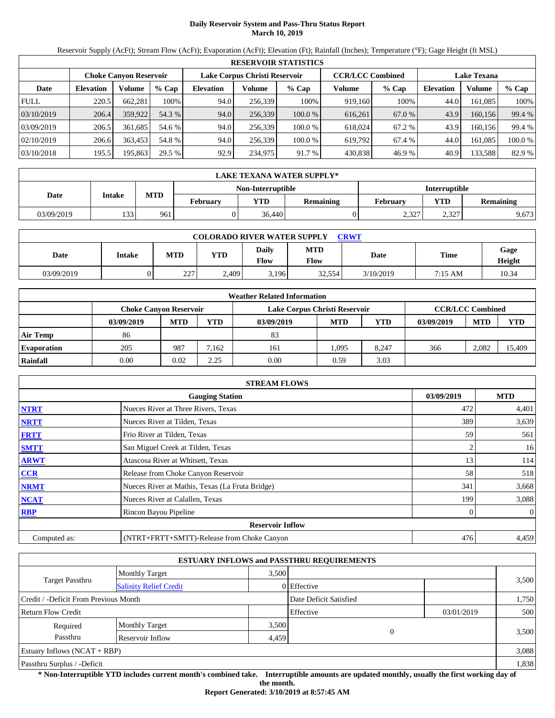# **Daily Reservoir System and Pass-Thru Status Report March 10, 2019**

Reservoir Supply (AcFt); Stream Flow (AcFt); Evaporation (AcFt); Elevation (Ft); Rainfall (Inches); Temperature (°F); Gage Height (ft MSL)

|             |                  |                               |         |                  |                               | <b>RESERVOIR STATISTICS</b> |                         |         |                    |         |         |
|-------------|------------------|-------------------------------|---------|------------------|-------------------------------|-----------------------------|-------------------------|---------|--------------------|---------|---------|
|             |                  | <b>Choke Canvon Reservoir</b> |         |                  | Lake Corpus Christi Reservoir |                             | <b>CCR/LCC Combined</b> |         | <b>Lake Texana</b> |         |         |
| Date        | <b>Elevation</b> | Volume                        | $%$ Cap | <b>Elevation</b> | Volume                        | $%$ Cap                     | Volume                  | $%$ Cap | <b>Elevation</b>   | Volume  | $%$ Cap |
| <b>FULL</b> | 220.5            | 662.281                       | 100%    | 94.0             | 256,339                       | 100%                        | 919,160                 | 100%    | 44.0               | 161.085 | 100%    |
| 03/10/2019  | 206.4            | 359,922                       | 54.3 %  | 94.0             | 256,339                       | 100.0 %                     | 616,261                 | 67.0 %  | 43.9               | 160.156 | 99.4 %  |
| 03/09/2019  | 206.5            | 361.685                       | 54.6 %  | 94.0             | 256.339                       | 100.0%                      | 618,024                 | 67.2 %  | 43.9               | 160.156 | 99.4 %  |
| 02/10/2019  | 206.6            | 363.453                       | 54.8 %  | 94.0             | 256,339                       | 100.0%                      | 619.792                 | 67.4 %  | 44.0               | 161.085 | 100.0 % |
| 03/10/2018  | 195.5            | 195,863                       | 29.5 %  | 92.9             | 234,975                       | 91.7 %                      | 430,838                 | 46.9 %  | 40.9               | 133,588 | 82.9 %  |

|            | <b>LAKE TEXANA WATER SUPPLY*</b> |                                           |          |            |                  |                 |       |           |  |  |
|------------|----------------------------------|-------------------------------------------|----------|------------|------------------|-----------------|-------|-----------|--|--|
|            |                                  | Non-Interruptible<br><b>Interruptible</b> |          |            |                  |                 |       |           |  |  |
| Date       | Intake                           | <b>MTD</b>                                | February | <b>YTD</b> | <b>Remaining</b> | <b>February</b> | YTD   | Remaining |  |  |
| 03/09/2019 | 133                              | 961                                       |          | 36.440     |                  | 2.327           | 2.327 | 9,673     |  |  |

| <b>COLORADO RIVER WATER SUPPLY</b><br>CRWT |        |            |            |                      |                    |           |         |                |  |  |
|--------------------------------------------|--------|------------|------------|----------------------|--------------------|-----------|---------|----------------|--|--|
| Date                                       | Intake | <b>MTD</b> | <b>YTD</b> | Daily<br><b>Flow</b> | <b>MTD</b><br>Flow | Date      | Time    | Gage<br>Height |  |  |
| 03/09/2019                                 |        | 227<br>ZZ. | 2,409      | 3,196                | 32,554             | 3/10/2019 | 7:15 AM | 10.34          |  |  |

|                    |                        |            |       | <b>Weather Related Information</b> |            |       |            |                         |            |
|--------------------|------------------------|------------|-------|------------------------------------|------------|-------|------------|-------------------------|------------|
|                    | Choke Canvon Reservoir |            |       | Lake Corpus Christi Reservoir      |            |       |            | <b>CCR/LCC Combined</b> |            |
|                    | 03/09/2019             | <b>MTD</b> | YTD   | 03/09/2019                         | <b>MTD</b> | YTD   | 03/09/2019 | <b>MTD</b>              | <b>YTD</b> |
| <b>Air Temp</b>    | 86                     |            |       | 83                                 |            |       |            |                         |            |
| <b>Evaporation</b> | 205                    | 987        | 7.162 | 161                                | 1.095      | 8.247 | 366        | 2,082                   | 15.409     |
| Rainfall           | 0.00                   | 0.02       | 2.25  | 0.00                               | 0.59       | 3.03  |            |                         |            |

|              | <b>STREAM FLOWS</b>                             |            |                |
|--------------|-------------------------------------------------|------------|----------------|
|              | <b>Gauging Station</b>                          | 03/09/2019 | <b>MTD</b>     |
| <b>NTRT</b>  | Nueces River at Three Rivers, Texas             | 472        | 4,401          |
| <b>NRTT</b>  | Nueces River at Tilden, Texas                   | 389        | 3,639          |
| <b>FRTT</b>  | Frio River at Tilden, Texas                     | 59         | 561            |
| <b>SMTT</b>  | San Miguel Creek at Tilden, Texas               |            | 16             |
| <b>ARWT</b>  | Atascosa River at Whitsett, Texas               | 13         | 114            |
| <b>CCR</b>   | Release from Choke Canyon Reservoir             | 58         | 518            |
| <b>NRMT</b>  | Nueces River at Mathis, Texas (La Fruta Bridge) | 341        | 3,668          |
| <b>NCAT</b>  | Nueces River at Calallen, Texas                 | 199        | 3,088          |
| <b>RBP</b>   | Rincon Bayou Pipeline                           |            | $\overline{0}$ |
|              | <b>Reservoir Inflow</b>                         |            |                |
| Computed as: | (NTRT+FRTT+SMTT)-Release from Choke Canyon      | 476        | 4,459          |

|                                                         |                       |       | <b>ESTUARY INFLOWS and PASSTHRU REQUIREMENTS</b> |            |       |
|---------------------------------------------------------|-----------------------|-------|--------------------------------------------------|------------|-------|
|                                                         | <b>Monthly Target</b> | 3,500 |                                                  |            |       |
| <b>Target Passthru</b><br><b>Salinity Relief Credit</b> |                       |       | 0 Effective                                      |            | 3,500 |
| Credit / -Deficit From Previous Month                   |                       |       | Date Deficit Satisfied                           |            | 1,750 |
| <b>Return Flow Credit</b>                               |                       |       | Effective                                        | 03/01/2019 | 500   |
| Required                                                | <b>Monthly Target</b> | 3,500 |                                                  |            |       |
| Passthru                                                | Reservoir Inflow      | 4,459 | $\Omega$                                         |            | 3,500 |
| Estuary Inflows $(NCAT + RBP)$                          |                       |       |                                                  |            | 3,088 |
| Passthru Surplus / -Deficit                             |                       |       |                                                  |            | 1,838 |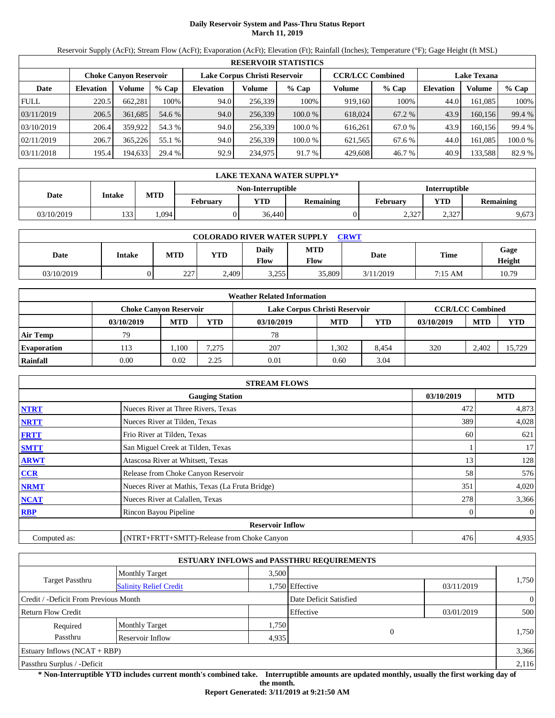# **Daily Reservoir System and Pass-Thru Status Report March 11, 2019**

Reservoir Supply (AcFt); Stream Flow (AcFt); Evaporation (AcFt); Elevation (Ft); Rainfall (Inches); Temperature (°F); Gage Height (ft MSL)

|             | <b>RESERVOIR STATISTICS</b> |         |                                                                                                                 |                  |         |         |         |        |                  |          |         |  |
|-------------|-----------------------------|---------|-----------------------------------------------------------------------------------------------------------------|------------------|---------|---------|---------|--------|------------------|----------|---------|--|
|             |                             |         | Lake Corpus Christi Reservoir<br><b>CCR/LCC Combined</b><br><b>Choke Canvon Reservoir</b><br><b>Lake Texana</b> |                  |         |         |         |        |                  |          |         |  |
| Date        | <b>Elevation</b>            | Volume  | $%$ Cap                                                                                                         | <b>Elevation</b> | Volume  | $%$ Cap | Volume  | % Cap  | <b>Elevation</b> | Volume   | $%$ Cap |  |
| <b>FULL</b> | 220.5                       | 662.281 | 100%                                                                                                            | 94.0             | 256,339 | 100%    | 919,160 | 100%   | 44.0             | 161.085  | 100%    |  |
| 03/11/2019  | 206.5                       | 361,685 | 54.6 %                                                                                                          | 94.0             | 256,339 | 100.0%  | 618,024 | 67.2 % | 43.9             | 160.156  | 99.4 %  |  |
| 03/10/2019  | 206.4                       | 359,922 | 54.3 %                                                                                                          | 94.0             | 256,339 | 100.0%  | 616.261 | 67.0 % | 43.9             | 160.1561 | 99.4 %  |  |
| 02/11/2019  | 206.7                       | 365.226 | 55.1 %                                                                                                          | 94.0             | 256,339 | 100.0%  | 621,565 | 67.6 % | 44.0             | 161.085  | 100.0%  |  |
| 03/11/2018  | 195.4                       | 194,633 | 29.4 %                                                                                                          | 92.9             | 234,975 | 91.7 %  | 429,608 | 46.7 % | 40.9             | 133,588  | 82.9 %  |  |

|            | <b>LAKE TEXANA WATER SUPPLY*</b> |            |          |                   |                  |                      |       |           |  |  |  |
|------------|----------------------------------|------------|----------|-------------------|------------------|----------------------|-------|-----------|--|--|--|
|            |                                  |            |          | Non-Interruptible |                  | <b>Interruptible</b> |       |           |  |  |  |
| Date       | Intake                           | <b>MTD</b> | February | YTD               | <b>Remaining</b> | Februarv             | YTD   | Remaining |  |  |  |
| 03/10/2019 | 133                              | .094       |          | 36.440            |                  | 2.327                | 2,327 | 9,673     |  |  |  |

| <b>COLORADO RIVER WATER SUPPLY</b><br><b>CRWT</b> |        |            |            |                             |                    |           |             |                |  |  |
|---------------------------------------------------|--------|------------|------------|-----------------------------|--------------------|-----------|-------------|----------------|--|--|
| Date                                              | Intake | <b>MTD</b> | <b>YTD</b> | <b>Daily</b><br><b>Flow</b> | <b>MTD</b><br>Flow | Date      | <b>Time</b> | Gage<br>Height |  |  |
| 03/10/2019                                        |        | 227<br>44. | 2,409      | 3.255                       | 35,809             | 3/11/2019 | 7:15 AM     | 10.79          |  |  |

|                    |                               |            |       | <b>Weather Related Information</b> |            |       |            |                         |            |
|--------------------|-------------------------------|------------|-------|------------------------------------|------------|-------|------------|-------------------------|------------|
|                    | <b>Choke Canvon Reservoir</b> |            |       | Lake Corpus Christi Reservoir      |            |       |            | <b>CCR/LCC Combined</b> |            |
|                    | 03/10/2019                    | <b>MTD</b> | YTD   | 03/10/2019                         | <b>MTD</b> | YTD   | 03/10/2019 | <b>MTD</b>              | <b>YTD</b> |
| <b>Air Temp</b>    | 79                            |            |       | 78                                 |            |       |            |                         |            |
| <b>Evaporation</b> | 113                           | . 100      | 7.275 | 207                                | 1.302      | 8.454 | 320        | 2.402                   | 15.729     |
| Rainfall           | 0.00                          | 0.02       | 2.25  | 0.01                               | 0.60       | 3.04  |            |                         |            |

|              | <b>STREAM FLOWS</b>                             |            |                |
|--------------|-------------------------------------------------|------------|----------------|
|              | <b>Gauging Station</b>                          | 03/10/2019 | <b>MTD</b>     |
| <b>NTRT</b>  | Nueces River at Three Rivers, Texas             | 472        | 4,873          |
| <b>NRTT</b>  | Nueces River at Tilden, Texas                   | 389        | 4,028          |
| <b>FRTT</b>  | Frio River at Tilden, Texas                     | 60         | 621            |
| <b>SMTT</b>  | San Miguel Creek at Tilden, Texas               |            | 17             |
| <b>ARWT</b>  | Atascosa River at Whitsett, Texas               | 13         | 128            |
| <b>CCR</b>   | Release from Choke Canyon Reservoir             | 58         | 576            |
| <b>NRMT</b>  | Nueces River at Mathis, Texas (La Fruta Bridge) | 351        | 4,020          |
| <b>NCAT</b>  | Nueces River at Calallen, Texas                 | 278        | 3,366          |
| <b>RBP</b>   | Rincon Bayou Pipeline                           |            | $\overline{0}$ |
|              | <b>Reservoir Inflow</b>                         |            |                |
| Computed as: | (NTRT+FRTT+SMTT)-Release from Choke Canyon      | 476        | 4,935          |

|                                       |                               |       | <b>ESTUARY INFLOWS and PASSTHRU REQUIREMENTS</b> |            |                |
|---------------------------------------|-------------------------------|-------|--------------------------------------------------|------------|----------------|
|                                       | <b>Monthly Target</b>         | 3.500 |                                                  |            |                |
| <b>Target Passthru</b>                | <b>Salinity Relief Credit</b> |       | 1,750 Effective                                  | 03/11/2019 | 1,750          |
| Credit / -Deficit From Previous Month |                               |       | Date Deficit Satisfied                           |            | $\overline{0}$ |
| <b>Return Flow Credit</b>             |                               |       | Effective                                        | 03/01/2019 | 500            |
| Required                              | <b>Monthly Target</b>         | 1,750 |                                                  |            |                |
| Passthru                              | Reservoir Inflow              | 4,935 | $\overline{0}$                                   |            | 1,750          |
| Estuary Inflows $(NCAT + RBP)$        |                               |       |                                                  |            | 3,366          |
| Passthru Surplus / -Deficit           |                               |       |                                                  |            | 2,116          |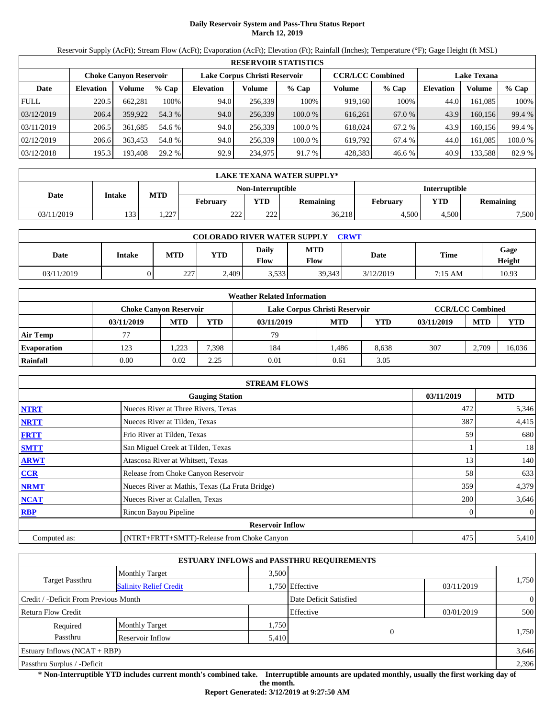# **Daily Reservoir System and Pass-Thru Status Report March 12, 2019**

Reservoir Supply (AcFt); Stream Flow (AcFt); Evaporation (AcFt); Elevation (Ft); Rainfall (Inches); Temperature (°F); Gage Height (ft MSL)

|             |                  |                               |         |                  |                                                                                | <b>RESERVOIR STATISTICS</b> |         |         |                  |               |         |
|-------------|------------------|-------------------------------|---------|------------------|--------------------------------------------------------------------------------|-----------------------------|---------|---------|------------------|---------------|---------|
|             |                  | <b>Choke Canvon Reservoir</b> |         |                  | Lake Corpus Christi Reservoir<br><b>CCR/LCC Combined</b><br><b>Lake Texana</b> |                             |         |         |                  |               |         |
| Date        | <b>Elevation</b> | Volume                        | $%$ Cap | <b>Elevation</b> | Volume                                                                         | $%$ Cap                     | Volume  | $%$ Cap | <b>Elevation</b> | <b>Volume</b> | % Cap   |
| <b>FULL</b> | 220.5            | 662.281                       | 100%    | 94.0             | 256,339                                                                        | 100%                        | 919,160 | 100%    | 44.0             | 161.085       | 100%    |
| 03/12/2019  | 206.4            | 359,922                       | 54.3 %  | 94.0             | 256,339                                                                        | $100.0\%$                   | 616,261 | 67.0 %  | 43.9             | 160.156       | 99.4 %  |
| 03/11/2019  | 206.5            | 361.685                       | 54.6 %  | 94.0             | 256,339                                                                        | 100.0%                      | 618,024 | 67.2 %  | 43.9             | 160.156       | 99.4 %  |
| 02/12/2019  | 206.6            | 363.453                       | 54.8 %  | 94.0             | 256,339                                                                        | 100.0 %                     | 619.792 | 67.4 %  | 44.0             | 161.085       | 100.0 % |
| 03/12/2018  | 195.3            | 193,408                       | 29.2 %  | 92.9             | 234,975                                                                        | 91.7 %                      | 428,383 | 46.6 %  | 40.9             | 133,588       | 82.9 %  |

|            | LAKE TEXANA WATER SUPPLY*    |       |                 |                   |                  |               |            |                  |  |  |  |
|------------|------------------------------|-------|-----------------|-------------------|------------------|---------------|------------|------------------|--|--|--|
|            |                              |       |                 | Non-Interruptible |                  | Interruptible |            |                  |  |  |  |
|            | <b>MTD</b><br>Date<br>Intake |       | <b>February</b> | <b>YTD</b>        | <b>Remaining</b> | February      | <b>YTD</b> | <b>Remaining</b> |  |  |  |
| 03/11/2019 | 133                          | 1.227 | າາາ<br>∠∠∠      | າາາ<br>∠∠∠        | 36,218           | 4.500         | 4.500      | 7,500            |  |  |  |

| <b>COLORADO RIVER WATER SUPPLY</b><br><b>CRWT</b> |        |            |            |                             |                    |           |             |                |  |  |
|---------------------------------------------------|--------|------------|------------|-----------------------------|--------------------|-----------|-------------|----------------|--|--|
| Date                                              | Intake | <b>MTD</b> | <b>YTD</b> | <b>Daily</b><br><b>Flow</b> | <b>MTD</b><br>Flow | Date      | <b>Time</b> | Gage<br>Height |  |  |
| 03/11/2019                                        |        | 227<br>ZZ. | 2,409      | 3.533                       | 39,343             | 3/12/2019 | 7:15 AM     | 10.93          |  |  |

|                    |                               |            |       | <b>Weather Related Information</b> |            |       |            |                         |            |
|--------------------|-------------------------------|------------|-------|------------------------------------|------------|-------|------------|-------------------------|------------|
|                    | <b>Choke Canvon Reservoir</b> |            |       | Lake Corpus Christi Reservoir      |            |       |            | <b>CCR/LCC Combined</b> |            |
|                    | 03/11/2019                    | <b>MTD</b> | YTD   | 03/11/2019                         | <b>MTD</b> | YTD   | 03/11/2019 | <b>MTD</b>              | <b>YTD</b> |
| <b>Air Temp</b>    | 77                            |            |       | 79                                 |            |       |            |                         |            |
| <b>Evaporation</b> | 123                           | ,223       | 7.398 | 184                                | l.486      | 8.638 | 307        | 2.709                   | 16.036     |
| Rainfall           | 0.00                          | 0.02       | 2.25  | 0.01                               | 0.61       | 3.05  |            |                         |            |

|              | <b>STREAM FLOWS</b>                             |            |            |
|--------------|-------------------------------------------------|------------|------------|
|              | <b>Gauging Station</b>                          | 03/11/2019 | <b>MTD</b> |
| <b>NTRT</b>  | Nueces River at Three Rivers, Texas             | 472        | 5,346      |
| <b>NRTT</b>  | Nueces River at Tilden, Texas                   | 387        | 4,415      |
| <b>FRTT</b>  | Frio River at Tilden, Texas                     | 59         | 680        |
| <b>SMTT</b>  | San Miguel Creek at Tilden, Texas               |            | 18         |
| <b>ARWT</b>  | Atascosa River at Whitsett, Texas               | 13         | 140        |
| <b>CCR</b>   | Release from Choke Canyon Reservoir             | 58         | 633        |
| <b>NRMT</b>  | Nueces River at Mathis, Texas (La Fruta Bridge) | 359        | 4,379      |
| <b>NCAT</b>  | Nueces River at Calallen, Texas                 | 280        | 3,646      |
| <b>RBP</b>   | Rincon Bayou Pipeline                           | 0          | $\theta$   |
|              | <b>Reservoir Inflow</b>                         |            |            |
| Computed as: | (NTRT+FRTT+SMTT)-Release from Choke Canyon      | 475        | 5,410      |

|                                       |                               |       | <b>ESTUARY INFLOWS and PASSTHRU REQUIREMENTS</b> |            |                |
|---------------------------------------|-------------------------------|-------|--------------------------------------------------|------------|----------------|
|                                       | <b>Monthly Target</b>         | 3.500 |                                                  |            |                |
| <b>Target Passthru</b>                | <b>Salinity Relief Credit</b> |       | 1,750 Effective                                  | 03/11/2019 | 1,750          |
| Credit / -Deficit From Previous Month |                               |       | Date Deficit Satisfied                           |            | $\overline{0}$ |
| <b>Return Flow Credit</b>             |                               |       | Effective                                        | 03/01/2019 | 500            |
| Required                              | <b>Monthly Target</b>         | 1,750 |                                                  |            |                |
| Passthru                              | Reservoir Inflow              | 5,410 | $\overline{0}$                                   |            | 1,750          |
| Estuary Inflows $(NCAT + RBP)$        |                               |       |                                                  |            | 3,646          |
| Passthru Surplus / -Deficit           |                               |       |                                                  |            | 2,396          |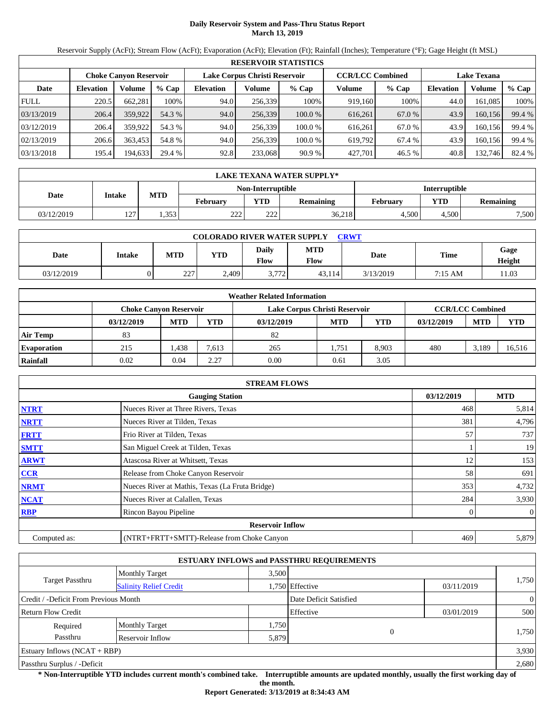# **Daily Reservoir System and Pass-Thru Status Report March 13, 2019**

Reservoir Supply (AcFt); Stream Flow (AcFt); Evaporation (AcFt); Elevation (Ft); Rainfall (Inches); Temperature (°F); Gage Height (ft MSL)

|             | <b>RESERVOIR STATISTICS</b> |                        |         |                  |                               |         |                         |         |                    |         |        |  |
|-------------|-----------------------------|------------------------|---------|------------------|-------------------------------|---------|-------------------------|---------|--------------------|---------|--------|--|
|             |                             | Choke Canvon Reservoir |         |                  | Lake Corpus Christi Reservoir |         | <b>CCR/LCC Combined</b> |         | <b>Lake Texana</b> |         |        |  |
| Date        | <b>Elevation</b>            | Volume                 | $%$ Cap | <b>Elevation</b> | Volume                        | $%$ Cap | Volume                  | $%$ Cap | <b>Elevation</b>   | Volume  | % Cap  |  |
| <b>FULL</b> | 220.5                       | 662,281                | 100%    | 94.0             | 256,339                       | 100%    | 919,160                 | 100%    | 44.0               | 161.085 | 100%   |  |
| 03/13/2019  | 206.4                       | 359,922                | 54.3 %  | 94.0             | 256,339                       | 100.0%  | 616,261                 | 67.0 %  | 43.9               | 160.156 | 99.4 % |  |
| 03/12/2019  | 206.4                       | 359,922                | 54.3 %  | 94.0             | 256.339                       | 100.0%  | 616.261                 | 67.0 %  | 43.9               | 160.156 | 99.4 % |  |
| 02/13/2019  | 206.6                       | 363.453                | 54.8 %  | 94.0             | 256,339                       | 100.0 % | 619,792                 | 67.4 %  | 43.9               | 160,156 | 99.4 % |  |
| 03/13/2018  | 195.4                       | 194,633                | 29.4 %  | 92.8             | 233,068                       | 90.9%   | 427,701                 | 46.5 %  | 40.8               | 132,746 | 82.4 % |  |

|                   | LAKE TEXANA WATER SUPPLY* |       |                                                                 |     |          |               |           |       |  |  |
|-------------------|---------------------------|-------|-----------------------------------------------------------------|-----|----------|---------------|-----------|-------|--|--|
| Non-Interruptible |                           |       |                                                                 |     |          | Interruptible |           |       |  |  |
| Date              | Intake                    |       | <b>MTD</b><br><b>YTD</b><br><b>February</b><br><b>Remaining</b> |     | February | <b>VTD</b>    | Remaining |       |  |  |
| 03/12/2019        | 107<br>14 I               | 1.353 | າາາ<br>22 L                                                     | 222 | 36,218   | 4.500         | 4.500     | 7,500 |  |  |

| <b>COLORADO RIVER WATER SUPPLY</b><br><b>CRWT</b> |        |            |            |                             |                    |           |             |                |  |  |
|---------------------------------------------------|--------|------------|------------|-----------------------------|--------------------|-----------|-------------|----------------|--|--|
| Date                                              | Intake | <b>MTD</b> | <b>YTD</b> | <b>Daily</b><br><b>Flow</b> | <b>MTD</b><br>Flow | Date      | <b>Time</b> | Gage<br>Height |  |  |
| 03/12/2019                                        |        | 227<br>ZZ. | 2,409      | 3,772                       | 43,114             | 3/13/2019 | 7:15 AM     | 11.03          |  |  |

|                    |                               |            |       | <b>Weather Related Information</b> |            |            |                         |            |            |
|--------------------|-------------------------------|------------|-------|------------------------------------|------------|------------|-------------------------|------------|------------|
|                    | <b>Choke Canvon Reservoir</b> |            |       | Lake Corpus Christi Reservoir      |            |            | <b>CCR/LCC Combined</b> |            |            |
|                    | 03/12/2019                    | <b>MTD</b> | YTD   | 03/12/2019                         | <b>MTD</b> | <b>YTD</b> | 03/12/2019              | <b>MTD</b> | <b>YTD</b> |
| <b>Air Temp</b>    | 83                            |            |       | 82                                 |            |            |                         |            |            |
| <b>Evaporation</b> | 215                           | 1,438      | 7,613 | 265                                | 1,751      | 8,903      | 480                     | 3,189      | 16,516     |
| Rainfall           | 0.02                          | 0.04       | 2.27  | 0.00                               | 0.61       | 3.05       |                         |            |            |

|              | <b>STREAM FLOWS</b>                             |            |              |
|--------------|-------------------------------------------------|------------|--------------|
|              | <b>Gauging Station</b>                          | 03/12/2019 | <b>MTD</b>   |
| <b>NTRT</b>  | Nueces River at Three Rivers, Texas             | 468        | 5,814        |
| <b>NRTT</b>  | Nueces River at Tilden, Texas                   | 381        | 4,796        |
| <b>FRTT</b>  | Frio River at Tilden, Texas                     | 57         | 737          |
| <b>SMTT</b>  | San Miguel Creek at Tilden, Texas               |            | 19           |
| <b>ARWT</b>  | Atascosa River at Whitsett, Texas               | 12         | 153          |
| CCR          | Release from Choke Canyon Reservoir             | 58         | 691          |
| <b>NRMT</b>  | Nueces River at Mathis, Texas (La Fruta Bridge) | 353        | 4,732        |
| <b>NCAT</b>  | Nueces River at Calallen, Texas                 | 284        | 3,930        |
| <b>RBP</b>   | Rincon Bayou Pipeline                           |            | $\mathbf{0}$ |
|              | <b>Reservoir Inflow</b>                         |            |              |
| Computed as: | (NTRT+FRTT+SMTT)-Release from Choke Canyon      | 469        | 5,879        |

|                                       |                               |       | <b>ESTUARY INFLOWS and PASSTHRU REQUIREMENTS</b> |            |                |
|---------------------------------------|-------------------------------|-------|--------------------------------------------------|------------|----------------|
|                                       | <b>Monthly Target</b>         | 3,500 |                                                  |            |                |
| <b>Target Passthru</b>                | <b>Salinity Relief Credit</b> |       | 1,750 Effective                                  | 03/11/2019 | 1,750          |
| Credit / -Deficit From Previous Month |                               |       | Date Deficit Satisfied                           |            | $\overline{0}$ |
| <b>Return Flow Credit</b>             |                               |       | Effective                                        | 03/01/2019 | 500            |
| Required                              | <b>Monthly Target</b>         | 1,750 |                                                  |            |                |
| Passthru                              | Reservoir Inflow              | 5,879 | $\overline{0}$                                   |            | 1,750          |
| Estuary Inflows $(NCAT + RBP)$        |                               |       |                                                  |            | 3,930          |
| Passthru Surplus / -Deficit           |                               |       |                                                  |            | 2,680          |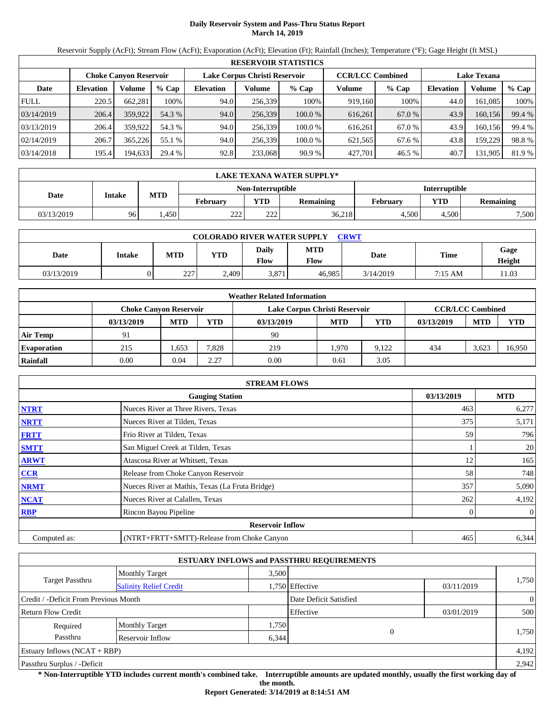## **Daily Reservoir System and Pass-Thru Status Report March 14, 2019**

Reservoir Supply (AcFt); Stream Flow (AcFt); Evaporation (AcFt); Elevation (Ft); Rainfall (Inches); Temperature (°F); Gage Height (ft MSL)

|             |                  |                               |         |                  |                               | <b>RESERVOIR STATISTICS</b> |                         |         |                    |         |        |
|-------------|------------------|-------------------------------|---------|------------------|-------------------------------|-----------------------------|-------------------------|---------|--------------------|---------|--------|
|             |                  | <b>Choke Canvon Reservoir</b> |         |                  | Lake Corpus Christi Reservoir |                             | <b>CCR/LCC Combined</b> |         | <b>Lake Texana</b> |         |        |
| Date        | <b>Elevation</b> | <b>Volume</b>                 | $%$ Cap | <b>Elevation</b> | Volume                        | $%$ Cap                     | Volume                  | $%$ Cap | <b>Elevation</b>   | Volume  | % Cap  |
| <b>FULL</b> | 220.5            | 662.281                       | 100%    | 94.0             | 256,339                       | 100%                        | 919,160                 | 100%    | 44.0               | 161.085 | 100%   |
| 03/14/2019  | 206.4            | 359,922                       | 54.3 %  | 94.0             | 256,339                       | 100.0%                      | 616,261                 | 67.0 %  | 43.9               | 160,156 | 99.4 % |
| 03/13/2019  | 206.4            | 359,922                       | 54.3 %  | 94.0             | 256.339                       | 100.0%                      | 616.261                 | 67.0 %  | 43.9               | 160.156 | 99.4 % |
| 02/14/2019  | 206.7            | 365.226                       | 55.1 %  | 94.0             | 256.339                       | 100.0%                      | 621,565                 | 67.6 %  | 43.8               | 159.229 | 98.8%  |
| 03/14/2018  | 195.4            | 194,633                       | 29.4 %  | 92.8             | 233,068                       | 90.9 %                      | 427,701                 | 46.5 %  | 40.7               | 131,905 | 81.9 % |

|                   | LAKE TEXANA WATER SUPPLY* |                   |                 |            |                  |                 |                         |       |  |  |
|-------------------|---------------------------|-------------------|-----------------|------------|------------------|-----------------|-------------------------|-------|--|--|
| Non-Interruptible |                           |                   |                 |            |                  | Interruptible   |                         |       |  |  |
| Date              | Intake                    | <b>MTD</b>        | <b>February</b> | <b>YTD</b> | <b>Remaining</b> | <b>February</b> | <b>VTD</b><br>Remaining |       |  |  |
| 03/13/2019        | 96                        | .450 <sup>°</sup> | າາາ<br>22 L     | 222        | 36,218           | 4.500           | 4.500                   | 7,500 |  |  |

| <b>COLORADO RIVER WATER SUPPLY</b><br><b>CRWT</b> |        |            |            |                             |                    |           |             |                |  |  |
|---------------------------------------------------|--------|------------|------------|-----------------------------|--------------------|-----------|-------------|----------------|--|--|
| Date                                              | Intake | <b>MTD</b> | <b>YTD</b> | <b>Daily</b><br><b>Flow</b> | <b>MTD</b><br>Flow | Date      | <b>Time</b> | Gage<br>Height |  |  |
| 03/13/2019                                        |        | 227<br>ZZ. | 2,409      | 3,871                       | 46.985             | 3/14/2019 | 7:15 AM     | 11.03          |  |  |

|                    |                               |            |       | <b>Weather Related Information</b> |                         |       |            |            |            |
|--------------------|-------------------------------|------------|-------|------------------------------------|-------------------------|-------|------------|------------|------------|
|                    | <b>Choke Canvon Reservoir</b> |            |       | Lake Corpus Christi Reservoir      | <b>CCR/LCC Combined</b> |       |            |            |            |
|                    | 03/13/2019                    | <b>MTD</b> | YTD   | 03/13/2019                         | <b>MTD</b>              | YTD   | 03/13/2019 | <b>MTD</b> | <b>YTD</b> |
| <b>Air Temp</b>    | 91                            |            |       | 90                                 |                         |       |            |            |            |
| <b>Evaporation</b> | 215                           | 1.653      | 7.828 | 219                                | 1,970                   | 9.122 | 434        | 3,623      | 16,950     |
| Rainfall           | 0.00                          | 0.04       | 2.27  | 0.00                               | 0.61                    | 3.05  |            |            |            |

|              | <b>STREAM FLOWS</b>                             |            |            |
|--------------|-------------------------------------------------|------------|------------|
|              | <b>Gauging Station</b>                          | 03/13/2019 | <b>MTD</b> |
| <b>NTRT</b>  | Nueces River at Three Rivers, Texas             | 463        | 6,277      |
| <b>NRTT</b>  | Nueces River at Tilden, Texas                   | 375        | 5,171      |
| <b>FRTT</b>  | Frio River at Tilden, Texas                     | 59         | 796        |
| <b>SMTT</b>  | San Miguel Creek at Tilden, Texas               |            | 20         |
| <b>ARWT</b>  | Atascosa River at Whitsett, Texas               | 12         | 165        |
| <b>CCR</b>   | Release from Choke Canyon Reservoir             | 58         | 748        |
| <b>NRMT</b>  | Nueces River at Mathis, Texas (La Fruta Bridge) | 357        | 5,090      |
| <b>NCAT</b>  | Nueces River at Calallen, Texas                 | 262        | 4,192      |
| <b>RBP</b>   | Rincon Bayou Pipeline                           | 0          | $\theta$   |
|              | <b>Reservoir Inflow</b>                         |            |            |
| Computed as: | (NTRT+FRTT+SMTT)-Release from Choke Canyon      | 465        | 6,344      |

|                                       |                               |       | <b>ESTUARY INFLOWS and PASSTHRU REQUIREMENTS</b> |            |                |  |
|---------------------------------------|-------------------------------|-------|--------------------------------------------------|------------|----------------|--|
|                                       | <b>Monthly Target</b>         | 3.500 |                                                  |            |                |  |
| <b>Target Passthru</b>                | <b>Salinity Relief Credit</b> |       | 1,750 Effective                                  | 03/11/2019 | 1,750          |  |
| Credit / -Deficit From Previous Month |                               |       | Date Deficit Satisfied                           |            | $\overline{0}$ |  |
| <b>Return Flow Credit</b>             |                               |       | Effective                                        | 03/01/2019 | 500            |  |
| Required                              | <b>Monthly Target</b>         | 1,750 |                                                  |            |                |  |
| Passthru                              | Reservoir Inflow              | 6,344 | $\theta$                                         |            | 1,750          |  |
| Estuary Inflows $(NCAT + RBP)$        |                               |       |                                                  |            | 4,192          |  |
| Passthru Surplus / -Deficit           |                               |       |                                                  |            | 2.942          |  |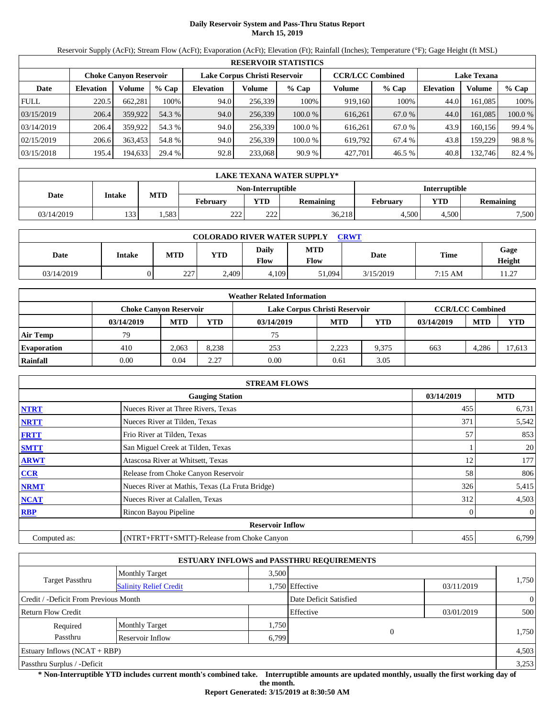# **Daily Reservoir System and Pass-Thru Status Report March 15, 2019**

Reservoir Supply (AcFt); Stream Flow (AcFt); Evaporation (AcFt); Elevation (Ft); Rainfall (Inches); Temperature (°F); Gage Height (ft MSL)

|             |                  |                               |         |                  |                               | <b>RESERVOIR STATISTICS</b> |                         |         |                    |          |         |
|-------------|------------------|-------------------------------|---------|------------------|-------------------------------|-----------------------------|-------------------------|---------|--------------------|----------|---------|
|             |                  | <b>Choke Canvon Reservoir</b> |         |                  | Lake Corpus Christi Reservoir |                             | <b>CCR/LCC Combined</b> |         | <b>Lake Texana</b> |          |         |
| Date        | <b>Elevation</b> | Volume                        | $%$ Cap | <b>Elevation</b> | Volume                        | $%$ Cap                     | Volume                  | $%$ Cap | <b>Elevation</b>   | Volume   | $%$ Cap |
| <b>FULL</b> | 220.5            | 662.281                       | 100%    | 94.0             | 256,339                       | 100%                        | 919,160                 | 100%    | 44.0               | 161.085  | 100%    |
| 03/15/2019  | 206.4            | 359,922                       | 54.3 %  | 94.0             | 256,339                       | 100.0%                      | 616,261                 | 67.0 %  | 44.0               | 161.085  | 100.0 % |
| 03/14/2019  | 206.4            | 359,922                       | 54.3 %  | 94.0             | 256.339                       | 100.0%                      | 616.261                 | 67.0 %  | 43.9               | 160.1561 | 99.4 %  |
| 02/15/2019  | 206.6            | 363.453                       | 54.8 %  | 94.0             | 256,339                       | 100.0%                      | 619.792                 | 67.4 %  | 43.8               | 159.229  | 98.8%   |
| 03/15/2018  | 195.4            | 194,633                       | 29.4 %  | 92.8             | 233,068                       | 90.9%                       | 427,701                 | 46.5 %  | 40.8               | 132,746  | 82.4 %  |

|            | LAKE TEXANA WATER SUPPLY* |            |             |                   |           |                 |            |                  |  |  |
|------------|---------------------------|------------|-------------|-------------------|-----------|-----------------|------------|------------------|--|--|
|            |                           |            |             | Non-Interruptible |           | Interruptible   |            |                  |  |  |
| Date       | Intake                    | <b>MTD</b> | February    | <b>YTD</b>        | Remaining | <b>February</b> | <b>VTD</b> | <b>Remaining</b> |  |  |
| 03/14/2019 | 133                       | $.583+$    | າາາ<br>22 L | 222               | 36,218    | 4.500           | 4.500      | 7.500            |  |  |

| <b>COLORADO RIVER WATER SUPPLY</b><br><b>CRWT</b> |        |            |            |                             |                    |           |             |                |  |  |
|---------------------------------------------------|--------|------------|------------|-----------------------------|--------------------|-----------|-------------|----------------|--|--|
| Date                                              | Intake | <b>MTD</b> | <b>YTD</b> | <b>Daily</b><br><b>Flow</b> | <b>MTD</b><br>Flow | Date      | <b>Time</b> | Gage<br>Height |  |  |
| 03/14/2019                                        |        | 227<br>ZZ. | 2,409      | 4.109                       | 51,094             | 3/15/2019 | 7:15 AM     | 11.27          |  |  |

|                    |                               |            |       | <b>Weather Related Information</b> |            |       |            |                         |            |
|--------------------|-------------------------------|------------|-------|------------------------------------|------------|-------|------------|-------------------------|------------|
|                    | <b>Choke Canvon Reservoir</b> |            |       | Lake Corpus Christi Reservoir      |            |       |            | <b>CCR/LCC Combined</b> |            |
|                    | 03/14/2019                    | <b>MTD</b> | YTD   | 03/14/2019                         | <b>MTD</b> | YTD   | 03/14/2019 | <b>MTD</b>              | <b>YTD</b> |
| <b>Air Temp</b>    | 79                            |            |       | 75                                 |            |       |            |                         |            |
| <b>Evaporation</b> | 410                           | 2,063      | 8.238 | 253                                | 2.223      | 9.375 | 663        | 4.286                   | 17,613     |
| Rainfall           | 0.00                          | 0.04       | 2.27  | 0.00                               | 0.61       | 3.05  |            |                         |            |

|              | <b>STREAM FLOWS</b>                             |            |     |                |
|--------------|-------------------------------------------------|------------|-----|----------------|
|              | <b>Gauging Station</b>                          | 03/14/2019 |     | <b>MTD</b>     |
| <b>NTRT</b>  | Nueces River at Three Rivers, Texas             |            | 455 | 6,731          |
| <b>NRTT</b>  | Nueces River at Tilden, Texas                   |            | 371 | 5,542          |
| <b>FRTT</b>  | Frio River at Tilden, Texas                     |            | 57  | 853            |
| <b>SMTT</b>  | San Miguel Creek at Tilden, Texas               |            |     | 20             |
| <b>ARWT</b>  | Atascosa River at Whitsett, Texas               |            | 12  | 177            |
| <b>CCR</b>   | Release from Choke Canyon Reservoir             |            | 58  | 806            |
| <b>NRMT</b>  | Nueces River at Mathis, Texas (La Fruta Bridge) |            | 326 | 5,415          |
| <b>NCAT</b>  | Nueces River at Calallen, Texas                 |            | 312 | 4,503          |
| <b>RBP</b>   | Rincon Bayou Pipeline                           |            |     | $\overline{0}$ |
|              | <b>Reservoir Inflow</b>                         |            |     |                |
| Computed as: | (NTRT+FRTT+SMTT)-Release from Choke Canyon      |            | 455 | 6,799          |

|                                       |                               |       | <b>ESTUARY INFLOWS and PASSTHRU REQUIREMENTS</b> |            |                |
|---------------------------------------|-------------------------------|-------|--------------------------------------------------|------------|----------------|
|                                       | <b>Monthly Target</b>         | 3.500 |                                                  |            |                |
| <b>Target Passthru</b>                | <b>Salinity Relief Credit</b> |       | 1,750 Effective                                  | 03/11/2019 | 1,750          |
| Credit / -Deficit From Previous Month |                               |       | Date Deficit Satisfied                           |            | $\overline{0}$ |
| <b>Return Flow Credit</b>             |                               |       | Effective                                        | 03/01/2019 | 500            |
| Required                              | <b>Monthly Target</b>         | 1,750 |                                                  |            |                |
| Passthru                              | Reservoir Inflow              | 6,799 | $\mathbf{0}$                                     |            | 1,750          |
| Estuary Inflows $(NCAT + RBP)$        |                               |       |                                                  |            | 4,503          |
| Passthru Surplus / -Deficit           |                               |       |                                                  |            | 3,253          |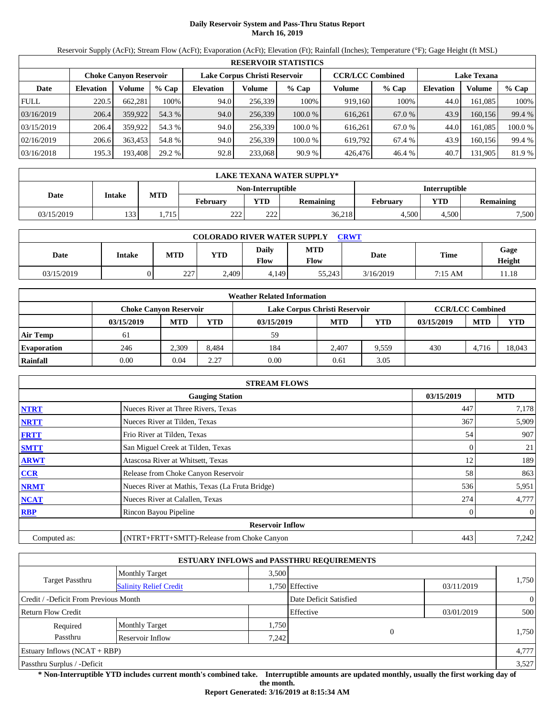# **Daily Reservoir System and Pass-Thru Status Report March 16, 2019**

Reservoir Supply (AcFt); Stream Flow (AcFt); Evaporation (AcFt); Elevation (Ft); Rainfall (Inches); Temperature (°F); Gage Height (ft MSL)

|             |                  |                               |         |                  |                               | <b>RESERVOIR STATISTICS</b> |                         |         |                    |         |         |
|-------------|------------------|-------------------------------|---------|------------------|-------------------------------|-----------------------------|-------------------------|---------|--------------------|---------|---------|
|             |                  | <b>Choke Canvon Reservoir</b> |         |                  | Lake Corpus Christi Reservoir |                             | <b>CCR/LCC Combined</b> |         | <b>Lake Texana</b> |         |         |
| Date        | <b>Elevation</b> | Volume                        | $%$ Cap | <b>Elevation</b> | Volume                        | $%$ Cap                     | Volume                  | $%$ Cap | <b>Elevation</b>   | Volume  | $%$ Cap |
| <b>FULL</b> | 220.5            | 662.281                       | 100%    | 94.0             | 256,339                       | 100%                        | 919,160                 | 100%    | 44.0               | 161.085 | 100%    |
| 03/16/2019  | 206.4            | 359,922                       | 54.3 %  | 94.0             | 256,339                       | 100.0 %                     | 616,261                 | 67.0 %  | 43.9               | 160.156 | 99.4 %  |
| 03/15/2019  | 206.4            | 359,922                       | 54.3 %  | 94.0             | 256.339                       | 100.0%                      | 616.261                 | 67.0 %  | 44.0               | 161.085 | 100.0 % |
| 02/16/2019  | 206.6            | 363.453                       | 54.8 %  | 94.0             | 256,339                       | 100.0%                      | 619.792                 | 67.4 %  | 43.9               | 160.156 | 99.4 %  |
| 03/16/2018  | 195.3            | 193,408                       | 29.2 %  | 92.8             | 233,068                       | 90.9%                       | 426,476                 | 46.4 %  | 40.7               | 131,905 | 81.9%   |

|             | LAKE TEXANA WATER SUPPLY* |            |             |                   |                  |                 |            |           |  |  |
|-------------|---------------------------|------------|-------------|-------------------|------------------|-----------------|------------|-----------|--|--|
|             |                           |            |             | Non-Interruptible |                  | Interruptible   |            |           |  |  |
| <b>Date</b> | Intake                    | <b>MTD</b> | February    | <b>YTD</b>        | <b>Remaining</b> | <b>February</b> | <b>VTD</b> | Remaining |  |  |
| 03/15/2019  | 133                       | .715       | າາາ<br>22 L | 222               | 36,218           | 4.500           | 4.500      | 7,500     |  |  |

| <b>COLORADO RIVER WATER SUPPLY</b><br><b>CRWT</b> |        |            |            |                             |                    |           |             |                |  |  |
|---------------------------------------------------|--------|------------|------------|-----------------------------|--------------------|-----------|-------------|----------------|--|--|
| Date                                              | Intake | <b>MTD</b> | <b>YTD</b> | <b>Daily</b><br><b>Flow</b> | <b>MTD</b><br>Flow | Date      | <b>Time</b> | Gage<br>Height |  |  |
| 03/15/2019                                        |        | 227<br>ZZ. | 2,409      | 4.149                       | 55.243             | 3/16/2019 | 7:15 AM     | 11.18          |  |  |

|                    |                               |            |       | <b>Weather Related Information</b> |            |       |            |                         |            |
|--------------------|-------------------------------|------------|-------|------------------------------------|------------|-------|------------|-------------------------|------------|
|                    | <b>Choke Canvon Reservoir</b> |            |       | Lake Corpus Christi Reservoir      |            |       |            | <b>CCR/LCC Combined</b> |            |
|                    | 03/15/2019                    | <b>MTD</b> | YTD   | 03/15/2019                         | <b>MTD</b> | YTD   | 03/15/2019 | <b>MTD</b>              | <b>YTD</b> |
| <b>Air Temp</b>    | 61                            |            |       | 59                                 |            |       |            |                         |            |
| <b>Evaporation</b> | 246                           | 2.309      | 8.484 | 184                                | 2.407      | 9.559 | 430        | 4.716                   | 18.043     |
| Rainfall           | 0.00                          | 0.04       | 2.27  | 0.00                               | 0.61       | 3.05  |            |                         |            |

|              | <b>STREAM FLOWS</b>                             |                |            |
|--------------|-------------------------------------------------|----------------|------------|
|              | <b>Gauging Station</b>                          | 03/15/2019     | <b>MTD</b> |
| <b>NTRT</b>  | Nueces River at Three Rivers, Texas             | 447            | 7,178      |
| <b>NRTT</b>  | Nueces River at Tilden, Texas                   | 367            | 5,909      |
| <b>FRTT</b>  | Frio River at Tilden, Texas                     | 54             | 907        |
| <b>SMTT</b>  | San Miguel Creek at Tilden, Texas               | $\overline{0}$ | 21         |
| <b>ARWT</b>  | Atascosa River at Whitsett, Texas               | 12             | 189        |
| <b>CCR</b>   | Release from Choke Canyon Reservoir             | 58             | 863        |
| <b>NRMT</b>  | Nueces River at Mathis, Texas (La Fruta Bridge) | 536            | 5,951      |
| <b>NCAT</b>  | Nueces River at Calallen, Texas                 | 274            | 4,777      |
| <b>RBP</b>   | Rincon Bayou Pipeline                           | 0              | $\theta$   |
|              | <b>Reservoir Inflow</b>                         |                |            |
| Computed as: | (NTRT+FRTT+SMTT)-Release from Choke Canyon      | 443            | 7,242      |

|                                       |                               |       | <b>ESTUARY INFLOWS and PASSTHRU REQUIREMENTS</b> |            |                |
|---------------------------------------|-------------------------------|-------|--------------------------------------------------|------------|----------------|
|                                       | <b>Monthly Target</b>         | 3.500 |                                                  |            |                |
| <b>Target Passthru</b>                | <b>Salinity Relief Credit</b> |       | 1,750 Effective                                  | 03/11/2019 | 1,750          |
| Credit / -Deficit From Previous Month |                               |       | Date Deficit Satisfied                           |            | $\overline{0}$ |
| <b>Return Flow Credit</b>             |                               |       | Effective                                        | 03/01/2019 | 500            |
| Required                              | <b>Monthly Target</b>         | 1,750 |                                                  |            |                |
| Passthru                              | Reservoir Inflow              | 7,242 | $\theta$                                         |            | 1,750          |
| Estuary Inflows $(NCAT + RBP)$        |                               |       |                                                  |            | 4,777          |
| Passthru Surplus / -Deficit           |                               |       |                                                  |            | 3,527          |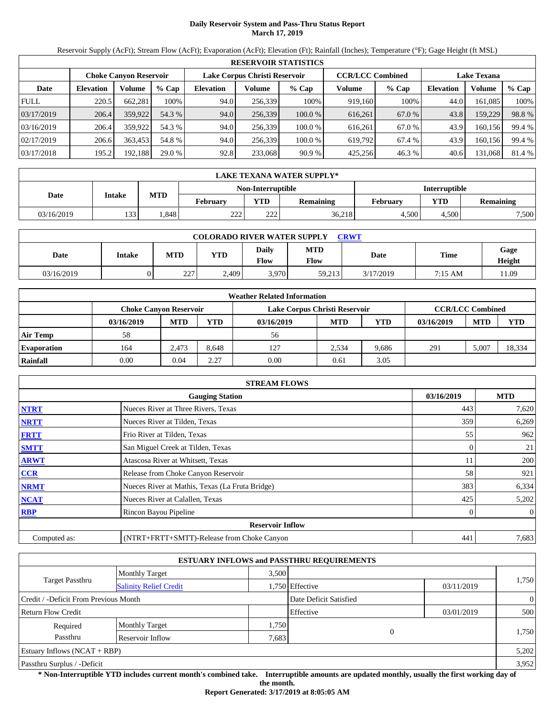## **Daily Reservoir System and Pass-Thru Status Report March 17, 2019**

Reservoir Supply (AcFt); Stream Flow (AcFt); Evaporation (AcFt); Elevation (Ft); Rainfall (Inches); Temperature (°F); Gage Height (ft MSL)

|             | <b>RESERVOIR STATISTICS</b>                                                                                     |         |         |                  |         |         |         |         |                  |         |        |  |
|-------------|-----------------------------------------------------------------------------------------------------------------|---------|---------|------------------|---------|---------|---------|---------|------------------|---------|--------|--|
|             | <b>CCR/LCC Combined</b><br>Lake Corpus Christi Reservoir<br><b>Lake Texana</b><br><b>Choke Canyon Reservoir</b> |         |         |                  |         |         |         |         |                  |         |        |  |
| Date        | <b>Elevation</b>                                                                                                | Volume  | $%$ Cap | <b>Elevation</b> | Volume  | $%$ Cap | Volume  | $%$ Cap | <b>Elevation</b> | Volume  | % Cap  |  |
| <b>FULL</b> | 220.5                                                                                                           | 662.281 | 100%    | 94.0             | 256,339 | 100%    | 919,160 | 100%    | 44.0             | 161.085 | 100%   |  |
| 03/17/2019  | 206.4                                                                                                           | 359,922 | 54.3 %  | 94.0             | 256,339 | 100.0%  | 616,261 | 67.0 %  | 43.8             | 159,229 | 98.8%  |  |
| 03/16/2019  | 206.4                                                                                                           | 359,922 | 54.3 %  | 94.0             | 256.339 | 100.0 % | 616.261 | 67.0 %  | 43.9             | 160.156 | 99.4 % |  |
| 02/17/2019  | 206.6                                                                                                           | 363,453 | 54.8 %  | 94.0             | 256.339 | 100.0 % | 619.792 | 67.4 %  | 43.9             | 160.156 | 99.4 % |  |
| 03/17/2018  | 195.2                                                                                                           | 192,188 | 29.0 %  | 92.8             | 233,068 | 90.9%   | 425.256 | 46.3 %  | 40.6             | 131,068 | 81.4 % |  |

|            | LAKE TEXANA WATER SUPPLY* |            |                 |                   |                  |               |            |                  |  |  |  |
|------------|---------------------------|------------|-----------------|-------------------|------------------|---------------|------------|------------------|--|--|--|
|            |                           |            |                 | Non-Interruptible |                  | Interruptible |            |                  |  |  |  |
| Date       | Intake                    | <b>MTD</b> | <b>February</b> | <b>YTD</b>        | <b>Remaining</b> | February      | <b>YTD</b> | <b>Remaining</b> |  |  |  |
| 03/16/2019 | 133                       | .848       | າາາ<br>∠∠∠      | າາາ<br>∠∠∠        | 36,218           | 4.500         | 4.500      | 7,500            |  |  |  |

| <b>COLORADO RIVER WATER SUPPLY</b><br><b>CRWT</b> |        |            |            |                             |                    |           |             |                |  |  |
|---------------------------------------------------|--------|------------|------------|-----------------------------|--------------------|-----------|-------------|----------------|--|--|
| Date                                              | Intake | <b>MTD</b> | <b>YTD</b> | <b>Daily</b><br><b>Flow</b> | <b>MTD</b><br>Flow | Date      | <b>Time</b> | Gage<br>Height |  |  |
| 03/16/2019                                        |        | 227<br>ZZ. | 2,409      | 3.970                       | 59,213             | 3/17/2019 | 7:15 AM     | 11.09          |  |  |

|                    |                               |            |       | <b>Weather Related Information</b> |            |       |            |                         |            |
|--------------------|-------------------------------|------------|-------|------------------------------------|------------|-------|------------|-------------------------|------------|
|                    | <b>Choke Canvon Reservoir</b> |            |       | Lake Corpus Christi Reservoir      |            |       |            | <b>CCR/LCC Combined</b> |            |
|                    | 03/16/2019                    | <b>MTD</b> | YTD   | 03/16/2019                         | <b>MTD</b> | YTD   | 03/16/2019 | <b>MTD</b>              | <b>YTD</b> |
| <b>Air Temp</b>    | 58                            |            |       | 56                                 |            |       |            |                         |            |
| <b>Evaporation</b> | 164                           | 2.473      | 8.648 | 127                                | 2.534      | 9.686 | 291        | 5,007                   | 18,334     |
| Rainfall           | 0.00                          | 0.04       | 2.27  | 0.00                               | 0.61       | 3.05  |            |                         |            |

|              | <b>STREAM FLOWS</b>                             |            |                |
|--------------|-------------------------------------------------|------------|----------------|
|              | <b>Gauging Station</b>                          | 03/16/2019 | <b>MTD</b>     |
| <b>NTRT</b>  | Nueces River at Three Rivers, Texas             | 443        | 7,620          |
| <b>NRTT</b>  | Nueces River at Tilden, Texas                   | 359        | 6,269          |
| <b>FRTT</b>  | Frio River at Tilden, Texas                     | 55         | 962            |
| <b>SMTT</b>  | San Miguel Creek at Tilden, Texas               | $\Omega$   | 21             |
| <b>ARWT</b>  | Atascosa River at Whitsett, Texas               | 11         | 200            |
| <b>CCR</b>   | Release from Choke Canyon Reservoir             | 58         | 921            |
| <b>NRMT</b>  | Nueces River at Mathis, Texas (La Fruta Bridge) | 383        | 6,334          |
| <b>NCAT</b>  | Nueces River at Calallen, Texas                 | 425        | 5,202          |
| <b>RBP</b>   | Rincon Bayou Pipeline                           | 0          | $\overline{0}$ |
|              | <b>Reservoir Inflow</b>                         |            |                |
| Computed as: | (NTRT+FRTT+SMTT)-Release from Choke Canyon      | 441        | 7,683          |

|                                                         |                       |       | <b>ESTUARY INFLOWS and PASSTHRU REQUIREMENTS</b> |            |                |
|---------------------------------------------------------|-----------------------|-------|--------------------------------------------------|------------|----------------|
|                                                         | <b>Monthly Target</b> | 3,500 |                                                  |            |                |
| <b>Target Passthru</b><br><b>Salinity Relief Credit</b> |                       |       | 1,750 Effective                                  | 03/11/2019 | 1,750          |
| Credit / -Deficit From Previous Month                   |                       |       | Date Deficit Satisfied                           |            | $\overline{0}$ |
| <b>Return Flow Credit</b>                               |                       |       | Effective                                        | 03/01/2019 | 500            |
| Required                                                | <b>Monthly Target</b> | 1,750 |                                                  |            |                |
| Passthru                                                | Reservoir Inflow      | 7,683 | $\overline{0}$                                   |            | 1,750          |
| Estuary Inflows $(NCAT + RBP)$                          |                       |       |                                                  |            | 5,202          |
| Passthru Surplus / -Deficit                             |                       |       |                                                  |            | 3,952          |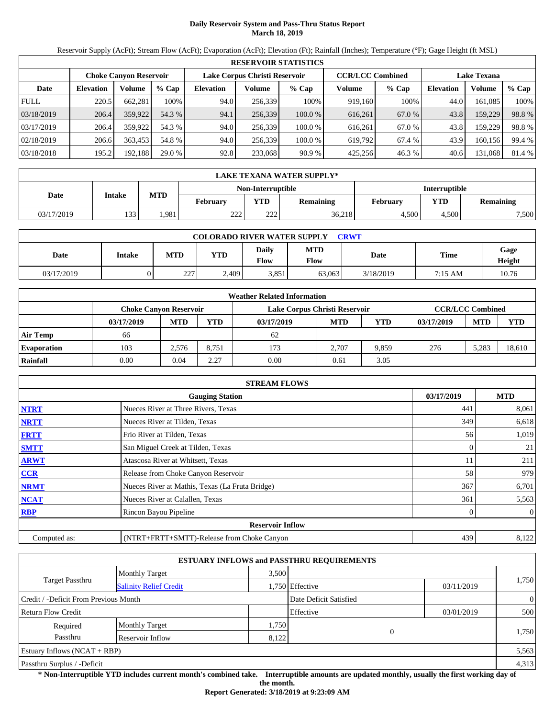## **Daily Reservoir System and Pass-Thru Status Report March 18, 2019**

Reservoir Supply (AcFt); Stream Flow (AcFt); Evaporation (AcFt); Elevation (Ft); Rainfall (Inches); Temperature (°F); Gage Height (ft MSL)

|             |                  |                               |         |                                                                                |         | <b>RESERVOIR STATISTICS</b> |         |        |                  |         |        |
|-------------|------------------|-------------------------------|---------|--------------------------------------------------------------------------------|---------|-----------------------------|---------|--------|------------------|---------|--------|
|             |                  | <b>Choke Canvon Reservoir</b> |         | <b>CCR/LCC Combined</b><br>Lake Corpus Christi Reservoir<br><b>Lake Texana</b> |         |                             |         |        |                  |         |        |
| Date        | <b>Elevation</b> | Volume                        | $%$ Cap | <b>Elevation</b>                                                               | Volume  | $%$ Cap                     | Volume  | % Cap  | <b>Elevation</b> | Volume  | % Cap  |
| <b>FULL</b> | 220.5            | 662,281                       | 100%    | 94.0                                                                           | 256.339 | 100%                        | 919,160 | 100%   | 44.0             | 161,085 | 100%   |
| 03/18/2019  | 206.4            | 359,922                       | 54.3 %  | 94.1                                                                           | 256,339 | 100.0%                      | 616,261 | 67.0 % | 43.8             | 159,229 | 98.8%  |
| 03/17/2019  | 206.4            | 359,922                       | 54.3 %  | 94.0                                                                           | 256.339 | 100.0%                      | 616.261 | 67.0 % | 43.8             | 159,229 | 98.8%  |
| 02/18/2019  | 206.6            | 363.453                       | 54.8 %  | 94.0                                                                           | 256.339 | 100.0 %                     | 619.792 | 67.4 % | 43.9             | 160.156 | 99.4 % |
| 03/18/2018  | 195.2            | 192,188                       | 29.0 %  | 92.8                                                                           | 233,068 | 90.9%                       | 425,256 | 46.3%  | 40.6             | 131,068 | 81.4 % |

|            | LAKE TEXANA WATER SUPPLY* |            |                 |                          |                  |                      |                                |       |  |  |  |
|------------|---------------------------|------------|-----------------|--------------------------|------------------|----------------------|--------------------------------|-------|--|--|--|
|            |                           |            |                 | <b>Non-Interruptible</b> |                  | <b>Interruptible</b> |                                |       |  |  |  |
| Date       | Intake                    | <b>MTD</b> | <b>February</b> | <b>YTD</b>               | <b>Remaining</b> | Februarv             | <b>YTD</b><br><b>Remaining</b> |       |  |  |  |
| 03/17/2019 | 133                       | .981       | າາາ<br>∠∠∠      | 222                      | 36,218           | 4.500                | 4.500                          | 7,500 |  |  |  |

| <b>COLORADO RIVER WATER SUPPLY</b><br>CRWT |        |            |            |                      |                    |           |                   |                |  |  |  |
|--------------------------------------------|--------|------------|------------|----------------------|--------------------|-----------|-------------------|----------------|--|--|--|
| Date                                       | Intake | <b>MTD</b> | <b>YTD</b> | Daily<br><b>Flow</b> | <b>MTD</b><br>Flow | Date      | Time              | Gage<br>Height |  |  |  |
| 03/17/2019                                 |        | 227        | 2,409      | 3.851                | 63,063             | 3/18/2019 | $7:15 \text{ AM}$ | 10.76          |  |  |  |

|                    |                               |            |       | <b>Weather Related Information</b> |            |            |            |                         |        |
|--------------------|-------------------------------|------------|-------|------------------------------------|------------|------------|------------|-------------------------|--------|
|                    | <b>Choke Canvon Reservoir</b> |            |       | Lake Corpus Christi Reservoir      |            |            |            | <b>CCR/LCC Combined</b> |        |
|                    | 03/17/2019                    | <b>MTD</b> | YTD   | 03/17/2019                         | <b>MTD</b> | <b>YTD</b> | 03/17/2019 | <b>MTD</b>              | YTD    |
| <b>Air Temp</b>    | 66                            |            |       | 62                                 |            |            |            |                         |        |
| <b>Evaporation</b> | 103                           | 2.576      | 8,751 | 173                                | 2.707      | 9.859      | 276        | 5.283                   | 18,610 |
| Rainfall           | 0.00                          | 0.04       | 2.27  | 0.00                               | 0.61       | 3.05       |            |                         |        |

|              | <b>STREAM FLOWS</b>                             |            |            |
|--------------|-------------------------------------------------|------------|------------|
|              | <b>Gauging Station</b>                          | 03/17/2019 | <b>MTD</b> |
| <b>NTRT</b>  | Nueces River at Three Rivers, Texas             | 441        | 8,061      |
| <b>NRTT</b>  | Nueces River at Tilden, Texas                   | 349        | 6,618      |
| <b>FRTT</b>  | Frio River at Tilden, Texas                     | 56         | 1,019      |
| <b>SMTT</b>  | San Miguel Creek at Tilden, Texas               | 0          | 21         |
| <b>ARWT</b>  | Atascosa River at Whitsett, Texas               | 11         | 211        |
| <b>CCR</b>   | Release from Choke Canyon Reservoir             | 58         | 979        |
| <b>NRMT</b>  | Nueces River at Mathis, Texas (La Fruta Bridge) | 367        | 6,701      |
| <b>NCAT</b>  | Nueces River at Calallen, Texas                 | 361        | 5,563      |
| <b>RBP</b>   | Rincon Bayou Pipeline                           | 0          | $\theta$   |
|              | <b>Reservoir Inflow</b>                         |            |            |
| Computed as: | (NTRT+FRTT+SMTT)-Release from Choke Canyon      | 439        | 8,122      |

|                                                         |                       |       | <b>ESTUARY INFLOWS and PASSTHRU REQUIREMENTS</b> |            |                |  |
|---------------------------------------------------------|-----------------------|-------|--------------------------------------------------|------------|----------------|--|
|                                                         | <b>Monthly Target</b> | 3.500 |                                                  |            |                |  |
| <b>Target Passthru</b><br><b>Salinity Relief Credit</b> |                       |       | 1,750 Effective                                  | 03/11/2019 | 1,750          |  |
| Credit / -Deficit From Previous Month                   |                       |       | Date Deficit Satisfied                           |            | $\overline{0}$ |  |
| <b>Return Flow Credit</b>                               |                       |       | Effective                                        | 03/01/2019 | 500            |  |
| Required                                                | <b>Monthly Target</b> | 1,750 |                                                  |            |                |  |
| Passthru                                                | Reservoir Inflow      | 8,122 | $\overline{0}$                                   |            | 1,750          |  |
| Estuary Inflows $(NCAT + RBP)$                          |                       |       |                                                  |            | 5,563          |  |
| Passthru Surplus / -Deficit                             |                       |       |                                                  |            | 4,313          |  |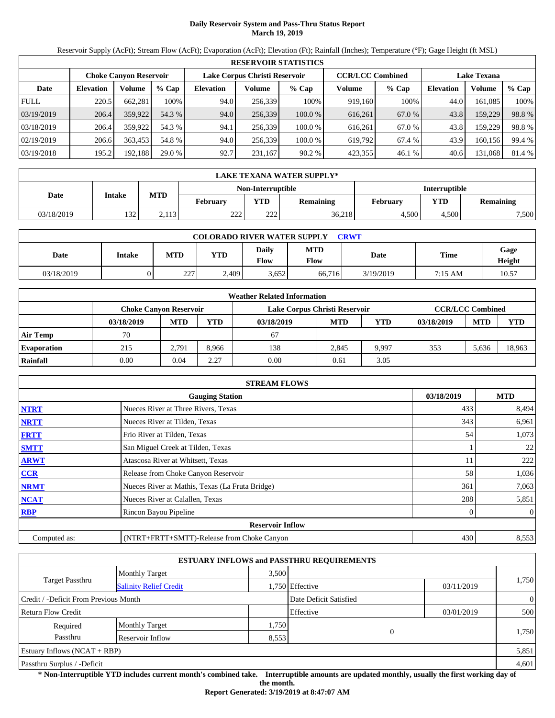## **Daily Reservoir System and Pass-Thru Status Report March 19, 2019**

Reservoir Supply (AcFt); Stream Flow (AcFt); Evaporation (AcFt); Elevation (Ft); Rainfall (Inches); Temperature (°F); Gage Height (ft MSL)

|             | <b>RESERVOIR STATISTICS</b> |                               |         |                  |                               |         |                         |         |                  |                    |        |
|-------------|-----------------------------|-------------------------------|---------|------------------|-------------------------------|---------|-------------------------|---------|------------------|--------------------|--------|
|             |                             | <b>Choke Canvon Reservoir</b> |         |                  | Lake Corpus Christi Reservoir |         | <b>CCR/LCC Combined</b> |         |                  | <b>Lake Texana</b> |        |
| Date        | <b>Elevation</b>            | Volume                        | $%$ Cap | <b>Elevation</b> | Volume                        | $%$ Cap | Volume                  | $%$ Cap | <b>Elevation</b> | Volume             | % Cap  |
| <b>FULL</b> | 220.5                       | 662,281                       | 100%    | 94.0             | 256,339                       | 100%    | 919,160                 | 100%    | 44.0             | 161,085            | 100%   |
| 03/19/2019  | 206.4                       | 359,922                       | 54.3 %  | 94.0             | 256,339                       | 100.0%  | 616,261                 | 67.0 %  | 43.8             | 159,229            | 98.8%  |
| 03/18/2019  | 206.4                       | 359,922                       | 54.3 %  | 94.1             | 256.339                       | 100.0 % | 616.261                 | 67.0 %  | 43.8             | 159,229            | 98.8%  |
| 02/19/2019  | 206.6                       | 363,453                       | 54.8 %  | 94.0             | 256,339                       | 100.0 % | 619,792                 | 67.4 %  | 43.9             | 160,156            | 99.4 % |
| 03/19/2018  | 195.2                       | 192,188                       | 29.0 %  | 92.7             | 231,167                       | 90.2%   | 423,355                 | 46.1 %  | 40.6             | 131,068            | 81.4 % |

|                   | LAKE TEXANA WATER SUPPLY* |            |                 |            |                  |          |               |           |  |  |
|-------------------|---------------------------|------------|-----------------|------------|------------------|----------|---------------|-----------|--|--|
| Non-Interruptible |                           |            |                 |            |                  |          | Interruptible |           |  |  |
| Date              | Intake                    | <b>MTD</b> | <b>February</b> | <b>YTD</b> | <b>Remaining</b> | February | <b>VTD</b>    | Remaining |  |  |
| 03/18/2019        | 132                       | 2,113      | າາາ<br>22 L     | 222        | 36,218           | 4.500    | 4.500         | 7,500     |  |  |

| <b>COLORADO RIVER WATER SUPPLY</b><br><b>CRWT</b> |        |            |            |                             |                    |           |             |                |  |  |
|---------------------------------------------------|--------|------------|------------|-----------------------------|--------------------|-----------|-------------|----------------|--|--|
| Date                                              | Intake | <b>MTD</b> | <b>YTD</b> | <b>Daily</b><br><b>Flow</b> | <b>MTD</b><br>Flow | Date      | <b>Time</b> | Gage<br>Height |  |  |
| 03/18/2019                                        |        | 227<br>ZZ. | 2,409      | 3.652                       | 66,716             | 3/19/2019 | 7:15 AM     | 10.57          |  |  |

|                    |                               |            |       | <b>Weather Related Information</b> |            |       |            |                         |            |
|--------------------|-------------------------------|------------|-------|------------------------------------|------------|-------|------------|-------------------------|------------|
|                    | <b>Choke Canvon Reservoir</b> |            |       | Lake Corpus Christi Reservoir      |            |       |            | <b>CCR/LCC Combined</b> |            |
|                    | 03/18/2019                    | <b>MTD</b> | YTD   | 03/18/2019                         | <b>MTD</b> | YTD   | 03/18/2019 | <b>MTD</b>              | <b>YTD</b> |
| <b>Air Temp</b>    | 70                            |            |       | 67                                 |            |       |            |                         |            |
| <b>Evaporation</b> | 215                           | 2.791      | 8.966 | 138                                | 2.845      | 9.997 | 353        | 5.636                   | 18,963     |
| Rainfall           | 0.00                          | 0.04       | 2.27  | 0.00                               | 0.61       | 3.05  |            |                         |            |

|              | <b>STREAM FLOWS</b>                             |            |            |
|--------------|-------------------------------------------------|------------|------------|
|              | <b>Gauging Station</b>                          | 03/18/2019 | <b>MTD</b> |
| <b>NTRT</b>  | Nueces River at Three Rivers, Texas             | 433        | 8,494      |
| <b>NRTT</b>  | Nueces River at Tilden, Texas                   | 343        | 6,961      |
| <b>FRTT</b>  | Frio River at Tilden, Texas                     | 54         | 1,073      |
| <b>SMTT</b>  | San Miguel Creek at Tilden, Texas               |            | 22         |
| <b>ARWT</b>  | Atascosa River at Whitsett, Texas               | 11         | 222        |
| <b>CCR</b>   | Release from Choke Canyon Reservoir             | 58         | 1,036      |
| <b>NRMT</b>  | Nueces River at Mathis, Texas (La Fruta Bridge) | 361        | 7,063      |
| <b>NCAT</b>  | Nueces River at Calallen, Texas                 | 288        | 5,851      |
| <b>RBP</b>   | Rincon Bayou Pipeline                           | 0          | $\theta$   |
|              | <b>Reservoir Inflow</b>                         |            |            |
| Computed as: | (NTRT+FRTT+SMTT)-Release from Choke Canyon      | 430        | 8,553      |

|                                       |                               |       | <b>ESTUARY INFLOWS and PASSTHRU REQUIREMENTS</b> |            |                |
|---------------------------------------|-------------------------------|-------|--------------------------------------------------|------------|----------------|
|                                       | <b>Monthly Target</b>         | 3.500 |                                                  |            |                |
| <b>Target Passthru</b>                | <b>Salinity Relief Credit</b> |       | 1,750 Effective                                  | 03/11/2019 | 1,750          |
| Credit / -Deficit From Previous Month |                               |       | Date Deficit Satisfied                           |            | $\overline{0}$ |
| <b>Return Flow Credit</b>             |                               |       | Effective                                        | 03/01/2019 | 500            |
| Required                              | <b>Monthly Target</b>         | 1,750 |                                                  |            |                |
| Passthru                              | Reservoir Inflow              | 8,553 | $\Omega$                                         |            | 1,750          |
| Estuary Inflows $(NCAT + RBP)$        |                               |       |                                                  |            | 5,851          |
| Passthru Surplus / -Deficit           |                               |       |                                                  |            | 4,601          |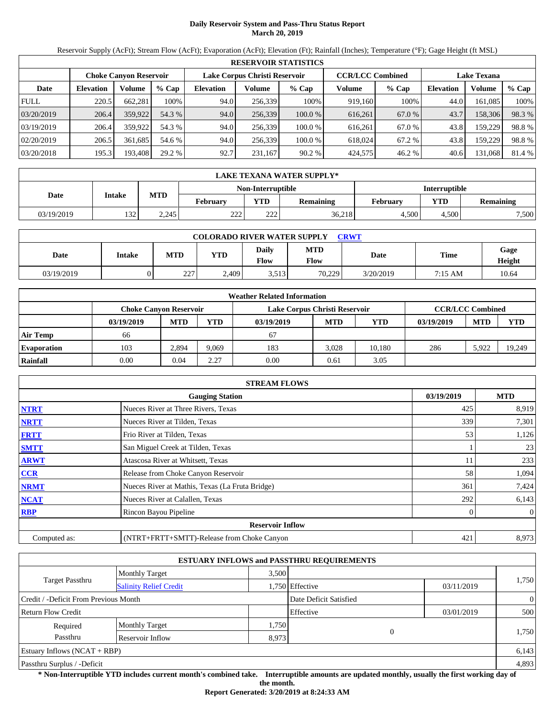## **Daily Reservoir System and Pass-Thru Status Report March 20, 2019**

Reservoir Supply (AcFt); Stream Flow (AcFt); Evaporation (AcFt); Elevation (Ft); Rainfall (Inches); Temperature (°F); Gage Height (ft MSL)

|             | <b>RESERVOIR STATISTICS</b>                                                                                     |         |         |                  |         |         |         |         |                  |         |        |  |
|-------------|-----------------------------------------------------------------------------------------------------------------|---------|---------|------------------|---------|---------|---------|---------|------------------|---------|--------|--|
|             | <b>CCR/LCC Combined</b><br>Lake Corpus Christi Reservoir<br><b>Lake Texana</b><br><b>Choke Canyon Reservoir</b> |         |         |                  |         |         |         |         |                  |         |        |  |
| Date        | <b>Elevation</b>                                                                                                | Volume  | $%$ Cap | <b>Elevation</b> | Volume  | $%$ Cap | Volume  | $%$ Cap | <b>Elevation</b> | Volume  | % Cap  |  |
| <b>FULL</b> | 220.5                                                                                                           | 662.281 | 100%    | 94.0             | 256,339 | 100%    | 919,160 | 100%    | 44.0             | 161.085 | 100%   |  |
| 03/20/2019  | 206.4                                                                                                           | 359,922 | 54.3 %  | 94.0             | 256,339 | 100.0%  | 616,261 | 67.0 %  | 43.7             | 158,306 | 98.3%  |  |
| 03/19/2019  | 206.4                                                                                                           | 359,922 | 54.3 %  | 94.0             | 256.339 | 100.0 % | 616.261 | 67.0 %  | 43.8             | 159.229 | 98.8%  |  |
| 02/20/2019  | 206.5                                                                                                           | 361.685 | 54.6 %  | 94.0             | 256.339 | 100.0 % | 618,024 | 67.2 %  | 43.8             | 159.229 | 98.8%  |  |
| 03/20/2018  | 195.3                                                                                                           | 193,408 | 29.2 %  | 92.7             | 231,167 | 90.2%   | 424,575 | 46.2 %  | 40.6             | 131,068 | 81.4 % |  |

|                                    | LAKE TEXANA WATER SUPPLY* |            |                 |            |                  |                 |            |           |  |  |
|------------------------------------|---------------------------|------------|-----------------|------------|------------------|-----------------|------------|-----------|--|--|
| Interruptible<br>Non-Interruptible |                           |            |                 |            |                  |                 |            |           |  |  |
| Date                               | Intake                    | <b>MTD</b> | <b>February</b> | <b>YTD</b> | <b>Remaining</b> | <b>February</b> | <b>VTD</b> | Remaining |  |  |
| 03/19/2019                         | 132                       | 2,245      | າາາ<br>22 L     | 222        | 36,218           | 4.500           | 4.500      | 7,500     |  |  |

| <b>COLORADO RIVER WATER SUPPLY</b><br><b>CRWT</b> |        |            |            |                             |                    |           |             |                |  |  |
|---------------------------------------------------|--------|------------|------------|-----------------------------|--------------------|-----------|-------------|----------------|--|--|
| Date                                              | Intake | <b>MTD</b> | <b>YTD</b> | <b>Daily</b><br><b>Flow</b> | <b>MTD</b><br>Flow | Date      | <b>Time</b> | Gage<br>Height |  |  |
| 03/19/2019                                        |        | 227<br>ZZ. | 2,409      | 3.513                       | 70.229             | 3/20/2019 | 7:15 AM     | 10.64          |  |  |

|                    |                               |            |       | <b>Weather Related Information</b> |            |        |            |                         |            |
|--------------------|-------------------------------|------------|-------|------------------------------------|------------|--------|------------|-------------------------|------------|
|                    | <b>Choke Canvon Reservoir</b> |            |       | Lake Corpus Christi Reservoir      |            |        |            | <b>CCR/LCC Combined</b> |            |
|                    | 03/19/2019                    | <b>MTD</b> | YTD   | 03/19/2019                         | <b>MTD</b> | YTD    | 03/19/2019 | <b>MTD</b>              | <b>YTD</b> |
| <b>Air Temp</b>    | 66                            |            |       | 67                                 |            |        |            |                         |            |
| <b>Evaporation</b> | 103                           | 2,894      | 9.069 | 183                                | 3.028      | 10.180 | 286        | 5.922                   | 19.249     |
| Rainfall           | 0.00                          | 0.04       | 2.27  | 0.00                               | 0.61       | 3.05   |            |                         |            |

|              | <b>STREAM FLOWS</b>                             |            |     |                |
|--------------|-------------------------------------------------|------------|-----|----------------|
|              | <b>Gauging Station</b>                          | 03/19/2019 |     | <b>MTD</b>     |
| <b>NTRT</b>  | Nueces River at Three Rivers, Texas             |            | 425 | 8,919          |
| <b>NRTT</b>  | Nueces River at Tilden, Texas                   |            | 339 | 7,301          |
| <b>FRTT</b>  | Frio River at Tilden, Texas                     |            | 53  | 1,126          |
| <b>SMTT</b>  | San Miguel Creek at Tilden, Texas               |            |     | 23             |
| <b>ARWT</b>  | Atascosa River at Whitsett, Texas               |            |     | 233            |
| <b>CCR</b>   | Release from Choke Canyon Reservoir             |            | 58  | 1,094          |
| <b>NRMT</b>  | Nueces River at Mathis, Texas (La Fruta Bridge) |            | 361 | 7,424          |
| <b>NCAT</b>  | Nueces River at Calallen, Texas                 |            | 292 | 6,143          |
| <b>RBP</b>   | Rincon Bayou Pipeline                           |            |     | $\overline{0}$ |
|              | <b>Reservoir Inflow</b>                         |            |     |                |
| Computed as: | (NTRT+FRTT+SMTT)-Release from Choke Canyon      |            | 421 | 8,973          |

|                                       |                               |       | <b>ESTUARY INFLOWS and PASSTHRU REQUIREMENTS</b> |            |                |
|---------------------------------------|-------------------------------|-------|--------------------------------------------------|------------|----------------|
|                                       | <b>Monthly Target</b>         | 3.500 |                                                  |            |                |
| <b>Target Passthru</b>                | <b>Salinity Relief Credit</b> |       | 1,750 Effective                                  | 03/11/2019 | 1,750          |
| Credit / -Deficit From Previous Month |                               |       | Date Deficit Satisfied                           |            | $\overline{0}$ |
| <b>Return Flow Credit</b>             |                               |       | Effective                                        | 03/01/2019 | 500            |
| Required                              | <b>Monthly Target</b>         | 1,750 |                                                  |            |                |
| Passthru                              | Reservoir Inflow              | 8,973 | 0                                                |            | 1,750          |
| Estuary Inflows $(NCAT + RBP)$        |                               |       |                                                  |            | 6,143          |
| Passthru Surplus / -Deficit           |                               |       |                                                  |            | 4,893          |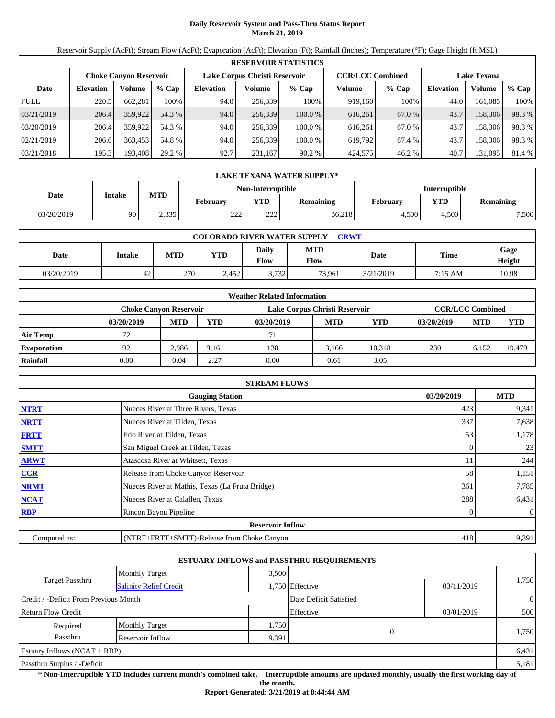## **Daily Reservoir System and Pass-Thru Status Report March 21, 2019**

Reservoir Supply (AcFt); Stream Flow (AcFt); Evaporation (AcFt); Elevation (Ft); Rainfall (Inches); Temperature (°F); Gage Height (ft MSL)

|             | <b>RESERVOIR STATISTICS</b> |                               |         |                  |                               |         |                         |         |                    |         |        |  |
|-------------|-----------------------------|-------------------------------|---------|------------------|-------------------------------|---------|-------------------------|---------|--------------------|---------|--------|--|
|             |                             | <b>Choke Canyon Reservoir</b> |         |                  | Lake Corpus Christi Reservoir |         | <b>CCR/LCC Combined</b> |         | <b>Lake Texana</b> |         |        |  |
| Date        | <b>Elevation</b>            | Volume                        | $%$ Cap | <b>Elevation</b> | Volume                        | $%$ Cap | Volume                  | $%$ Cap | <b>Elevation</b>   | Volume  | % Cap  |  |
| <b>FULL</b> | 220.5                       | 662.281                       | 100%    | 94.0             | 256,339                       | 100%    | 919,160                 | 100%    | 44.0               | 161.085 | 100%   |  |
| 03/21/2019  | 206.4                       | 359,922                       | 54.3 %  | 94.0             | 256,339                       | 100.0%  | 616,261                 | 67.0 %  | 43.7               | 158,306 | 98.3%  |  |
| 03/20/2019  | 206.4                       | 359,922                       | 54.3 %  | 94.0             | 256.339                       | 100.0 % | 616.261                 | 67.0 %  | 43.7               | 158.306 | 98.3%  |  |
| 02/21/2019  | 206.6                       | 363,453                       | 54.8 %  | 94.0             | 256.339                       | 100.0 % | 619.792                 | 67.4 %  | 43.7               | 158,306 | 98.3%  |  |
| 03/21/2018  | 195.3                       | 193,408                       | 29.2 %  | 92.7             | 231,167                       | 90.2%   | 424,575                 | 46.2 %  | 40.7               | 131,095 | 81.4 % |  |

|            | LAKE TEXANA WATER SUPPLY* |            |                 |                   |                  |               |            |                  |  |  |
|------------|---------------------------|------------|-----------------|-------------------|------------------|---------------|------------|------------------|--|--|
|            |                           | <b>MTD</b> |                 | Non-Interruptible |                  | Interruptible |            |                  |  |  |
| Date       | Intake                    |            | <b>February</b> | <b>YTD</b>        | <b>Remaining</b> | February      | <b>YTD</b> | <b>Remaining</b> |  |  |
| 03/20/2019 | 90                        | 2,335      | າາາ<br>∠∠∠      | າາາ<br>∠∠∠        | 36,218           | 4.500         | 4.500      | 7,500            |  |  |

| <b>COLORADO RIVER WATER SUPPLY</b><br><b>CRWT</b> |                 |            |            |                             |                    |           |             |                |  |  |
|---------------------------------------------------|-----------------|------------|------------|-----------------------------|--------------------|-----------|-------------|----------------|--|--|
| Date                                              | Intake          | <b>MTD</b> | <b>YTD</b> | <b>Daily</b><br><b>Flow</b> | <b>MTD</b><br>Flow | Date      | <b>Time</b> | Gage<br>Height |  |  |
| 03/20/2019                                        | $\Delta$<br>42. | 270        | 2.452      | 3,732                       | 73,961             | 3/21/2019 | 7:15 AM     | 10.98          |  |  |

|                    |                               |            |       | <b>Weather Related Information</b> |                         |        |            |            |            |
|--------------------|-------------------------------|------------|-------|------------------------------------|-------------------------|--------|------------|------------|------------|
|                    | <b>Choke Canvon Reservoir</b> |            |       | Lake Corpus Christi Reservoir      | <b>CCR/LCC Combined</b> |        |            |            |            |
|                    | 03/20/2019                    | <b>MTD</b> | YTD   | 03/20/2019                         | <b>MTD</b>              | YTD    | 03/20/2019 | <b>MTD</b> | <b>YTD</b> |
| <b>Air Temp</b>    | 72                            |            |       | 71                                 |                         |        |            |            |            |
| <b>Evaporation</b> | 92                            | 2.986      | 9.161 | 138                                | 3.166                   | 10.318 | 230        | 6.152      | 19.479     |
| Rainfall           | 0.00                          | 0.04       | 2.27  | 0.00                               | 0.61                    | 3.05   |            |            |            |

|              | <b>STREAM FLOWS</b>                             |            |            |
|--------------|-------------------------------------------------|------------|------------|
|              | <b>Gauging Station</b>                          | 03/20/2019 | <b>MTD</b> |
| <b>NTRT</b>  | Nueces River at Three Rivers, Texas             | 423        | 9,341      |
| <b>NRTT</b>  | Nueces River at Tilden, Texas                   | 337        | 7,638      |
| <b>FRTT</b>  | Frio River at Tilden, Texas                     | 53         | 1,178      |
| <b>SMTT</b>  | San Miguel Creek at Tilden, Texas               | 0          | 23         |
| <b>ARWT</b>  | Atascosa River at Whitsett, Texas               | 11         | 244        |
| <b>CCR</b>   | Release from Choke Canyon Reservoir             | 58         | 1,151      |
| <b>NRMT</b>  | Nueces River at Mathis, Texas (La Fruta Bridge) | 361        | 7,785      |
| <b>NCAT</b>  | Nueces River at Calallen, Texas                 | 288        | 6,431      |
| <b>RBP</b>   | Rincon Bayou Pipeline                           | 0          | $\theta$   |
|              | <b>Reservoir Inflow</b>                         |            |            |
| Computed as: | (NTRT+FRTT+SMTT)-Release from Choke Canyon      | 418        | 9,391      |

|                                       |                               |       | <b>ESTUARY INFLOWS and PASSTHRU REQUIREMENTS</b> |            |                |  |
|---------------------------------------|-------------------------------|-------|--------------------------------------------------|------------|----------------|--|
|                                       | <b>Monthly Target</b>         | 3.500 |                                                  |            |                |  |
| <b>Target Passthru</b>                | <b>Salinity Relief Credit</b> |       | 1,750 Effective                                  | 03/11/2019 | 1,750          |  |
| Credit / -Deficit From Previous Month |                               |       | Date Deficit Satisfied                           |            | $\overline{0}$ |  |
| Return Flow Credit                    |                               |       | Effective                                        | 03/01/2019 | 500            |  |
| Required                              | <b>Monthly Target</b>         | 1,750 |                                                  |            |                |  |
| Passthru                              | Reservoir Inflow              | 9,391 | $\mathbf{0}$                                     |            | 1,750          |  |
| Estuary Inflows $(NCAT + RBP)$        |                               |       |                                                  |            | 6,431          |  |
| Passthru Surplus / -Deficit           |                               |       |                                                  |            | 5,181          |  |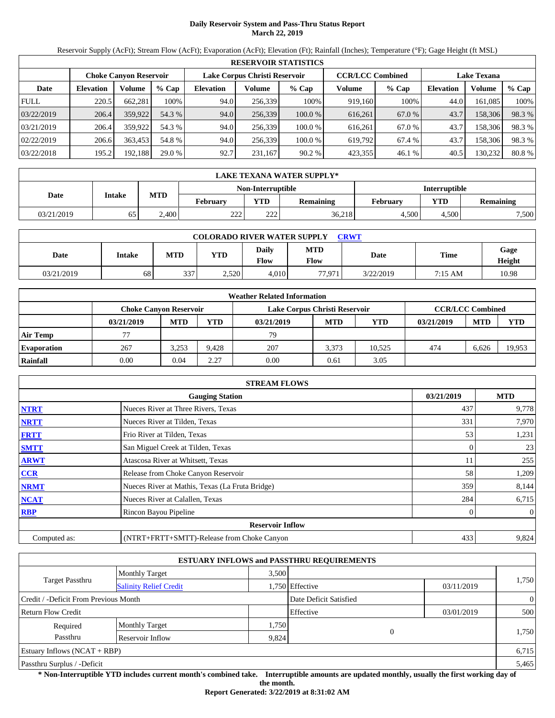## **Daily Reservoir System and Pass-Thru Status Report March 22, 2019**

Reservoir Supply (AcFt); Stream Flow (AcFt); Evaporation (AcFt); Elevation (Ft); Rainfall (Inches); Temperature (°F); Gage Height (ft MSL)

|             |                  |                               |         |                  |                               | <b>RESERVOIR STATISTICS</b> |                         |        |                    |         |        |
|-------------|------------------|-------------------------------|---------|------------------|-------------------------------|-----------------------------|-------------------------|--------|--------------------|---------|--------|
|             |                  | <b>Choke Canvon Reservoir</b> |         |                  | Lake Corpus Christi Reservoir |                             | <b>CCR/LCC Combined</b> |        | <b>Lake Texana</b> |         |        |
| Date        | <b>Elevation</b> | Volume                        | $%$ Cap | <b>Elevation</b> | Volume                        | $%$ Cap                     | Volume                  | % Cap  | <b>Elevation</b>   | Volume  | % Cap  |
| <b>FULL</b> | 220.5            | 662,281                       | 100%    | 94.0             | 256.339                       | 100%                        | 919,160                 | 100%   | 44.0               | 161,085 | 100%   |
| 03/22/2019  | 206.4            | 359,922                       | 54.3 %  | 94.0             | 256,339                       | 100.0%                      | 616,261                 | 67.0 % | 43.7               | 158,306 | 98.3 % |
| 03/21/2019  | 206.4            | 359,922                       | 54.3 %  | 94.0             | 256.339                       | 100.0%                      | 616.261                 | 67.0 % | 43.7               | 158,306 | 98.3 % |
| 02/22/2019  | 206.6            | 363.453                       | 54.8 %  | 94.0             | 256.339                       | 100.0 %                     | 619.792                 | 67.4 % | 43.7               | 158,306 | 98.3%  |
| 03/22/2018  | 195.2            | 192,188                       | 29.0 %  | 92.7             | 231,167                       | 90.2%                       | 423,355                 | 46.1 % | 40.5               | 130,232 | 80.8%  |

|            | LAKE TEXANA WATER SUPPLY* |              |                 |                   |                  |               |            |           |  |  |
|------------|---------------------------|--------------|-----------------|-------------------|------------------|---------------|------------|-----------|--|--|
|            |                           |              |                 | Non-Interruptible |                  | Interruptible |            |           |  |  |
| Date       | Intake                    | <b>MTD</b>   | <b>February</b> | <b>YTD</b>        | <b>Remaining</b> | February      | <b>VTD</b> | Remaining |  |  |
| 03/21/2019 | 65                        | $\angle 400$ | າາາ<br>22 L     | 222               | 36,218           | 4.500         | 4.500      | 7,500     |  |  |

| <b>COLORADO RIVER WATER SUPPLY</b><br><b>CRWT</b> |        |            |            |               |                    |           |         |                |  |  |
|---------------------------------------------------|--------|------------|------------|---------------|--------------------|-----------|---------|----------------|--|--|
| Date                                              | Intake | <b>MTD</b> | <b>YTD</b> | Daily<br>Flow | <b>MTD</b><br>Flow | Date      | Time    | Gage<br>Height |  |  |
| 03/21/2019                                        | 68     | 337        | 2,520      | 4.010         | 77.971             | 3/22/2019 | 7:15 AM | 10.98          |  |  |

|                    |                               |            |       | <b>Weather Related Information</b> |                         |        |            |            |            |
|--------------------|-------------------------------|------------|-------|------------------------------------|-------------------------|--------|------------|------------|------------|
|                    | <b>Choke Canvon Reservoir</b> |            |       | Lake Corpus Christi Reservoir      | <b>CCR/LCC Combined</b> |        |            |            |            |
|                    | 03/21/2019                    | <b>MTD</b> | YTD   | 03/21/2019                         | <b>MTD</b>              | YTD    | 03/21/2019 | <b>MTD</b> | <b>YTD</b> |
| <b>Air Temp</b>    | 77                            |            |       | 79                                 |                         |        |            |            |            |
| <b>Evaporation</b> | 267                           | 3.253      | 9.428 | 207                                | 3.373                   | 10.525 | 474        | 6.626      | 19,953     |
| Rainfall           | 0.00                          | 0.04       | 2.27  | 0.00                               | 0.61                    | 3.05   |            |            |            |

|              | <b>STREAM FLOWS</b>                             |            |            |
|--------------|-------------------------------------------------|------------|------------|
|              | <b>Gauging Station</b>                          | 03/21/2019 | <b>MTD</b> |
| <b>NTRT</b>  | Nueces River at Three Rivers, Texas             | 437        | 9,778      |
| <b>NRTT</b>  | Nueces River at Tilden, Texas                   | 331        | 7,970      |
| <b>FRTT</b>  | Frio River at Tilden, Texas                     | 53         | 1,231      |
| <b>SMTT</b>  | San Miguel Creek at Tilden, Texas               | $\theta$   | 23         |
| <b>ARWT</b>  | Atascosa River at Whitsett, Texas               | 11         | 255        |
| <b>CCR</b>   | Release from Choke Canyon Reservoir             | 58         | 1,209      |
| <b>NRMT</b>  | Nueces River at Mathis, Texas (La Fruta Bridge) | 359        | 8,144      |
| <b>NCAT</b>  | Nueces River at Calallen, Texas                 | 284        | 6,715      |
| <b>RBP</b>   | Rincon Bayou Pipeline                           | 0          | $\theta$   |
|              | <b>Reservoir Inflow</b>                         |            |            |
| Computed as: | (NTRT+FRTT+SMTT)-Release from Choke Canyon      | 433        | 9,824      |

|                                       |                               |       | <b>ESTUARY INFLOWS and PASSTHRU REQUIREMENTS</b> |            |                |
|---------------------------------------|-------------------------------|-------|--------------------------------------------------|------------|----------------|
|                                       | <b>Monthly Target</b>         | 3.500 |                                                  |            |                |
| <b>Target Passthru</b>                | <b>Salinity Relief Credit</b> |       | 1,750 Effective                                  | 03/11/2019 | 1,750          |
| Credit / -Deficit From Previous Month |                               |       | Date Deficit Satisfied                           |            | $\overline{0}$ |
| <b>Return Flow Credit</b>             |                               |       | Effective                                        | 03/01/2019 | 500            |
| Required                              | <b>Monthly Target</b>         | 1,750 |                                                  |            |                |
| Passthru                              | Reservoir Inflow              | 9,824 | $\theta$                                         |            | 1,750          |
| Estuary Inflows $(NCAT + RBP)$        |                               |       |                                                  |            | 6,715          |
| Passthru Surplus / -Deficit           |                               |       |                                                  |            | 5,465          |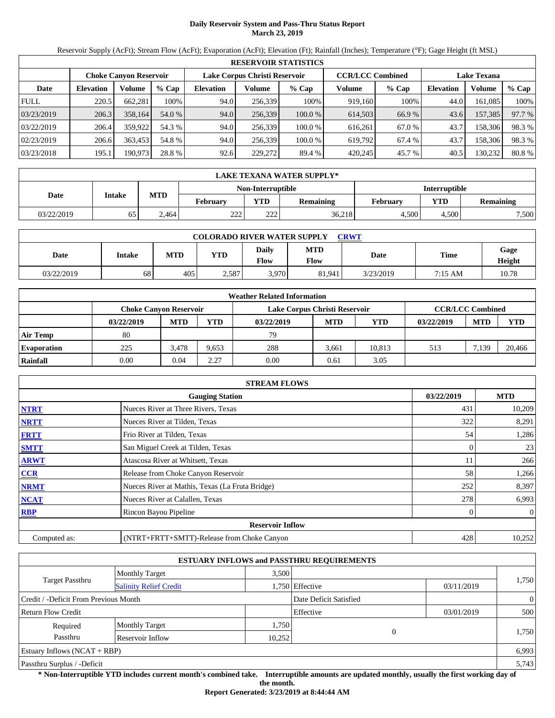## **Daily Reservoir System and Pass-Thru Status Report March 23, 2019**

Reservoir Supply (AcFt); Stream Flow (AcFt); Evaporation (AcFt); Elevation (Ft); Rainfall (Inches); Temperature (°F); Gage Height (ft MSL)

|                                                                | <b>RESERVOIR STATISTICS</b> |         |         |                  |         |         |                         |        |                  |                    |        |
|----------------------------------------------------------------|-----------------------------|---------|---------|------------------|---------|---------|-------------------------|--------|------------------|--------------------|--------|
| Lake Corpus Christi Reservoir<br><b>Choke Canvon Reservoir</b> |                             |         |         |                  |         |         | <b>CCR/LCC Combined</b> |        |                  | <b>Lake Texana</b> |        |
| Date                                                           | <b>Elevation</b>            | Volume  | $%$ Cap | <b>Elevation</b> | Volume  | $%$ Cap | Volume                  | % Cap  | <b>Elevation</b> | Volume             | % Cap  |
| <b>FULL</b>                                                    | 220.5                       | 662,281 | 100%    | 94.0             | 256.339 | 100%    | 919,160                 | 100%   | 44.0             | 161,085            | 100%   |
| 03/23/2019                                                     | 206.3                       | 358,164 | 54.0 %  | 94.0             | 256,339 | 100.0%  | 614,503                 | 66.9 % | 43.6             | 157,385            | 97.7 % |
| 03/22/2019                                                     | 206.4                       | 359,922 | 54.3 %  | 94.0             | 256.339 | 100.0%  | 616.261                 | 67.0 % | 43.7             | 158,306            | 98.3 % |
| 02/23/2019                                                     | 206.6                       | 363.453 | 54.8 %  | 94.0             | 256.339 | 100.0 % | 619.792                 | 67.4 % | 43.7             | 158,306            | 98.3%  |
| 03/23/2018                                                     | 195.1                       | 190,973 | 28.8 %  | 92.6             | 229,272 | 89.4 %  | 420,245                 | 45.7 % | 40.5             | 130,232            | 80.8%  |

|            | LAKE TEXANA WATER SUPPLY*                             |       |                  |                   |            |           |               |       |  |  |
|------------|-------------------------------------------------------|-------|------------------|-------------------|------------|-----------|---------------|-------|--|--|
|            |                                                       |       |                  | Non-Interruptible |            |           | Interruptible |       |  |  |
| Date       | <b>MTD</b><br>Intake<br><b>YTD</b><br><b>February</b> |       | <b>Remaining</b> | February          | <b>VTD</b> | Remaining |               |       |  |  |
| 03/22/2019 | 65                                                    | 2.464 | າາາ<br>22 L      | 222               | 36,218     | 4.500     | 4.500         | 7,500 |  |  |

| <b>COLORADO RIVER WATER SUPPLY</b><br><b>CRWT</b> |        |            |            |                             |                    |           |         |                |  |  |
|---------------------------------------------------|--------|------------|------------|-----------------------------|--------------------|-----------|---------|----------------|--|--|
| Date                                              | Intake | <b>MTD</b> | <b>YTD</b> | <b>Daily</b><br><b>Flow</b> | <b>MTD</b><br>Flow | Date      | Time    | Gage<br>Height |  |  |
| 03/22/2019                                        | 68     | 405        | 2,587      | 3,970                       | 81,941             | 3/23/2019 | 7:15 AM | 10.78          |  |  |

|                    | <b>Weather Related Information</b> |            |       |                               |            |        |            |                         |            |  |
|--------------------|------------------------------------|------------|-------|-------------------------------|------------|--------|------------|-------------------------|------------|--|
|                    | <b>Choke Canvon Reservoir</b>      |            |       | Lake Corpus Christi Reservoir |            |        |            | <b>CCR/LCC Combined</b> |            |  |
|                    | 03/22/2019                         | <b>MTD</b> | YTD   | 03/22/2019                    | <b>MTD</b> | YTD    | 03/22/2019 | <b>MTD</b>              | <b>YTD</b> |  |
| <b>Air Temp</b>    | 80                                 |            |       | 79                            |            |        |            |                         |            |  |
| <b>Evaporation</b> | 225                                | 3.478      | 9.653 | 288                           | 3.661      | 10.813 | 513        | 7.139                   | 20,466     |  |
| Rainfall           | 0.00                               | 0.04       | 2.27  | 0.00                          | 0.61       | 3.05   |            |                         |            |  |

|              | <b>STREAM FLOWS</b>                             |            |                |
|--------------|-------------------------------------------------|------------|----------------|
|              | <b>Gauging Station</b>                          | 03/22/2019 | <b>MTD</b>     |
| <b>NTRT</b>  | Nueces River at Three Rivers, Texas             | 431        | 10,209         |
| <b>NRTT</b>  | Nueces River at Tilden, Texas                   | 322        | 8,291          |
| <b>FRTT</b>  | Frio River at Tilden, Texas                     | 54         | 1,286          |
| <b>SMTT</b>  | San Miguel Creek at Tilden, Texas               | 0          | 23             |
| <b>ARWT</b>  | Atascosa River at Whitsett, Texas               | 11         | 266            |
| <b>CCR</b>   | Release from Choke Canyon Reservoir             | 58         | 1,266          |
| <b>NRMT</b>  | Nueces River at Mathis, Texas (La Fruta Bridge) | 252        | 8,397          |
| <b>NCAT</b>  | Nueces River at Calallen, Texas                 | 278        | 6,993          |
| <b>RBP</b>   | Rincon Bayou Pipeline                           |            | $\overline{0}$ |
|              | <b>Reservoir Inflow</b>                         |            |                |
| Computed as: | (NTRT+FRTT+SMTT)-Release from Choke Canyon      | 428        | 10,252         |

|                                       |                               |        | <b>ESTUARY INFLOWS and PASSTHRU REQUIREMENTS</b> |            |                |
|---------------------------------------|-------------------------------|--------|--------------------------------------------------|------------|----------------|
|                                       | <b>Monthly Target</b>         | 3,500  |                                                  |            |                |
| Target Passthru                       | <b>Salinity Relief Credit</b> |        | 1,750 Effective                                  | 03/11/2019 | 1,750          |
| Credit / -Deficit From Previous Month |                               |        | Date Deficit Satisfied                           |            | $\overline{0}$ |
| <b>Return Flow Credit</b>             |                               |        | Effective                                        | 03/01/2019 | 500            |
| Required                              | <b>Monthly Target</b>         | 1,750  |                                                  |            |                |
| Passthru                              | Reservoir Inflow              | 10,252 | 0                                                |            | 1,750          |
| Estuary Inflows $(NCAT + RBP)$        |                               |        |                                                  |            | 6,993          |
| Passthru Surplus / -Deficit           |                               |        |                                                  |            | 5,743          |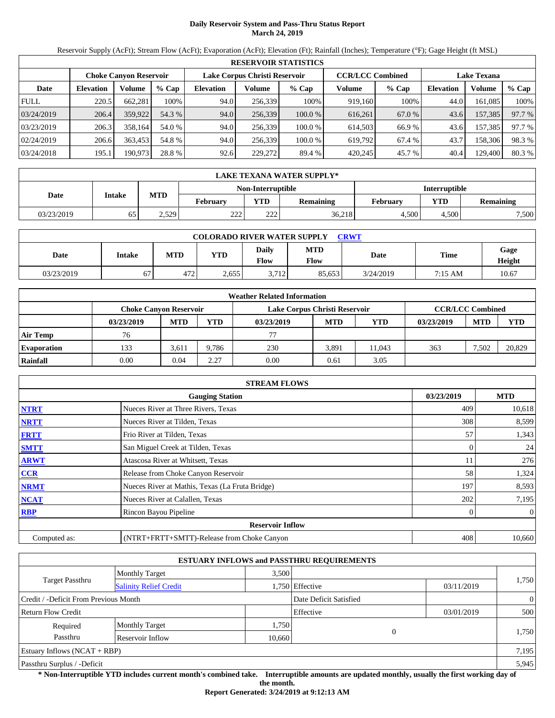## **Daily Reservoir System and Pass-Thru Status Report March 24, 2019**

Reservoir Supply (AcFt); Stream Flow (AcFt); Evaporation (AcFt); Elevation (Ft); Rainfall (Inches); Temperature (°F); Gage Height (ft MSL)

|             | <b>RESERVOIR STATISTICS</b>                                                                                     |               |         |                  |         |         |         |         |                  |         |        |
|-------------|-----------------------------------------------------------------------------------------------------------------|---------------|---------|------------------|---------|---------|---------|---------|------------------|---------|--------|
|             | <b>CCR/LCC Combined</b><br>Lake Corpus Christi Reservoir<br><b>Lake Texana</b><br><b>Choke Canvon Reservoir</b> |               |         |                  |         |         |         |         |                  |         |        |
| Date        | <b>Elevation</b>                                                                                                | <b>Volume</b> | $%$ Cap | <b>Elevation</b> | Volume  | $%$ Cap | Volume  | $%$ Cap | <b>Elevation</b> | Volume  | % Cap  |
| <b>FULL</b> | 220.5                                                                                                           | 662.281       | 100%    | 94.0             | 256,339 | 100%    | 919,160 | 100%    | 44.0             | 161.085 | 100%   |
| 03/24/2019  | 206.4                                                                                                           | 359,922       | 54.3 %  | 94.0             | 256,339 | 100.0%  | 616,261 | 67.0 %  | 43.6             | 157,385 | 97.7 % |
| 03/23/2019  | 206.3                                                                                                           | 358.164       | 54.0 %  | 94.0             | 256.339 | 100.0%  | 614.503 | 66.9%   | 43.6             | 157,385 | 97.7 % |
| 02/24/2019  | 206.6                                                                                                           | 363.453       | 54.8%   | 94.0             | 256.339 | 100.0%  | 619.792 | 67.4 %  | 43.7             | 158,306 | 98.3%  |
| 03/24/2018  | 195.1                                                                                                           | 190,973       | 28.8 %  | 92.6             | 229,272 | 89.4 %  | 420,245 | 45.7 %  | 40.4             | 129,400 | 80.3 % |

|            | LAKE TEXANA WATER SUPPLY* |       |                                                                 |                   |               |            |           |       |  |  |
|------------|---------------------------|-------|-----------------------------------------------------------------|-------------------|---------------|------------|-----------|-------|--|--|
|            |                           |       |                                                                 | Non-Interruptible | Interruptible |            |           |       |  |  |
| Date       | Intake                    |       | <b>MTD</b><br><b>YTD</b><br><b>February</b><br><b>Remaining</b> |                   | February      | <b>VTD</b> | Remaining |       |  |  |
| 03/23/2019 | 65                        | 2,529 | າາາ<br>22 L                                                     | 222               | 36,218        | 4.500      | 4.500     | 7,500 |  |  |

| <b>COLORADO RIVER WATER SUPPLY</b><br><b>CRWT</b> |        |            |            |                             |                    |           |         |                |  |  |
|---------------------------------------------------|--------|------------|------------|-----------------------------|--------------------|-----------|---------|----------------|--|--|
| Date                                              | Intake | <b>MTD</b> | <b>YTD</b> | <b>Daily</b><br><b>Flow</b> | <b>MTD</b><br>Flow | Date      | Time    | Gage<br>Height |  |  |
| 03/23/2019                                        | 67     | 472        | 2,655      | 3.712                       | 85.653             | 3/24/2019 | 7:15 AM | 10.67          |  |  |

|                    |                               |            |       | <b>Weather Related Information</b> |            |            |            |                         |        |
|--------------------|-------------------------------|------------|-------|------------------------------------|------------|------------|------------|-------------------------|--------|
|                    | <b>Choke Canvon Reservoir</b> |            |       | Lake Corpus Christi Reservoir      |            |            |            | <b>CCR/LCC Combined</b> |        |
|                    | 03/23/2019                    | <b>MTD</b> | YTD   | 03/23/2019                         | <b>MTD</b> | <b>YTD</b> | 03/23/2019 | <b>MTD</b>              | YTD    |
| <b>Air Temp</b>    | 76                            |            |       | 77                                 |            |            |            |                         |        |
| <b>Evaporation</b> | 133                           | 3,611      | 9.786 | 230                                | 3,891      | 11.043     | 363        | 7.502                   | 20,829 |
| Rainfall           | 0.00                          | 0.04       | 2.27  | 0.00                               | 0.61       | 3.05       |            |                         |        |

|              | <b>STREAM FLOWS</b>                             |            |                |
|--------------|-------------------------------------------------|------------|----------------|
|              | <b>Gauging Station</b>                          | 03/23/2019 | <b>MTD</b>     |
| <b>NTRT</b>  | Nueces River at Three Rivers, Texas             | 409        | 10,618         |
| <b>NRTT</b>  | Nueces River at Tilden, Texas                   | 308        | 8,599          |
| <b>FRTT</b>  | Frio River at Tilden, Texas                     | 57         | 1,343          |
| <b>SMTT</b>  | San Miguel Creek at Tilden, Texas               |            | 24             |
| <b>ARWT</b>  | Atascosa River at Whitsett, Texas               |            | 276            |
| <b>CCR</b>   | Release from Choke Canyon Reservoir             | 58         | 1,324          |
| <b>NRMT</b>  | Nueces River at Mathis, Texas (La Fruta Bridge) | 197        | 8,593          |
| <b>NCAT</b>  | Nueces River at Calallen, Texas                 | 202        | 7,195          |
| <b>RBP</b>   | Rincon Bayou Pipeline                           |            | $\overline{0}$ |
|              | <b>Reservoir Inflow</b>                         |            |                |
| Computed as: | (NTRT+FRTT+SMTT)-Release from Choke Canyon      | 408        | 10,660         |

|                                       |                               |        | <b>ESTUARY INFLOWS and PASSTHRU REQUIREMENTS</b> |            |                |
|---------------------------------------|-------------------------------|--------|--------------------------------------------------|------------|----------------|
|                                       | <b>Monthly Target</b>         | 3.500  |                                                  |            |                |
| Target Passthru                       | <b>Salinity Relief Credit</b> |        | 1,750 Effective                                  | 03/11/2019 | 1,750          |
| Credit / -Deficit From Previous Month |                               |        | Date Deficit Satisfied                           |            | $\overline{0}$ |
| <b>Return Flow Credit</b>             |                               |        | Effective                                        | 03/01/2019 | 500            |
| Required                              | <b>Monthly Target</b>         | 1,750  |                                                  |            |                |
| Passthru                              | Reservoir Inflow              | 10,660 | 0                                                |            | 1,750          |
| Estuary Inflows $(NCAT + RBP)$        |                               |        |                                                  |            | 7,195          |
| Passthru Surplus / -Deficit           |                               |        |                                                  |            | 5,945          |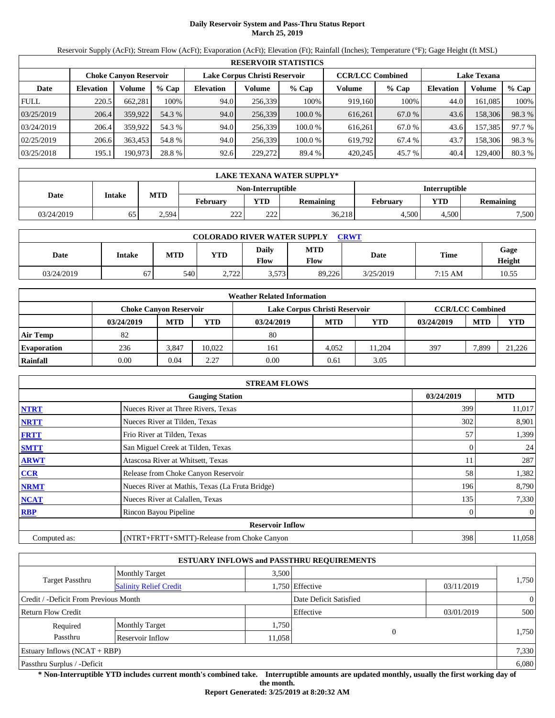## **Daily Reservoir System and Pass-Thru Status Report March 25, 2019**

Reservoir Supply (AcFt); Stream Flow (AcFt); Evaporation (AcFt); Elevation (Ft); Rainfall (Inches); Temperature (°F); Gage Height (ft MSL)

|             | <b>RESERVOIR STATISTICS</b>                                                                                     |         |         |                  |         |         |         |         |                  |         |        |  |
|-------------|-----------------------------------------------------------------------------------------------------------------|---------|---------|------------------|---------|---------|---------|---------|------------------|---------|--------|--|
|             | Lake Corpus Christi Reservoir<br><b>CCR/LCC Combined</b><br><b>Lake Texana</b><br><b>Choke Canyon Reservoir</b> |         |         |                  |         |         |         |         |                  |         |        |  |
| Date        | <b>Elevation</b>                                                                                                | Volume  | $%$ Cap | <b>Elevation</b> | Volume  | $%$ Cap | Volume  | $%$ Cap | <b>Elevation</b> | Volume  | % Cap  |  |
| <b>FULL</b> | 220.5                                                                                                           | 662,281 | 100%    | 94.0             | 256,339 | 100%    | 919,160 | 100%    | 44.0             | 161,085 | 100%   |  |
| 03/25/2019  | 206.4                                                                                                           | 359,922 | 54.3 %  | 94.0             | 256,339 | 100.0%  | 616,261 | 67.0 %  | 43.6             | 158,306 | 98.3 % |  |
| 03/24/2019  | 206.4                                                                                                           | 359,922 | 54.3 %  | 94.0             | 256,339 | 100.0%  | 616.261 | 67.0 %  | 43.6             | 157,385 | 97.7 % |  |
| 02/25/2019  | 206.6                                                                                                           | 363.453 | 54.8 %  | 94.0             | 256.339 | 100.0 % | 619.792 | 67.4 %  | 43.7             | 158,306 | 98.3%  |  |
| 03/25/2018  | 195.1                                                                                                           | 190.973 | 28.8 %  | 92.6             | 229,272 | 89.4 %  | 420,245 | 45.7 %  | 40.4             | 129,400 | 80.3 % |  |

|            | LAKE TEXANA WATER SUPPLY* |            |                   |               |                  |          |                         |       |  |  |  |
|------------|---------------------------|------------|-------------------|---------------|------------------|----------|-------------------------|-------|--|--|--|
|            |                           |            | Non-Interruptible | Interruptible |                  |          |                         |       |  |  |  |
| Date       | Intake                    | <b>MTD</b> | <b>February</b>   | <b>YTD</b>    | <b>Remaining</b> | February | <b>VTD</b><br>Remaining |       |  |  |  |
| 03/24/2019 | 65                        | 2,594      | າາາ<br>∠∠∠        | 222           | 36,218           | 4.500    | 4.500                   | 7,500 |  |  |  |

| <b>COLORADO RIVER WATER SUPPLY</b><br><b>CRWT</b> |        |            |                 |                             |                    |           |         |                |  |  |  |
|---------------------------------------------------|--------|------------|-----------------|-----------------------------|--------------------|-----------|---------|----------------|--|--|--|
| Date                                              | Intake | <b>MTD</b> | <b>YTD</b>      | <b>Daily</b><br><b>Flow</b> | <b>MTD</b><br>Flow | Date      | Time    | Gage<br>Height |  |  |  |
| 03/24/2019                                        | 67     | 540        | רר ר<br>2. I 22 | 3,573                       | 89.226             | 3/25/2019 | 7:15 AM | 10.55          |  |  |  |

|                    |                               |            |            | <b>Weather Related Information</b> |            |        |            |                         |            |
|--------------------|-------------------------------|------------|------------|------------------------------------|------------|--------|------------|-------------------------|------------|
|                    | <b>Choke Canvon Reservoir</b> |            |            | Lake Corpus Christi Reservoir      |            |        |            | <b>CCR/LCC Combined</b> |            |
|                    | 03/24/2019                    | <b>MTD</b> | <b>YTD</b> | 03/24/2019                         | <b>MTD</b> | YTD    | 03/24/2019 | <b>MTD</b>              | <b>YTD</b> |
| <b>Air Temp</b>    | 82                            |            |            | 80                                 |            |        |            |                         |            |
| <b>Evaporation</b> | 236                           | 3.847      | 10.022     | 161                                | 4.052      | 11.204 | 397        | 7,899                   | 21,226     |
| Rainfall           | 0.00                          | 0.04       | 2.27       | 0.00                               | 0.61       | 3.05   |            |                         |            |

|              | <b>STREAM FLOWS</b>                             |            |                |
|--------------|-------------------------------------------------|------------|----------------|
|              | <b>Gauging Station</b>                          | 03/24/2019 | <b>MTD</b>     |
| <b>NTRT</b>  | Nueces River at Three Rivers, Texas             | 399        | 11,017         |
| <b>NRTT</b>  | Nueces River at Tilden, Texas                   | 302        | 8,901          |
| <b>FRTT</b>  | Frio River at Tilden, Texas                     | 57         | 1,399          |
| <b>SMTT</b>  | San Miguel Creek at Tilden, Texas               |            | 24             |
| <b>ARWT</b>  | Atascosa River at Whitsett, Texas               |            | 287            |
| <b>CCR</b>   | Release from Choke Canyon Reservoir             | 58         | 1,382          |
| <b>NRMT</b>  | Nueces River at Mathis, Texas (La Fruta Bridge) | 196        | 8,790          |
| <b>NCAT</b>  | Nueces River at Calallen, Texas                 | 135        | 7,330          |
| <b>RBP</b>   | Rincon Bayou Pipeline                           |            | $\overline{0}$ |
|              | <b>Reservoir Inflow</b>                         |            |                |
| Computed as: | (NTRT+FRTT+SMTT)-Release from Choke Canyon      | 398        | 11,058         |

|                                       |                               |        | <b>ESTUARY INFLOWS and PASSTHRU REQUIREMENTS</b> |            |                |
|---------------------------------------|-------------------------------|--------|--------------------------------------------------|------------|----------------|
|                                       | <b>Monthly Target</b>         | 3.500  |                                                  |            |                |
| Target Passthru                       | <b>Salinity Relief Credit</b> |        | 1,750 Effective                                  | 03/11/2019 | 1,750          |
| Credit / -Deficit From Previous Month |                               |        | Date Deficit Satisfied                           |            | $\overline{0}$ |
| <b>Return Flow Credit</b>             |                               |        | Effective                                        | 03/01/2019 | 500            |
| Required                              | <b>Monthly Target</b>         | 1,750  |                                                  |            |                |
| Passthru                              | Reservoir Inflow              | 11,058 | $\theta$                                         |            | 1,750          |
| Estuary Inflows $(NCAT + RBP)$        |                               |        |                                                  |            | 7,330          |
| Passthru Surplus / -Deficit           |                               |        |                                                  |            | 6.080          |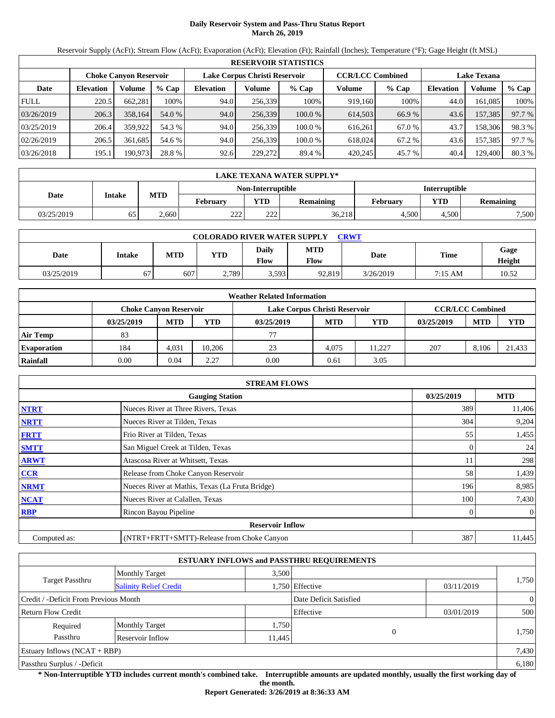## **Daily Reservoir System and Pass-Thru Status Report March 26, 2019**

Reservoir Supply (AcFt); Stream Flow (AcFt); Evaporation (AcFt); Elevation (Ft); Rainfall (Inches); Temperature (°F); Gage Height (ft MSL)

|             | <b>RESERVOIR STATISTICS</b>                                                                                     |         |         |                  |         |         |         |         |                  |         |        |  |
|-------------|-----------------------------------------------------------------------------------------------------------------|---------|---------|------------------|---------|---------|---------|---------|------------------|---------|--------|--|
|             | Lake Corpus Christi Reservoir<br><b>CCR/LCC Combined</b><br><b>Lake Texana</b><br><b>Choke Canyon Reservoir</b> |         |         |                  |         |         |         |         |                  |         |        |  |
| Date        | <b>Elevation</b>                                                                                                | Volume  | $%$ Cap | <b>Elevation</b> | Volume  | $%$ Cap | Volume  | $%$ Cap | <b>Elevation</b> | Volume  | % Cap  |  |
| <b>FULL</b> | 220.5                                                                                                           | 662,281 | 100%    | 94.0             | 256,339 | 100%    | 919,160 | 100%    | 44.0             | 161,085 | 100%   |  |
| 03/26/2019  | 206.3                                                                                                           | 358,164 | 54.0 %  | 94.0             | 256,339 | 100.0%  | 614,503 | 66.9 %  | 43.6             | 157,385 | 97.7 % |  |
| 03/25/2019  | 206.4                                                                                                           | 359,922 | 54.3 %  | 94.0             | 256,339 | 100.0%  | 616.261 | 67.0 %  | 43.7             | 158,306 | 98.3%  |  |
| 02/26/2019  | 206.5                                                                                                           | 361.685 | 54.6 %  | 94.0             | 256.339 | 100.0 % | 618,024 | 67.2 %  | 43.6             | 157,385 | 97.7 % |  |
| 03/26/2018  | 195.1                                                                                                           | 190.973 | 28.8 %  | 92.6             | 229,272 | 89.4 %  | 420,245 | 45.7 %  | 40.4             | 129,400 | 80.3 % |  |

|            | LAKE TEXANA WATER SUPPLY* |                   |                 |            |                  |          |                         |       |  |  |  |
|------------|---------------------------|-------------------|-----------------|------------|------------------|----------|-------------------------|-------|--|--|--|
|            |                           | Non-Interruptible | Interruptible   |            |                  |          |                         |       |  |  |  |
| Date       | Intake                    | <b>MTD</b>        | <b>February</b> | <b>YTD</b> | <b>Remaining</b> | February | <b>VTD</b><br>Remaining |       |  |  |  |
| 03/25/2019 | 65                        | $\angle 660$      | າາາ<br>22 L     | 222        | 36,218           | 4.500    | 4.500                   | 7,500 |  |  |  |

| <b>COLORADO RIVER WATER SUPPLY</b><br><b>CRWT</b> |        |            |            |                             |                    |           |         |                |  |  |  |
|---------------------------------------------------|--------|------------|------------|-----------------------------|--------------------|-----------|---------|----------------|--|--|--|
| Date                                              | Intake | <b>MTD</b> | <b>YTD</b> | <b>Daily</b><br><b>Flow</b> | <b>MTD</b><br>Flow | Date      | Time    | Gage<br>Height |  |  |  |
| 03/25/2019                                        | 67     | 607        | 2,789      | 3,593                       | 92,819             | 3/26/2019 | 7:15 AM | 10.52          |  |  |  |

|                    |                               |            |            | <b>Weather Related Information</b> |            |        |            |                         |            |
|--------------------|-------------------------------|------------|------------|------------------------------------|------------|--------|------------|-------------------------|------------|
|                    | <b>Choke Canvon Reservoir</b> |            |            | Lake Corpus Christi Reservoir      |            |        |            | <b>CCR/LCC Combined</b> |            |
|                    | 03/25/2019                    | <b>MTD</b> | <b>YTD</b> | 03/25/2019                         | <b>MTD</b> | YTD    | 03/25/2019 | <b>MTD</b>              | <b>YTD</b> |
| <b>Air Temp</b>    | 83                            |            |            |                                    |            |        |            |                         |            |
| <b>Evaporation</b> | 184                           | 4.031      | 10.206     | 23                                 | 4.075      | 11.227 | 207        | 8.106                   | 21.433     |
| Rainfall           | 0.00                          | 0.04       | 2.27       | 0.00                               | 0.61       | 3.05   |            |                         |            |

|              | <b>STREAM FLOWS</b>                             |            |                |
|--------------|-------------------------------------------------|------------|----------------|
|              | <b>Gauging Station</b>                          | 03/25/2019 | <b>MTD</b>     |
| <b>NTRT</b>  | Nueces River at Three Rivers, Texas             | 389        | 11,406         |
| <b>NRTT</b>  | Nueces River at Tilden, Texas                   | 304        | 9,204          |
| <b>FRTT</b>  | Frio River at Tilden, Texas                     | 55         | 1,455          |
| <b>SMTT</b>  | San Miguel Creek at Tilden, Texas               |            | 24             |
| <b>ARWT</b>  | Atascosa River at Whitsett, Texas               |            | 298            |
| <b>CCR</b>   | Release from Choke Canyon Reservoir             | 58         | 1,439          |
| <b>NRMT</b>  | Nueces River at Mathis, Texas (La Fruta Bridge) | 196        | 8,985          |
| <b>NCAT</b>  | Nueces River at Calallen, Texas                 | 100        | 7,430          |
| <b>RBP</b>   | Rincon Bayou Pipeline                           |            | $\overline{0}$ |
|              | <b>Reservoir Inflow</b>                         |            |                |
| Computed as: | (NTRT+FRTT+SMTT)-Release from Choke Canyon      | 387        | 11,445         |

|                                       |                               |        | <b>ESTUARY INFLOWS and PASSTHRU REQUIREMENTS</b> |            |                |
|---------------------------------------|-------------------------------|--------|--------------------------------------------------|------------|----------------|
|                                       | <b>Monthly Target</b>         | 3.500  |                                                  |            |                |
| Target Passthru                       | <b>Salinity Relief Credit</b> |        | 1,750 Effective                                  | 03/11/2019 | 1,750          |
| Credit / -Deficit From Previous Month |                               |        | Date Deficit Satisfied                           |            | $\overline{0}$ |
| <b>Return Flow Credit</b>             |                               |        | Effective                                        | 03/01/2019 | 500            |
| Required                              | <b>Monthly Target</b>         | 1,750  |                                                  |            |                |
| Passthru                              | Reservoir Inflow              | 11,445 | 0                                                |            | 1,750          |
| Estuary Inflows $(NCAT + RBP)$        |                               |        |                                                  |            | 7,430          |
| Passthru Surplus / -Deficit           |                               |        |                                                  |            | 6,180          |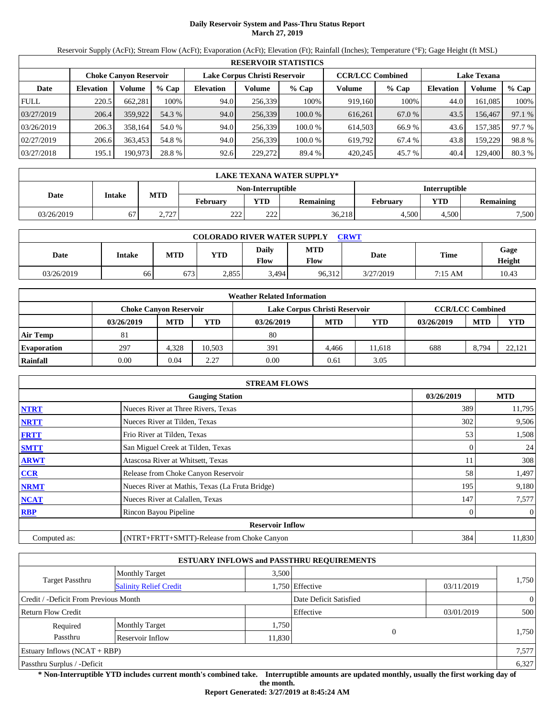## **Daily Reservoir System and Pass-Thru Status Report March 27, 2019**

Reservoir Supply (AcFt); Stream Flow (AcFt); Evaporation (AcFt); Elevation (Ft); Rainfall (Inches); Temperature (°F); Gage Height (ft MSL)

|             | <b>RESERVOIR STATISTICS</b> |                               |         |                  |                               |         |                         |         |                  |                    |        |
|-------------|-----------------------------|-------------------------------|---------|------------------|-------------------------------|---------|-------------------------|---------|------------------|--------------------|--------|
|             |                             | <b>Choke Canyon Reservoir</b> |         |                  | Lake Corpus Christi Reservoir |         | <b>CCR/LCC Combined</b> |         |                  | <b>Lake Texana</b> |        |
| Date        | <b>Elevation</b>            | Volume                        | $%$ Cap | <b>Elevation</b> | Volume                        | $%$ Cap | Volume                  | $%$ Cap | <b>Elevation</b> | Volume             | % Cap  |
| <b>FULL</b> | 220.5                       | 662.281                       | 100%    | 94.0             | 256,339                       | 100%    | 919,160                 | 100%    | 44.0             | 161.085            | 100%   |
| 03/27/2019  | 206.4                       | 359.922                       | 54.3 %  | 94.0             | 256,339                       | 100.0 % | 616,261                 | 67.0 %  | 43.5             | 156.467            | 97.1 % |
| 03/26/2019  | 206.3                       | 358.164                       | 54.0 %  | 94.0             | 256,339                       | 100.0 % | 614,503                 | 66.9 %  | 43.6             | 157,385            | 97.7 % |
| 02/27/2019  | 206.6                       | 363,453                       | 54.8 %  | 94.0             | 256,339                       | 100.0 % | 619,792                 | 67.4 %  | 43.8             | 159.229            | 98.8%  |
| 03/27/2018  | 195.1                       | 190,973                       | 28.8 %  | 92.6             | 229,272                       | 89.4 %  | 420.245                 | 45.7 %  | 40.4             | 129,400            | 80.3%  |

|            | LAKE TEXANA WATER SUPPLY* |            |                 |                                    |                  |          |            |           |  |  |
|------------|---------------------------|------------|-----------------|------------------------------------|------------------|----------|------------|-----------|--|--|
|            |                           |            |                 | Interruptible<br>Non-Interruptible |                  |          |            |           |  |  |
| Date       | Intake                    | <b>MTD</b> | <b>February</b> | <b>YTD</b>                         | <b>Remaining</b> | February | <b>VTD</b> | Remaining |  |  |
| 03/26/2019 | 67                        | 2,727      | າາາ<br>22 L     | 222                                | 36,218           | 4.500    | 4.500      | 7,500     |  |  |

| <b>COLORADO RIVER WATER SUPPLY</b><br><b>CRWT</b> |        |            |            |                             |                    |           |         |                |  |  |
|---------------------------------------------------|--------|------------|------------|-----------------------------|--------------------|-----------|---------|----------------|--|--|
| Date                                              | Intake | <b>MTD</b> | <b>YTD</b> | <b>Daily</b><br><b>Flow</b> | <b>MTD</b><br>Flow | Date      | Time    | Gage<br>Height |  |  |
| 03/26/2019                                        | 66     | 673        | 2,855      | 3,494                       | 96,312             | 3/27/2019 | 7:15 AM | 10.43          |  |  |

|                    |                               |            |            | <b>Weather Related Information</b> |            |        |            |                         |        |
|--------------------|-------------------------------|------------|------------|------------------------------------|------------|--------|------------|-------------------------|--------|
|                    | <b>Choke Canvon Reservoir</b> |            |            | Lake Corpus Christi Reservoir      |            |        |            | <b>CCR/LCC Combined</b> |        |
|                    | 03/26/2019                    | <b>MTD</b> | <b>YTD</b> | 03/26/2019                         | <b>MTD</b> | YTD    | 03/26/2019 | <b>MTD</b>              | YTD    |
| <b>Air Temp</b>    | 81                            |            |            | 80                                 |            |        |            |                         |        |
| <b>Evaporation</b> | 297                           | 4.328      | 10.503     | 391                                | 4.466      | 11.618 | 688        | 8.794                   | 22.121 |
| Rainfall           | 0.00                          | 0.04       | 2.27       | 0.00                               | 0.61       | 3.05   |            |                         |        |

|              | <b>STREAM FLOWS</b>                             |            |                |
|--------------|-------------------------------------------------|------------|----------------|
|              | <b>Gauging Station</b>                          | 03/26/2019 | <b>MTD</b>     |
| <b>NTRT</b>  | Nueces River at Three Rivers, Texas             | 389        | 11,795         |
| <b>NRTT</b>  | Nueces River at Tilden, Texas                   | 302        | 9,506          |
| <b>FRTT</b>  | Frio River at Tilden, Texas                     | 53         | 1,508          |
| <b>SMTT</b>  | San Miguel Creek at Tilden, Texas               |            | 24             |
| <b>ARWT</b>  | Atascosa River at Whitsett, Texas               |            | 308            |
| <b>CCR</b>   | Release from Choke Canyon Reservoir             | 58         | 1,497          |
| <b>NRMT</b>  | Nueces River at Mathis, Texas (La Fruta Bridge) | 195        | 9,180          |
| <b>NCAT</b>  | Nueces River at Calallen, Texas                 | 147        | 7,577          |
| <b>RBP</b>   | Rincon Bayou Pipeline                           |            | $\overline{0}$ |
|              | <b>Reservoir Inflow</b>                         |            |                |
| Computed as: | (NTRT+FRTT+SMTT)-Release from Choke Canyon      | 384        | 11,830         |

|                                       |                               |        | <b>ESTUARY INFLOWS and PASSTHRU REQUIREMENTS</b> |            |                |
|---------------------------------------|-------------------------------|--------|--------------------------------------------------|------------|----------------|
|                                       | <b>Monthly Target</b>         | 3.500  |                                                  |            |                |
| Target Passthru                       | <b>Salinity Relief Credit</b> |        | 1,750 Effective                                  | 03/11/2019 | 1,750          |
| Credit / -Deficit From Previous Month |                               |        | Date Deficit Satisfied                           |            | $\overline{0}$ |
| <b>Return Flow Credit</b>             |                               |        | Effective                                        | 03/01/2019 | 500            |
| Required                              | <b>Monthly Target</b>         | 1,750  |                                                  |            |                |
| Passthru                              | Reservoir Inflow              | 11,830 | 0                                                |            | 1,750          |
| Estuary Inflows $(NCAT + RBP)$        |                               |        |                                                  |            | 7,577          |
| Passthru Surplus / -Deficit           |                               |        |                                                  |            | 6,327          |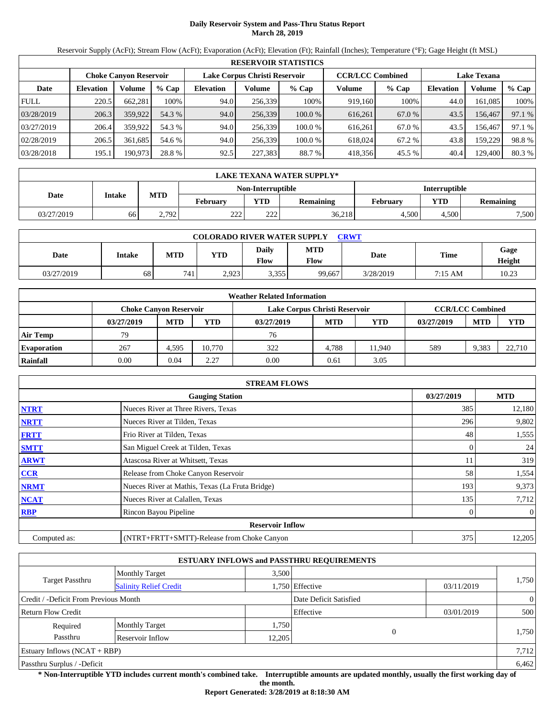## **Daily Reservoir System and Pass-Thru Status Report March 28, 2019**

Reservoir Supply (AcFt); Stream Flow (AcFt); Evaporation (AcFt); Elevation (Ft); Rainfall (Inches); Temperature (°F); Gage Height (ft MSL)

|             | <b>RESERVOIR STATISTICS</b> |                               |         |                  |                               |         |                         |         |                  |                    |        |
|-------------|-----------------------------|-------------------------------|---------|------------------|-------------------------------|---------|-------------------------|---------|------------------|--------------------|--------|
|             |                             | <b>Choke Canyon Reservoir</b> |         |                  | Lake Corpus Christi Reservoir |         | <b>CCR/LCC Combined</b> |         |                  | <b>Lake Texana</b> |        |
| Date        | <b>Elevation</b>            | Volume                        | $%$ Cap | <b>Elevation</b> | Volume                        | $%$ Cap | Volume                  | $%$ Cap | <b>Elevation</b> | Volume             | % Cap  |
| <b>FULL</b> | 220.5                       | 662.281                       | 100%    | 94.0             | 256,339                       | 100%    | 919,160                 | 100%    | 44.0             | 161.085            | 100%   |
| 03/28/2019  | 206.3                       | 359,922                       | 54.3 %  | 94.0             | 256,339                       | 100.0%  | 616,261                 | 67.0 %  | 43.5             | 156,467            | 97.1 % |
| 03/27/2019  | 206.4                       | 359,922                       | 54.3 %  | 94.0             | 256.339                       | 100.0 % | 616.261                 | 67.0 %  | 43.5             | 156.467            | 97.1 % |
| 02/28/2019  | 206.5                       | 361.685                       | 54.6 %  | 94.0             | 256.339                       | 100.0 % | 618,024                 | 67.2 %  | 43.8             | 159.229            | 98.8%  |
| 03/28/2018  | 195.1                       | 190,973                       | 28.8 %  | 92.5             | 227,383                       | 88.7%   | 418,356                 | 45.5 %  | 40.4             | 129,400            | 80.3 % |

|            | LAKE TEXANA WATER SUPPLY* |            |                 |                   |                  |          |            |           |  |  |
|------------|---------------------------|------------|-----------------|-------------------|------------------|----------|------------|-----------|--|--|
|            |                           |            |                 | Non-Interruptible | Interruptible    |          |            |           |  |  |
| Date       | Intake                    | <b>MTD</b> | <b>February</b> | <b>YTD</b>        | <b>Remaining</b> | February | <b>VTD</b> | Remaining |  |  |
| 03/27/2019 | 66                        | 2,792      | າາາ<br>22 L     | 222               | 36,218           | 4.500    | 4.500      | 7,500     |  |  |

| <b>COLORADO RIVER WATER SUPPLY</b><br><b>CRWT</b> |        |            |            |                             |                    |           |         |                |  |  |
|---------------------------------------------------|--------|------------|------------|-----------------------------|--------------------|-----------|---------|----------------|--|--|
| Date                                              | Intake | <b>MTD</b> | <b>YTD</b> | <b>Daily</b><br><b>Flow</b> | <b>MTD</b><br>Flow | Date      | Time    | Gage<br>Height |  |  |
| 03/27/2019                                        | 68     | 741        | 2.923      | 3,355                       | 99.667             | 3/28/2019 | 7:15 AM | 10.23          |  |  |

|                    |                               |            |            | <b>Weather Related Information</b> |            |        |            |                         |            |
|--------------------|-------------------------------|------------|------------|------------------------------------|------------|--------|------------|-------------------------|------------|
|                    | <b>Choke Canvon Reservoir</b> |            |            | Lake Corpus Christi Reservoir      |            |        |            | <b>CCR/LCC Combined</b> |            |
|                    | 03/27/2019                    | <b>MTD</b> | <b>YTD</b> | 03/27/2019                         | <b>MTD</b> | YTD    | 03/27/2019 | <b>MTD</b>              | <b>YTD</b> |
| <b>Air Temp</b>    | 79                            |            |            | 76                                 |            |        |            |                         |            |
| <b>Evaporation</b> | 267                           | 4.595      | 10.770     | 322                                | 4.788      | 11.940 | 589        | 9,383                   | 22,710     |
| Rainfall           | 0.00                          | 0.04       | 2.27       | 0.00                               | 0.61       | 3.05   |            |                         |            |

|              | <b>STREAM FLOWS</b>                             |            |                |
|--------------|-------------------------------------------------|------------|----------------|
|              | <b>Gauging Station</b>                          | 03/27/2019 | <b>MTD</b>     |
| <b>NTRT</b>  | Nueces River at Three Rivers, Texas             | 385        | 12,180         |
| <b>NRTT</b>  | Nueces River at Tilden, Texas                   | 296        | 9,802          |
| <b>FRTT</b>  | Frio River at Tilden, Texas                     | 48         | 1,555          |
| <b>SMTT</b>  | San Miguel Creek at Tilden, Texas               |            | 24             |
| <b>ARWT</b>  | Atascosa River at Whitsett, Texas               |            | 319            |
| <b>CCR</b>   | Release from Choke Canyon Reservoir             | 58         | 1,554          |
| <b>NRMT</b>  | Nueces River at Mathis, Texas (La Fruta Bridge) | 193        | 9,373          |
| <b>NCAT</b>  | Nueces River at Calallen, Texas                 | 135        | 7,712          |
| <b>RBP</b>   | Rincon Bayou Pipeline                           |            | $\overline{0}$ |
|              | <b>Reservoir Inflow</b>                         |            |                |
| Computed as: | (NTRT+FRTT+SMTT)-Release from Choke Canyon      | 375        | 12,205         |

|                                       |                               |        | <b>ESTUARY INFLOWS and PASSTHRU REQUIREMENTS</b> |            |                |
|---------------------------------------|-------------------------------|--------|--------------------------------------------------|------------|----------------|
|                                       | <b>Monthly Target</b>         | 3.500  |                                                  |            |                |
| Target Passthru                       | <b>Salinity Relief Credit</b> |        | 1,750 Effective                                  | 03/11/2019 | 1,750          |
| Credit / -Deficit From Previous Month |                               |        | Date Deficit Satisfied                           |            | $\overline{0}$ |
| <b>Return Flow Credit</b>             |                               |        | Effective                                        | 03/01/2019 | 500            |
| Required                              | <b>Monthly Target</b>         | 1,750  |                                                  |            |                |
| Passthru                              | Reservoir Inflow              | 12,205 | 0                                                |            | 1,750          |
| Estuary Inflows $(NCAT + RBP)$        |                               |        |                                                  |            | 7,712          |
| Passthru Surplus / -Deficit           |                               |        |                                                  |            | 6,462          |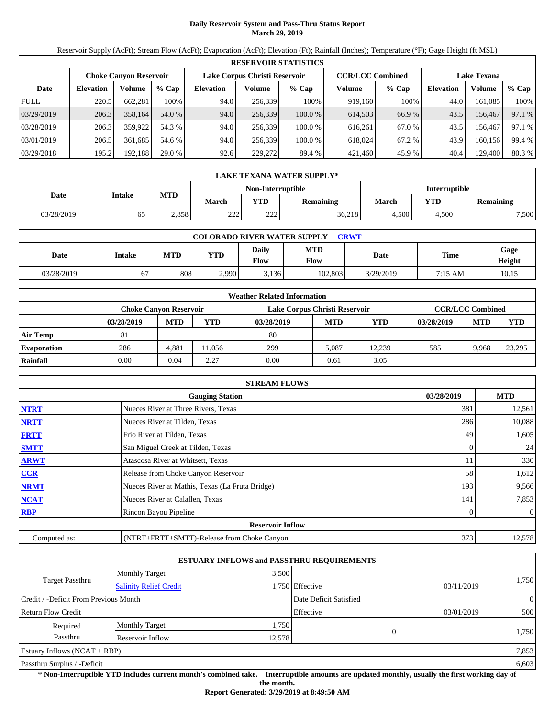## **Daily Reservoir System and Pass-Thru Status Report March 29, 2019**

Reservoir Supply (AcFt); Stream Flow (AcFt); Evaporation (AcFt); Elevation (Ft); Rainfall (Inches); Temperature (°F); Gage Height (ft MSL)

|             | <b>RESERVOIR STATISTICS</b> |                               |         |                               |         |         |                         |         |                    |         |        |  |
|-------------|-----------------------------|-------------------------------|---------|-------------------------------|---------|---------|-------------------------|---------|--------------------|---------|--------|--|
|             |                             | <b>Choke Canyon Reservoir</b> |         | Lake Corpus Christi Reservoir |         |         | <b>CCR/LCC Combined</b> |         | <b>Lake Texana</b> |         |        |  |
| Date        | <b>Elevation</b>            | Volume                        | $%$ Cap | <b>Elevation</b>              | Volume  | $%$ Cap | Volume                  | $%$ Cap | <b>Elevation</b>   | Volume  | % Cap  |  |
| <b>FULL</b> | 220.5                       | 662.281                       | 100%    | 94.0                          | 256,339 | 100%    | 919,160                 | 100%    | 44.0               | 161.085 | 100%   |  |
| 03/29/2019  | 206.3                       | 358,164                       | 54.0 %  | 94.0                          | 256,339 | 100.0%  | 614,503                 | 66.9%   | 43.5               | 156,467 | 97.1 % |  |
| 03/28/2019  | 206.3                       | 359,922                       | 54.3 %  | 94.0                          | 256.339 | 100.0 % | 616.261                 | 67.0 %  | 43.5               | 156.467 | 97.1 % |  |
| 03/01/2019  | 206.5                       | 361.685                       | 54.6 %  | 94.0                          | 256.339 | 100.0 % | 618,024                 | 67.2 %  | 43.9               | 160.156 | 99.4 % |  |
| 03/29/2018  | 195.2                       | 192,188                       | 29.0 %  | 92.6                          | 229,272 | 89.4 %  | 421,460                 | 45.9 %  | 40.4               | 129,400 | 80.3 % |  |

|            | LAKE TEXANA WATER SUPPLY* |       |              |                          |                  |                      |       |           |  |  |
|------------|---------------------------|-------|--------------|--------------------------|------------------|----------------------|-------|-----------|--|--|
|            | Intake                    |       |              | <b>Non-Interruptible</b> |                  | <b>Interruptible</b> |       |           |  |  |
| Date       |                           | MTD   | <b>March</b> | YTD                      | <b>Remaining</b> | March                | YTD   | Remaining |  |  |
| 03/28/2019 | 65                        | 2.858 | 222<br>∠∠∠   | 222                      | 36,218           | 4.500                | 4.500 | 7,500     |  |  |

| <b>COLORADO RIVER WATER SUPPLY</b><br><b>CRWT</b> |        |            |            |               |                    |           |         |                |  |  |  |
|---------------------------------------------------|--------|------------|------------|---------------|--------------------|-----------|---------|----------------|--|--|--|
| Date                                              | Intake | <b>MTD</b> | <b>YTD</b> | Daily<br>Flow | <b>MTD</b><br>Flow | Date      | Time    | Gage<br>Height |  |  |  |
| 03/28/2019                                        | 67     | 808        | 2,990      | 3.136         | 102.803            | 3/29/2019 | 7:15 AM | 10.15          |  |  |  |

|                    |                               |            |            | <b>Weather Related Information</b> |            |        |            |                         |        |
|--------------------|-------------------------------|------------|------------|------------------------------------|------------|--------|------------|-------------------------|--------|
|                    | <b>Choke Canvon Reservoir</b> |            |            | Lake Corpus Christi Reservoir      |            |        |            | <b>CCR/LCC Combined</b> |        |
|                    | 03/28/2019                    | <b>MTD</b> | <b>YTD</b> | 03/28/2019                         | <b>MTD</b> | YTD    | 03/28/2019 | <b>MTD</b>              | YTD    |
| <b>Air Temp</b>    | 81                            |            |            | 80                                 |            |        |            |                         |        |
| <b>Evaporation</b> | 286                           | 4.881      | 1.056      | 299                                | 5,087      | 12.239 | 585        | 9.968                   | 23,295 |
| Rainfall           | 0.00                          | 0.04       | 2.27       | 0.00                               | 0.61       | 3.05   |            |                         |        |

|              | <b>STREAM FLOWS</b>                             |            |                |
|--------------|-------------------------------------------------|------------|----------------|
|              | <b>Gauging Station</b>                          | 03/28/2019 | <b>MTD</b>     |
| <b>NTRT</b>  | Nueces River at Three Rivers, Texas             | 381        | 12,561         |
| <b>NRTT</b>  | Nueces River at Tilden, Texas                   | 286        | 10,088         |
| <b>FRTT</b>  | Frio River at Tilden, Texas                     | 49         | 1,605          |
| <b>SMTT</b>  | San Miguel Creek at Tilden, Texas               |            | 24             |
| <b>ARWT</b>  | Atascosa River at Whitsett, Texas               |            | 330            |
| <b>CCR</b>   | Release from Choke Canyon Reservoir             | 58         | 1,612          |
| <b>NRMT</b>  | Nueces River at Mathis, Texas (La Fruta Bridge) | 193        | 9,566          |
| <b>NCAT</b>  | Nueces River at Calallen, Texas                 | 141        | 7,853          |
| <b>RBP</b>   | Rincon Bayou Pipeline                           |            | $\overline{0}$ |
|              | <b>Reservoir Inflow</b>                         |            |                |
| Computed as: | (NTRT+FRTT+SMTT)-Release from Choke Canyon      | 373        | 12,578         |

|                                       |                               |        | <b>ESTUARY INFLOWS and PASSTHRU REQUIREMENTS</b> |            |                |
|---------------------------------------|-------------------------------|--------|--------------------------------------------------|------------|----------------|
|                                       | <b>Monthly Target</b>         | 3.500  |                                                  |            |                |
| Target Passthru                       | <b>Salinity Relief Credit</b> |        | 1,750 Effective                                  | 03/11/2019 | 1,750          |
| Credit / -Deficit From Previous Month |                               |        | Date Deficit Satisfied                           |            | $\overline{0}$ |
| <b>Return Flow Credit</b>             |                               |        | Effective                                        | 03/01/2019 | 500            |
| Required                              | <b>Monthly Target</b>         | 1,750  |                                                  |            |                |
| Passthru                              | Reservoir Inflow              | 12,578 | $\theta$                                         |            | 1,750          |
| Estuary Inflows $(NCAT + RBP)$        |                               |        |                                                  |            | 7,853          |
| Passthru Surplus / -Deficit           |                               |        |                                                  |            | 6,603          |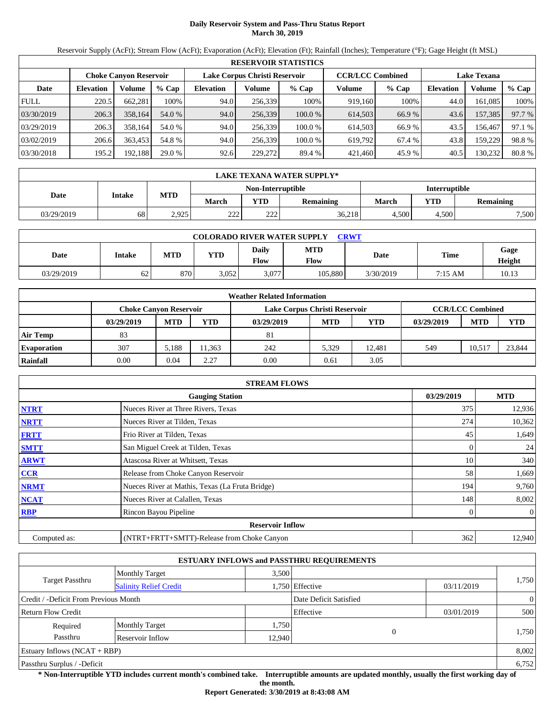## **Daily Reservoir System and Pass-Thru Status Report March 30, 2019**

Reservoir Supply (AcFt); Stream Flow (AcFt); Evaporation (AcFt); Elevation (Ft); Rainfall (Inches); Temperature (°F); Gage Height (ft MSL)

|             | <b>RESERVOIR STATISTICS</b> |                               |         |                               |         |         |                         |         |                    |         |        |  |
|-------------|-----------------------------|-------------------------------|---------|-------------------------------|---------|---------|-------------------------|---------|--------------------|---------|--------|--|
|             |                             | <b>Choke Canyon Reservoir</b> |         | Lake Corpus Christi Reservoir |         |         | <b>CCR/LCC Combined</b> |         | <b>Lake Texana</b> |         |        |  |
| Date        | <b>Elevation</b>            | Volume                        | $%$ Cap | <b>Elevation</b>              | Volume  | $%$ Cap | Volume                  | $%$ Cap | <b>Elevation</b>   | Volume  | % Cap  |  |
| <b>FULL</b> | 220.5                       | 662.281                       | 100%    | 94.0                          | 256,339 | 100%    | 919,160                 | 100%    | 44.0               | 161.085 | 100%   |  |
| 03/30/2019  | 206.3                       | 358,164                       | 54.0 %  | 94.0                          | 256,339 | 100.0%  | 614,503                 | 66.9%   | 43.6               | 157,385 | 97.7 % |  |
| 03/29/2019  | 206.3                       | 358.164                       | 54.0 %  | 94.0                          | 256.339 | 100.0 % | 614.503                 | 66.9%   | 43.5               | 156.467 | 97.1 % |  |
| 03/02/2019  | 206.6                       | 363,453                       | 54.8 %  | 94.0                          | 256.339 | 100.0 % | 619.792                 | 67.4 %  | 43.8               | 159.229 | 98.8%  |  |
| 03/30/2018  | 195.2                       | 192,188                       | 29.0 %  | 92.6                          | 229,272 | 89.4 %  | 421,460                 | 45.9 %  | 40.5               | 130,232 | 80.8%  |  |

|            | LAKE TEXANA WATER SUPPLY* |       |              |                          |                  |                      |       |           |  |  |
|------------|---------------------------|-------|--------------|--------------------------|------------------|----------------------|-------|-----------|--|--|
|            | Intake                    |       |              | <b>Non-Interruptible</b> |                  | <b>Interruptible</b> |       |           |  |  |
| Date       |                           | MTD   | <b>March</b> | YTD                      | <b>Remaining</b> | March                | YTD   | Remaining |  |  |
| 03/29/2019 | 68                        | 2,925 | 222<br>∠∠∠   | 222                      | 36,218           | 4.500                | 4.500 | 7,500     |  |  |

| <b>COLORADO RIVER WATER SUPPLY</b><br><b>CRWT</b> |        |            |            |               |                    |           |         |                |  |  |  |
|---------------------------------------------------|--------|------------|------------|---------------|--------------------|-----------|---------|----------------|--|--|--|
| Date                                              | Intake | <b>MTD</b> | <b>YTD</b> | Daily<br>Flow | <b>MTD</b><br>Flow | Date      | Time    | Gage<br>Height |  |  |  |
| 03/29/2019                                        | 62     | 870        | 3.052      | 3,077         | 105.880            | 3/30/2019 | 7:15 AM | 10.13          |  |  |  |

|                    |                               |            |       | <b>Weather Related Information</b> |            |            |            |                         |            |
|--------------------|-------------------------------|------------|-------|------------------------------------|------------|------------|------------|-------------------------|------------|
|                    | <b>Choke Canvon Reservoir</b> |            |       | Lake Corpus Christi Reservoir      |            |            |            | <b>CCR/LCC Combined</b> |            |
|                    | 03/29/2019                    | <b>MTD</b> | YTD   | 03/29/2019                         | <b>MTD</b> | <b>YTD</b> | 03/29/2019 | <b>MTD</b>              | <b>YTD</b> |
| <b>Air Temp</b>    | 83                            |            |       | 81                                 |            |            |            |                         |            |
| <b>Evaporation</b> | 307                           | 5.188      | 1.363 | 242                                | 5.329      | 12.481     | 549        | 10.517                  | 23,844     |
| Rainfall           | 0.00                          | 0.04       | 2.27  | 0.00                               | 0.61       | 3.05       |            |                         |            |

|              | <b>STREAM FLOWS</b>                             |            |                |
|--------------|-------------------------------------------------|------------|----------------|
|              | <b>Gauging Station</b>                          | 03/29/2019 | <b>MTD</b>     |
| <b>NTRT</b>  | Nueces River at Three Rivers, Texas             | 375        | 12,936         |
| <b>NRTT</b>  | Nueces River at Tilden, Texas                   | 274        | 10,362         |
| <b>FRTT</b>  | Frio River at Tilden, Texas                     | 45         | 1,649          |
| <b>SMTT</b>  | San Miguel Creek at Tilden, Texas               |            | 24             |
| <b>ARWT</b>  | Atascosa River at Whitsett, Texas               | 10         | 340            |
| <b>CCR</b>   | Release from Choke Canyon Reservoir             | 58         | 1,669          |
| <b>NRMT</b>  | Nueces River at Mathis, Texas (La Fruta Bridge) | 194        | 9,760          |
| <b>NCAT</b>  | Nueces River at Calallen, Texas                 | 148        | 8,002          |
| <b>RBP</b>   | Rincon Bayou Pipeline                           |            | $\overline{0}$ |
|              | <b>Reservoir Inflow</b>                         |            |                |
| Computed as: | (NTRT+FRTT+SMTT)-Release from Choke Canyon      | 362        | 12,940         |

|                                       |                               |        | <b>ESTUARY INFLOWS and PASSTHRU REQUIREMENTS</b> |            |                |
|---------------------------------------|-------------------------------|--------|--------------------------------------------------|------------|----------------|
|                                       | <b>Monthly Target</b>         | 3.500  |                                                  |            |                |
| Target Passthru                       | <b>Salinity Relief Credit</b> |        | 1,750 Effective                                  | 03/11/2019 | 1,750          |
| Credit / -Deficit From Previous Month |                               |        | Date Deficit Satisfied                           |            | $\overline{0}$ |
| <b>Return Flow Credit</b>             |                               |        | Effective                                        | 03/01/2019 | 500            |
| Required                              | <b>Monthly Target</b>         | 1,750  |                                                  |            |                |
| Passthru                              | Reservoir Inflow              | 12,940 | $\sqrt{ }$                                       |            | 1,750          |
| Estuary Inflows $(NCAT + RBP)$        |                               |        |                                                  |            | 8,002          |
| Passthru Surplus / -Deficit           |                               |        |                                                  |            | 6,752          |